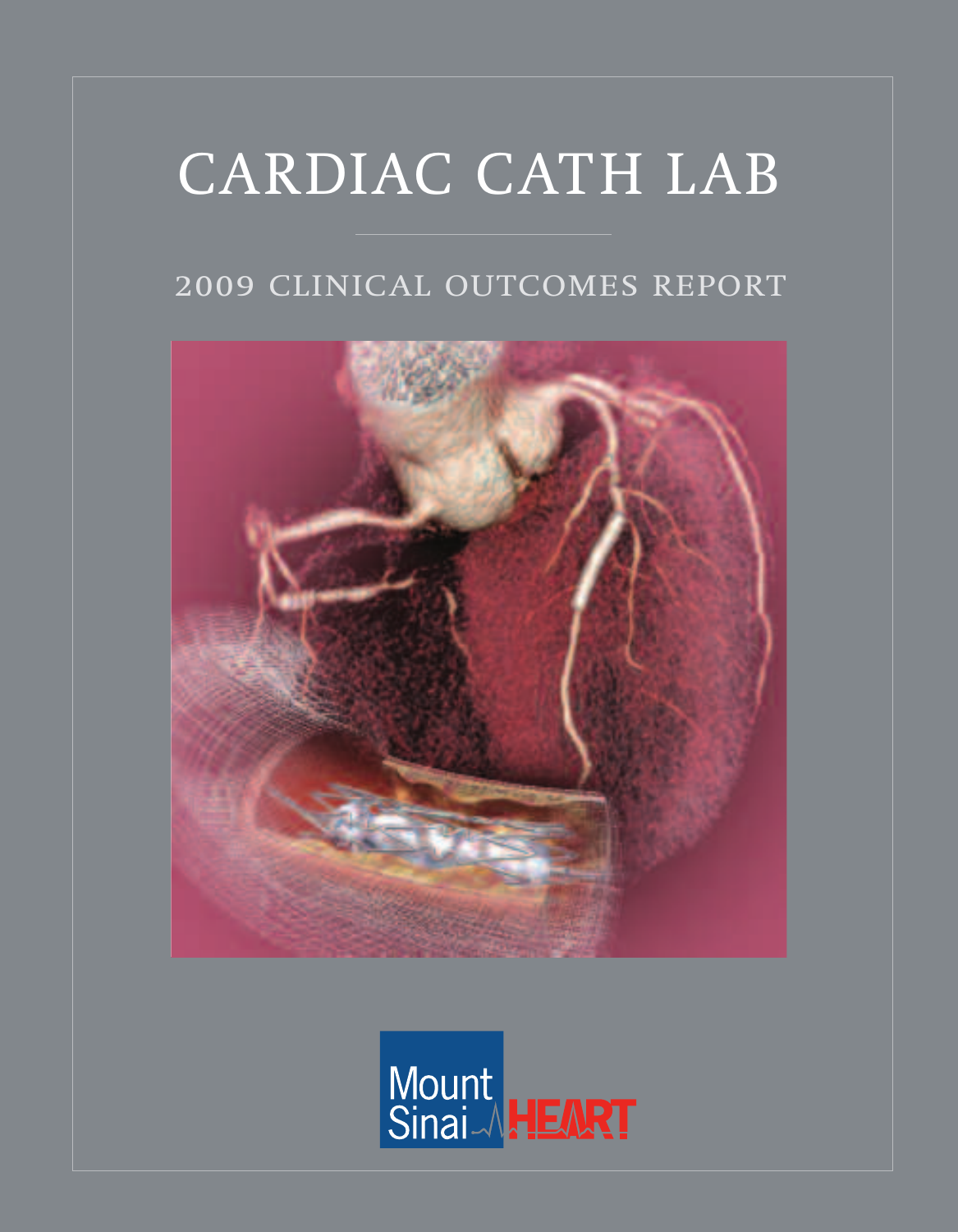# CARDIAC CATH LAB

# 2009 CLINICAL OUTCOMES REPORT



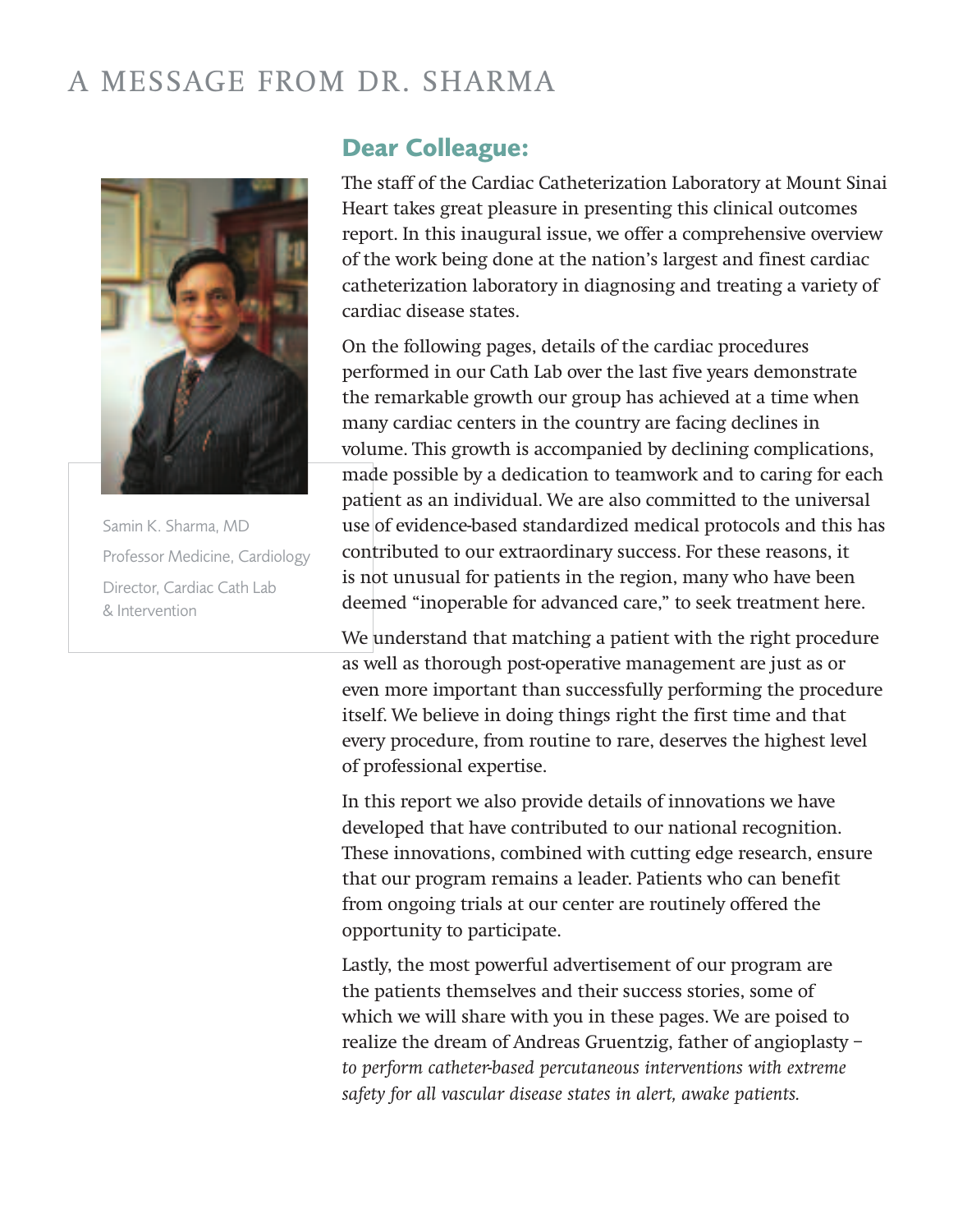# A MESSAGE FROM DR. SHARMA



**Samin K. Sharma, MD Professor Medicine, Cardiology Director, Cardiac Cath Lab & Intervention**

# **Dear Colleague:**

The staff of the Cardiac Catheterization Laboratory at Mount Sinai Heart takes great pleasure in presenting this clinical outcomes report. In this inaugural issue, we offer a comprehensive overview of the work being done at the nation's largest and finest cardiac catheterization laboratory in diagnosing and treating a variety of cardiac disease states.

On the following pages, details of the cardiac procedures performed in our Cath Lab over the last five years demonstrate the remarkable growth our group has achieved at a time when many cardiac centers in the country are facing declines in volume. This growth is accompanied by declining complications, made possible by a dedication to teamwork and to caring for each patient as an individual. We are also committed to the universal use of evidence-based standardized medical protocols and this has contributed to our extraordinary success. For these reasons, it is not unusual for patients in the region, many who have been deemed "inoperable for advanced care," to seek treatment here.

We understand that matching a patient with the right procedure as well as thorough post-operative management are just as or even more important than successfully performing the procedure itself. We believe in doing things right the first time and that every procedure, from routine to rare, deserves the highest level of professional expertise.

In this report we also provide details of innovations we have developed that have contributed to our national recognition. These innovations, combined with cutting edge research, ensure that our program remains a leader. Patients who can benefit from ongoing trials at our center are routinely offered the opportunity to participate.

Lastly, the most powerful advertisement of our program are the patients themselves and their success stories, some of which we will share with you in these pages. We are poised to realize the dream of Andreas Gruentzig, father of angioplasty – *to perform catheter-based percutaneous interventions with extreme safety for all vascular disease states in alert, awake patients.*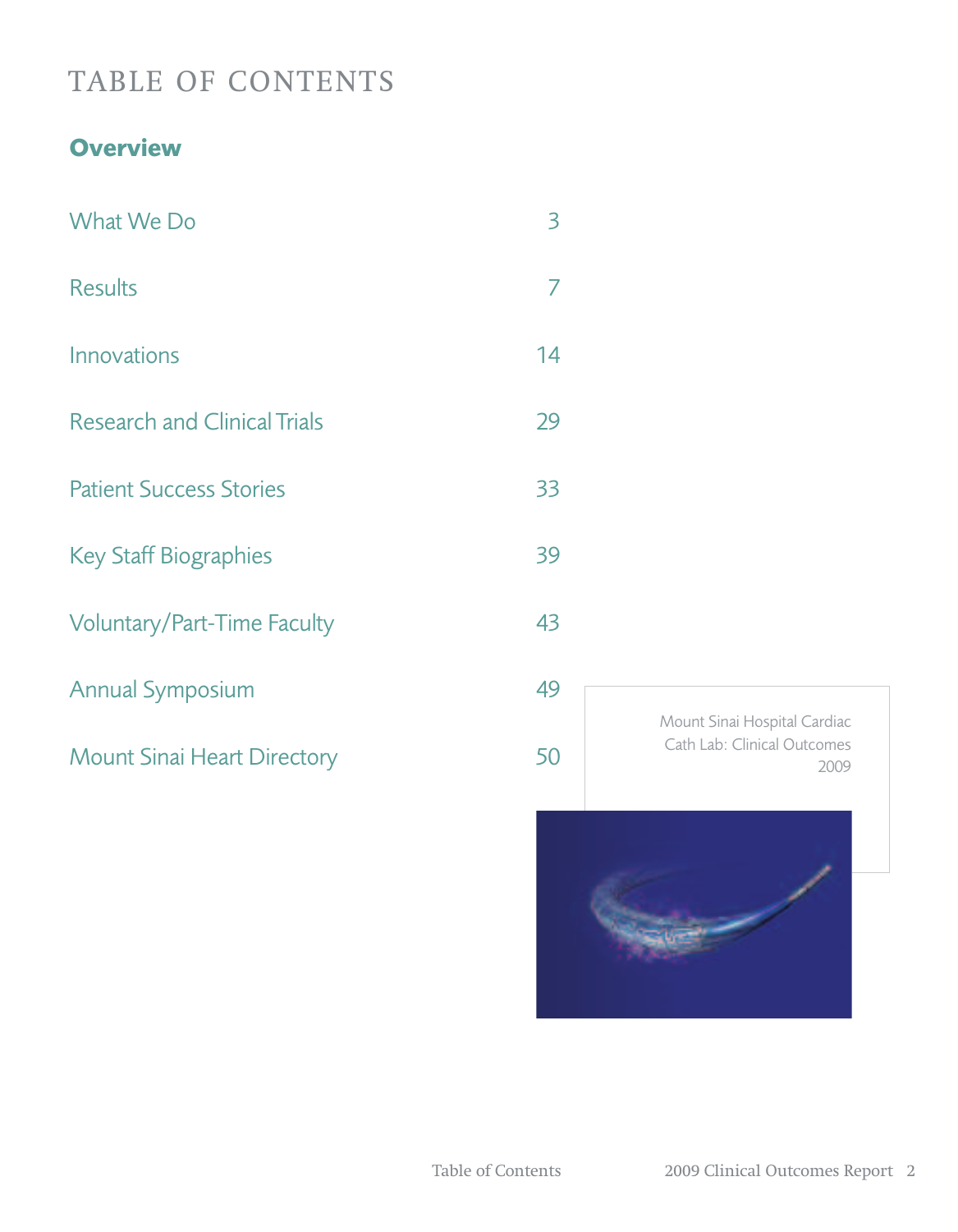# TABLE OF CONTENTS

# **Overview**

| What We Do                          | 3  |
|-------------------------------------|----|
| <b>Results</b>                      | 7  |
| Innovations                         | 14 |
| <b>Research and Clinical Trials</b> | 29 |
| <b>Patient Success Stories</b>      | 33 |
| <b>Key Staff Biographies</b>        | 39 |
| <b>Voluntary/Part-Time Faculty</b>  | 43 |
| <b>Annual Symposium</b>             | 49 |
| <b>Mount Sinai Heart Directory</b>  | 50 |
|                                     |    |

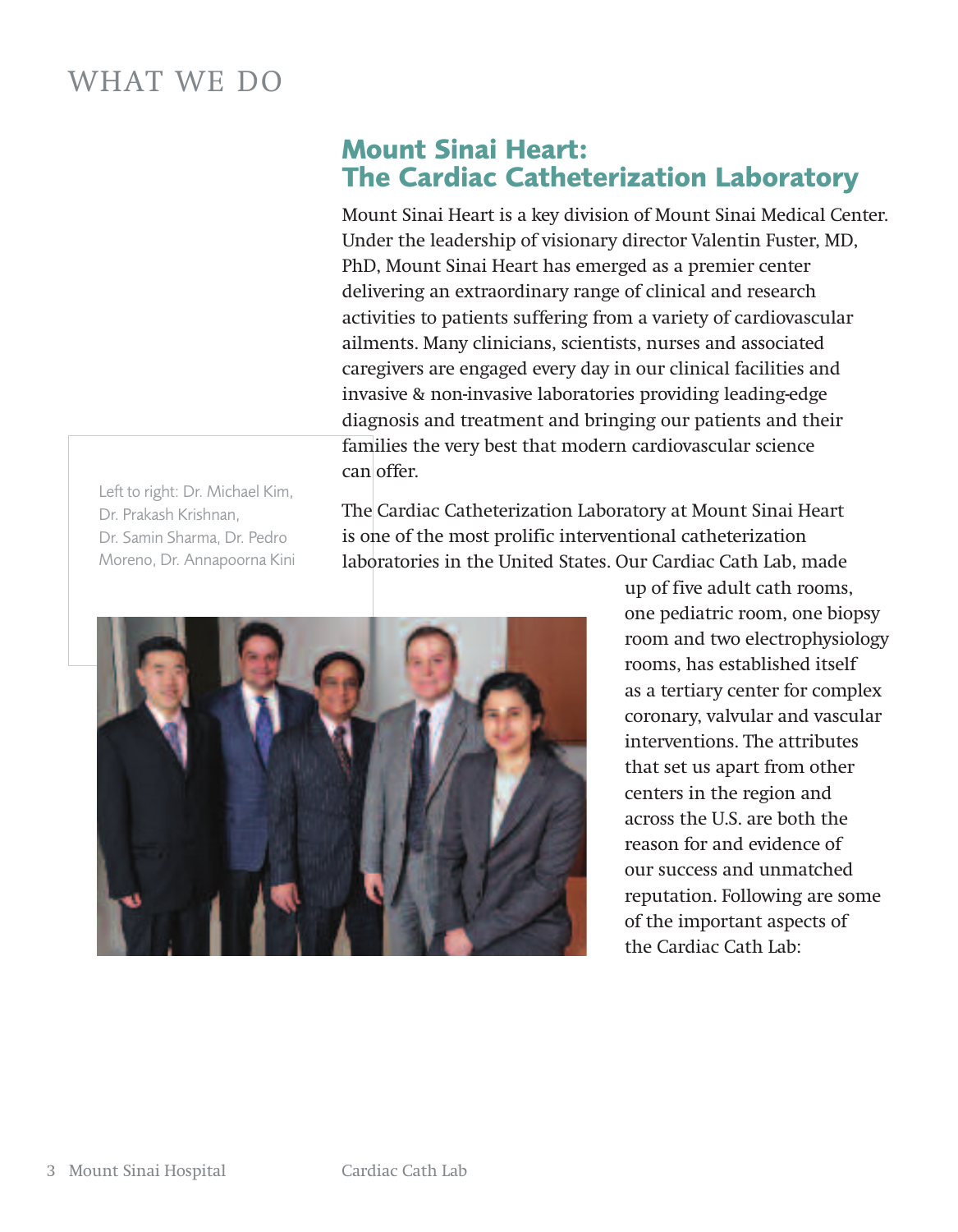# WHAT WE DO

# **Mount Sinai Heart: The Cardiac Catheterization Laboratory**

Mount Sinai Heart is a key division of Mount Sinai Medical Center. Under the leadership of visionary director Valentin Fuster, MD, PhD, Mount Sinai Heart has emerged as a premier center delivering an extraordinary range of clinical and research activities to patients suffering from a variety of cardiovascular ailments. Many clinicians, scientists, nurses and associated caregivers are engaged every day in our clinical facilities and invasive & non-invasive laboratories providing leading-edge diagnosis and treatment and bringing our patients and their families the very best that modern cardiovascular science can offer.

**Left to right: Dr. Michael Kim, Dr. Prakash Krishnan, Dr. Samin Sharma, Dr. Pedro Moreno, Dr. Annapoorna Kini**

The Cardiac Catheterization Laboratory at Mount Sinai Heart is one of the most prolific interventional catheterization laboratories in the United States. Our Cardiac Cath Lab, made



up of five adult cath rooms, one pediatric room, one biopsy room and two electrophysiology rooms, has established itself as a tertiary center for complex coronary, valvular and vascular interventions. The attributes that set us apart from other centers in the region and across the U.S. are both the reason for and evidence of our success and unmatched reputation. Following are some of the important aspects of the Cardiac Cath Lab: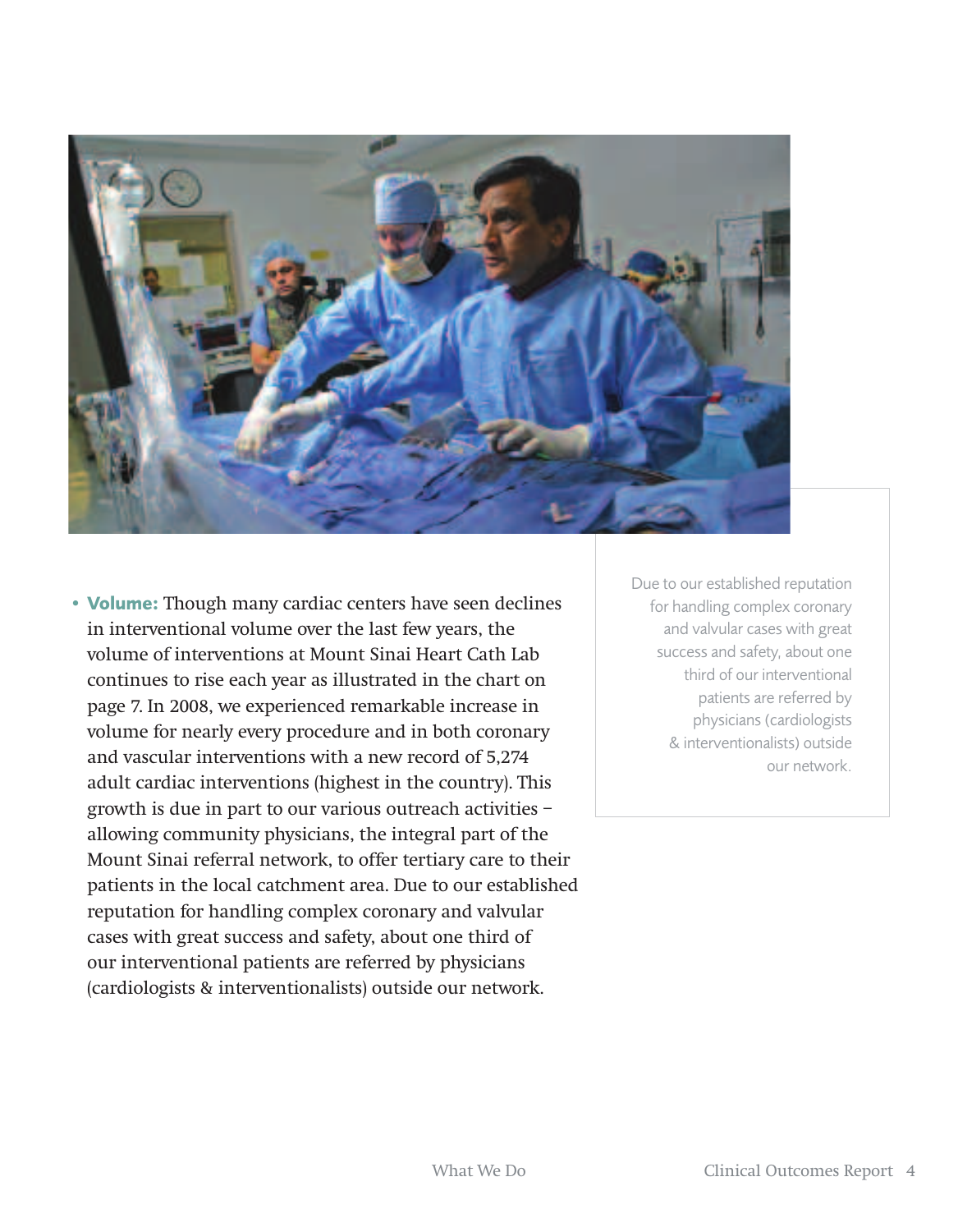

**• Volume:** Though many cardiac centers have seen declines in interventional volume over the last few years, the volume of interventions at Mount Sinai Heart Cath Lab continues to rise each year as illustrated in the chart on page 7. In 2008, we experienced remarkable increase in volume for nearly every procedure and in both coronary and vascular interventions with a new record of 5,274 adult cardiac interventions (highest in the country). This growth is due in part to our various outreach activities – allowing community physicians, the integral part of the Mount Sinai referral network, to offer tertiary care to their patients in the local catchment area. Due to our established reputation for handling complex coronary and valvular cases with great success and safety, about one third of our interventional patients are referred by physicians (cardiologists & interventionalists) outside our network.

**Due to our established reputation for handling complex coronary and valvular cases with great success and safety, about one third of our interventional patients are referred by physicians (cardiologists & interventionalists) outside our network.**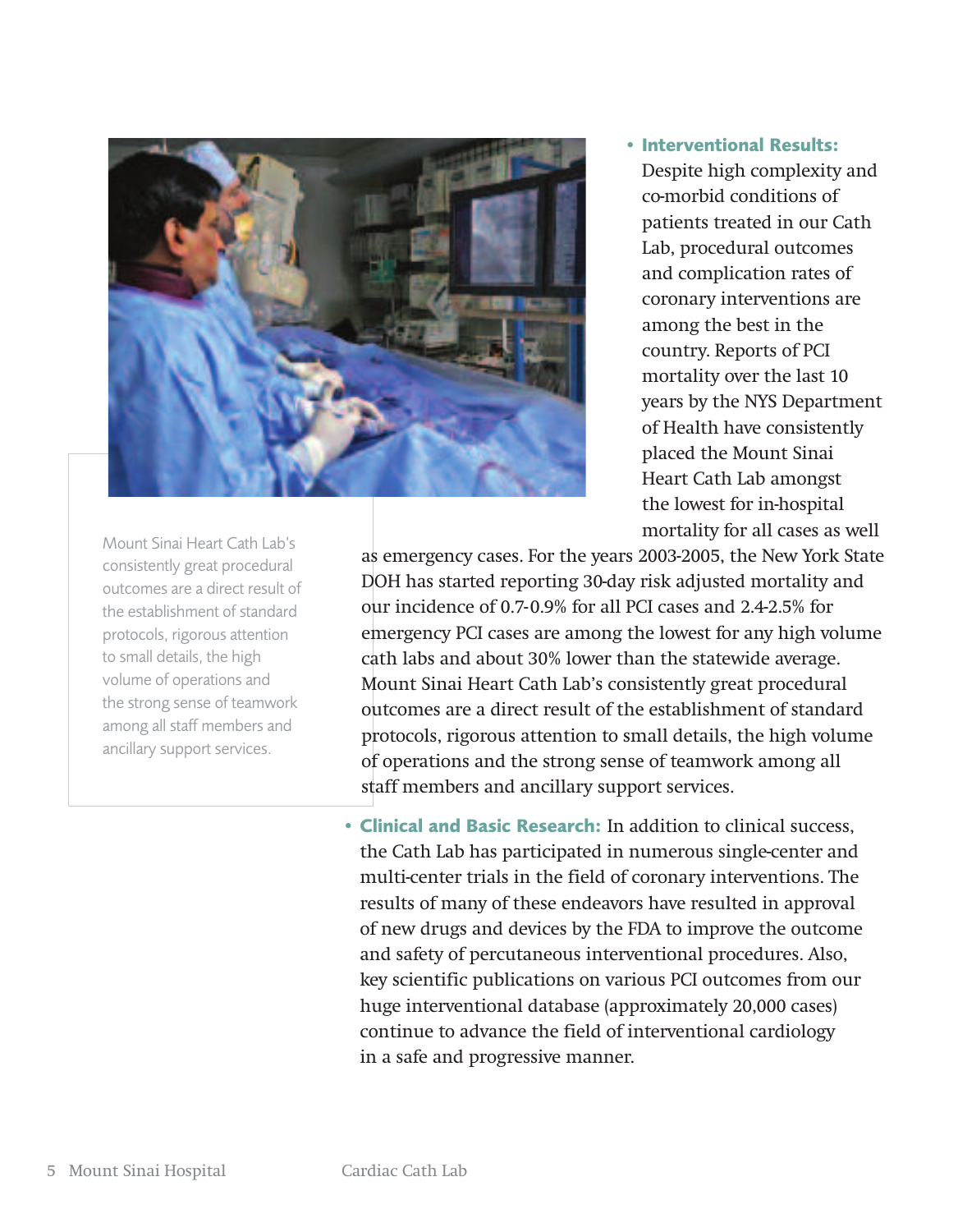

**• Interventional Results:** Despite high complexity and co-morbid conditions of patients treated in our Cath Lab, procedural outcomes and complication rates of coronary interventions are among the best in the country. Reports of PCI mortality over the last 10 years by the NYS Department of Health have consistently placed the Mount Sinai Heart Cath Lab amongst the lowest for in-hospital mortality for all cases as well

as emergency cases. For the years 2003-2005, the New York State DOH has started reporting 30-day risk adjusted mortality and our incidence of 0.7-0.9% for all PCI cases and 2.4-2.5% for emergency PCI cases are among the lowest for any high volume cath labs and about 30% lower than the statewide average. Mount Sinai Heart Cath Lab's consistently great procedural outcomes are a direct result of the establishment of standard protocols, rigorous attention to small details, the high volume of operations and the strong sense of teamwork among all staff members and ancillary support services.

**• Clinical and Basic Research:** In addition to clinical success, the Cath Lab has participated in numerous single-center and multi-center trials in the field of coronary interventions. The results of many of these endeavors have resulted in approval of new drugs and devices by the FDA to improve the outcome and safety of percutaneous interventional procedures. Also, key scientific publications on various PCI outcomes from our huge interventional database (approximately 20,000 cases) continue to advance the field of interventional cardiology in a safe and progressive manner.

**Mount Sinai Heart Cath Lab's consistently great procedural outcomes are a direct result of the establishment of standard protocols, rigorous attention to small details, the high volume of operations and the strong sense of teamwork among all staff members and ancillary support services.**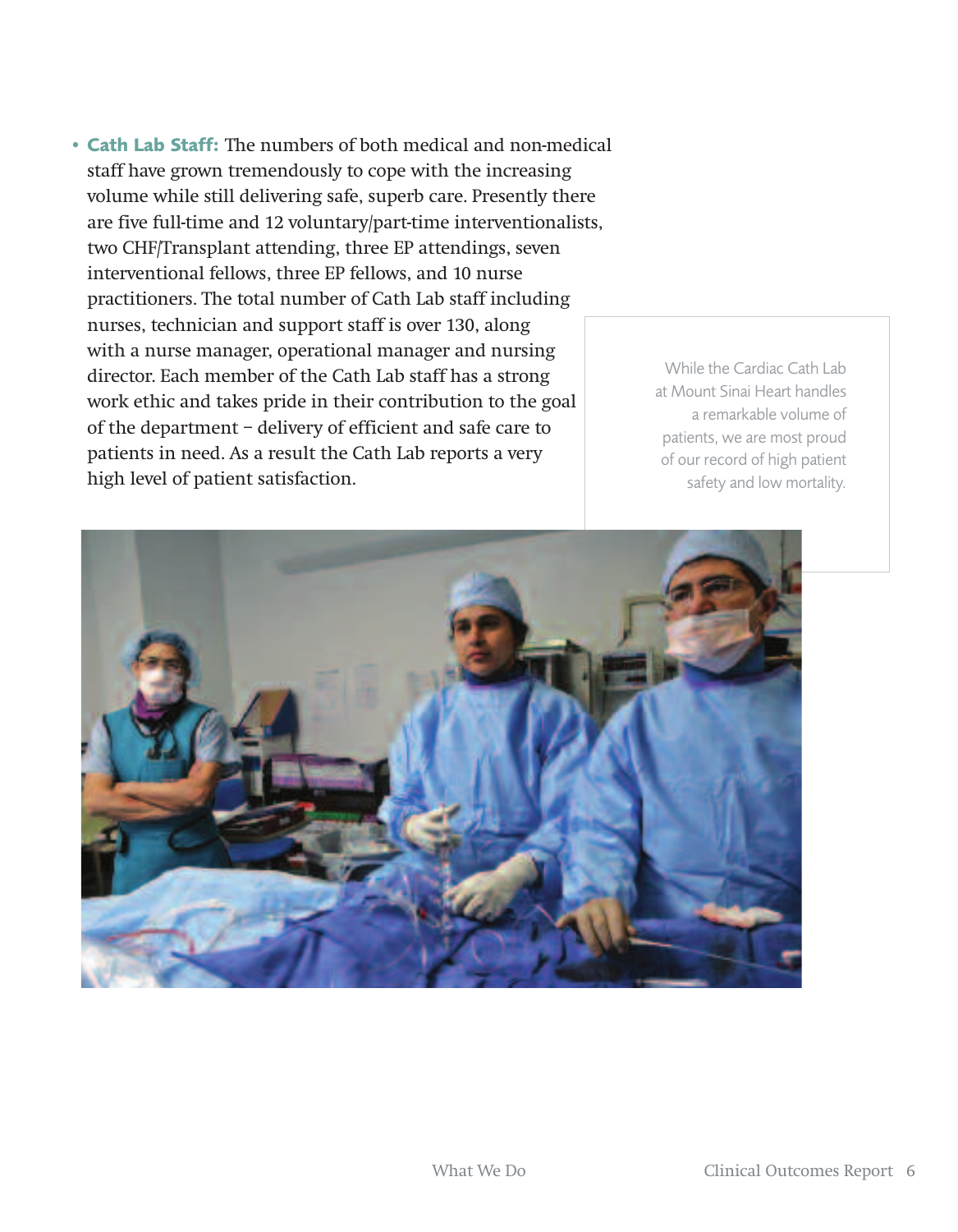**• Cath Lab Staff:** The numbers of both medical and non-medical staff have grown tremendously to cope with the increasing volume while still delivering safe, superb care. Presently there are five full-time and 12 voluntary/part-time interventionalists, two CHF/Transplant attending, three EP attendings, seven interventional fellows, three EP fellows, and 10 nurse practitioners. The total number of Cath Lab staff including nurses, technician and support staff is over 130, along with a nurse manager, operational manager and nursing director. Each member of the Cath Lab staff has a strong work ethic and takes pride in their contribution to the goal of the department – delivery of efficient and safe care to patients in need. As a result the Cath Lab reports a very high level of patient satisfaction.

**While the Cardiac Cath Lab at Mount Sinai Heart handles a remarkable volume of patients, we are most proud of our record of high patient safety and low mortality.**

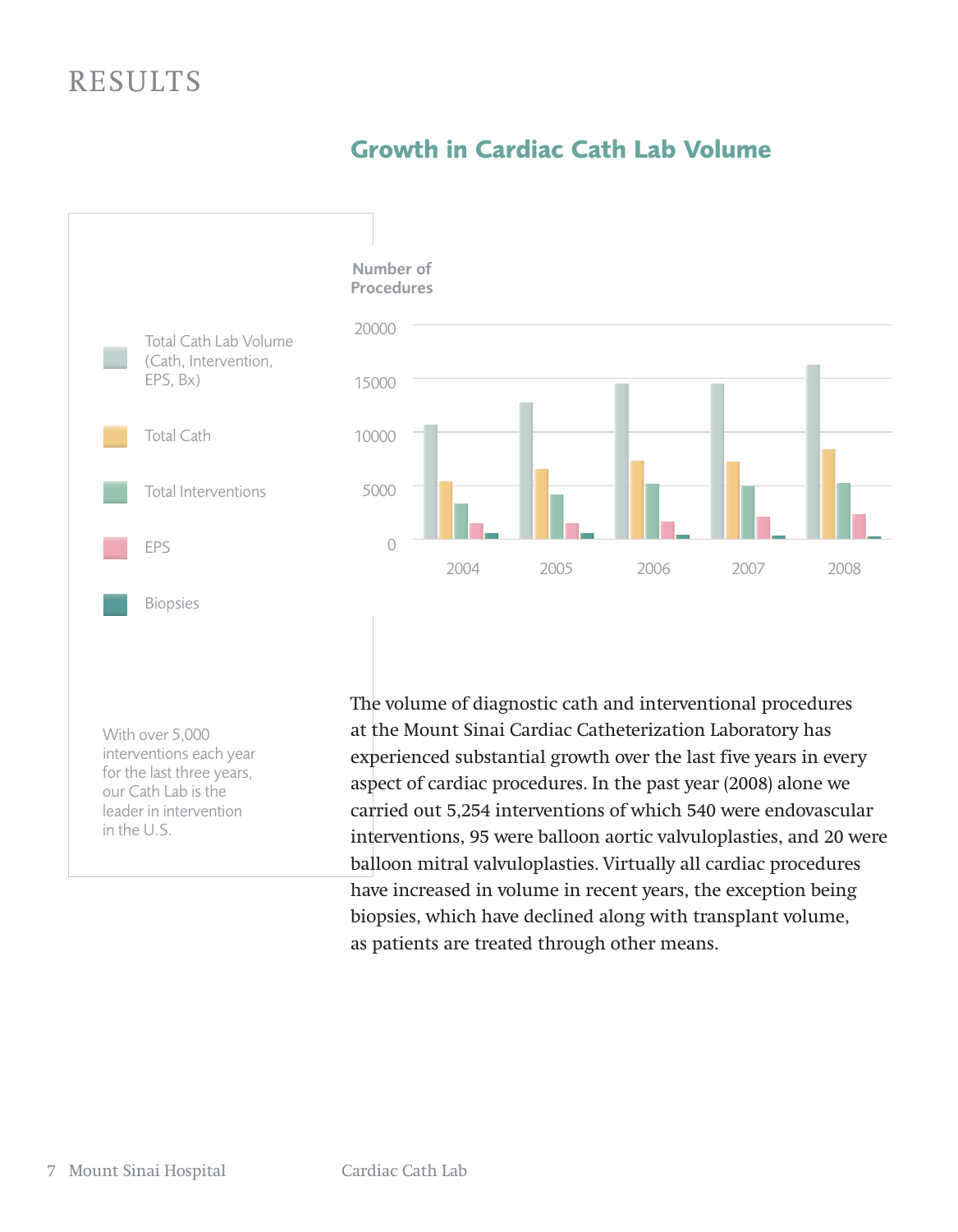# **RESULTS**



have increased in volume in recent years, the exception being biopsies, which have declined along with transplant volume,

as patients are treated through other means.

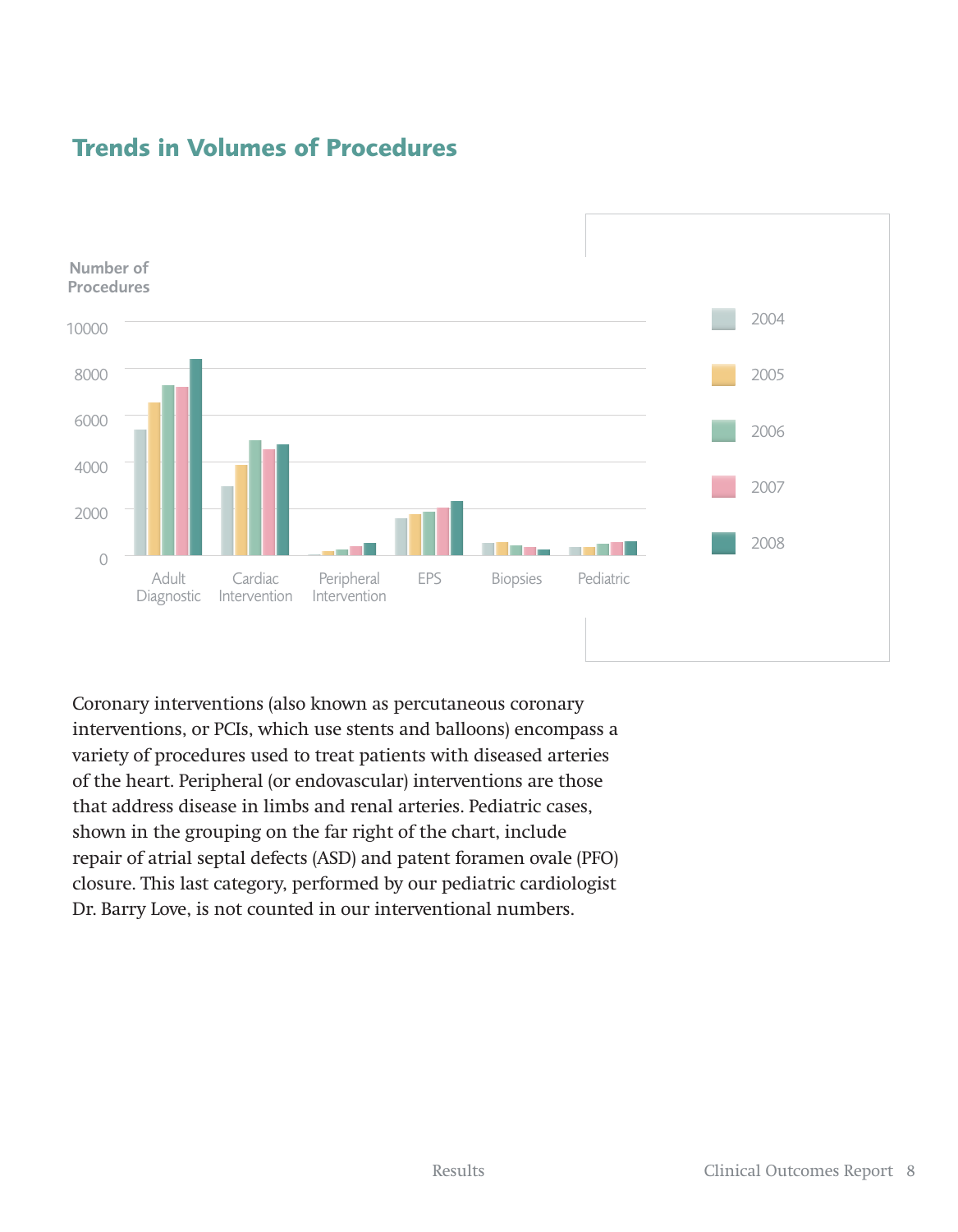

# **Trends in Volumes of Procedures**

Coronary interventions (also known as percutaneous coronary interventions, or PCIs, which use stents and balloons) encompass a variety of procedures used to treat patients with diseased arteries of the heart. Peripheral (or endovascular) interventions are those that address disease in limbs and renal arteries. Pediatric cases, shown in the grouping on the far right of the chart, include repair of atrial septal defects (ASD) and patent foramen ovale (PFO) closure. This last category, performed by our pediatric cardiologist Dr. Barry Love, is not counted in our interventional numbers.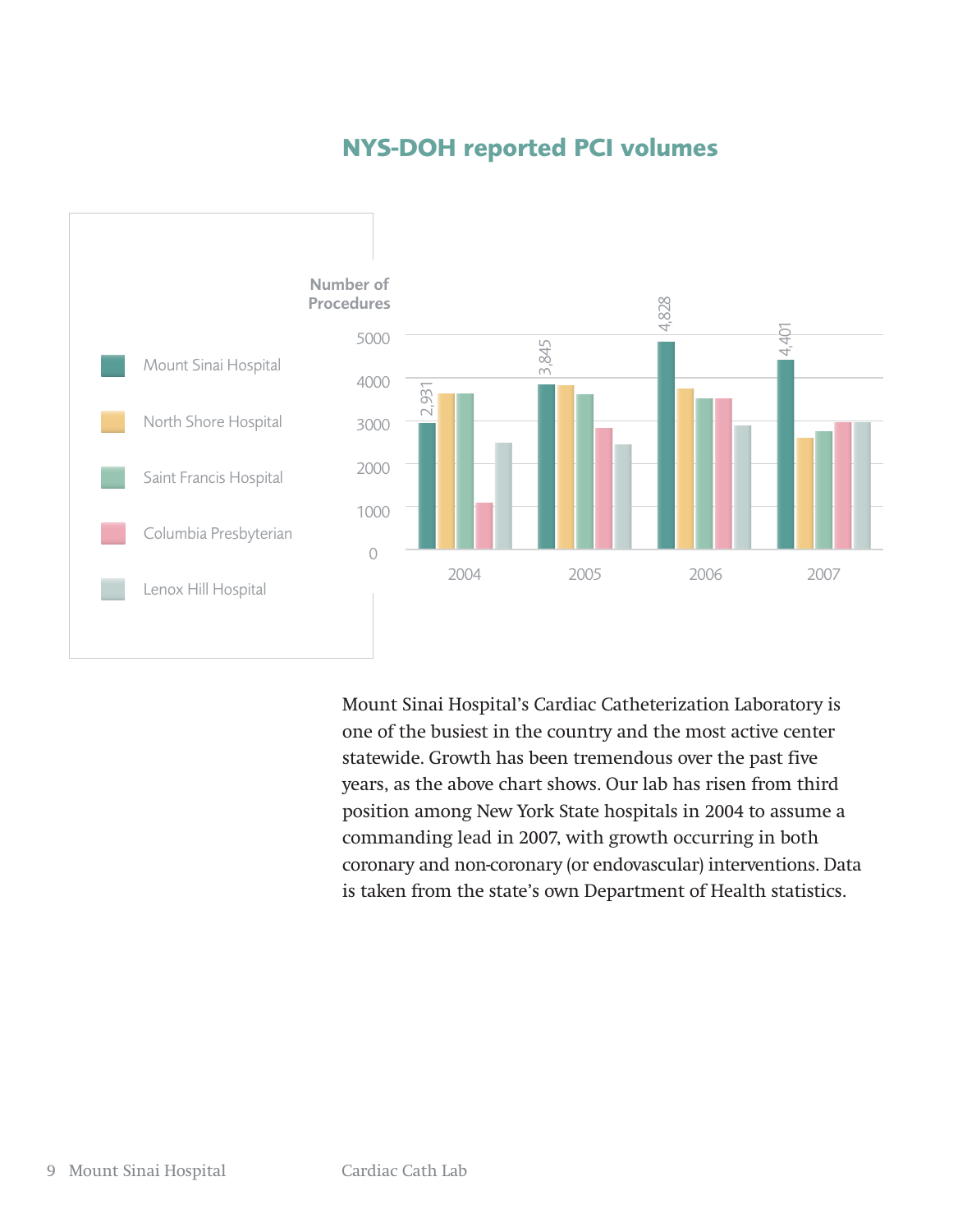# **NYS-DOH reported PCI volumes**



Mount Sinai Hospital's Cardiac Catheterization Laboratory is one of the busiest in the country and the most active center statewide. Growth has been tremendous over the past five years, as the above chart shows. Our lab has risen from third position among New York State hospitals in 2004 to assume a commanding lead in 2007, with growth occurring in both coronary and non-coronary (or endovascular) interventions. Data is taken from the state's own Department of Health statistics.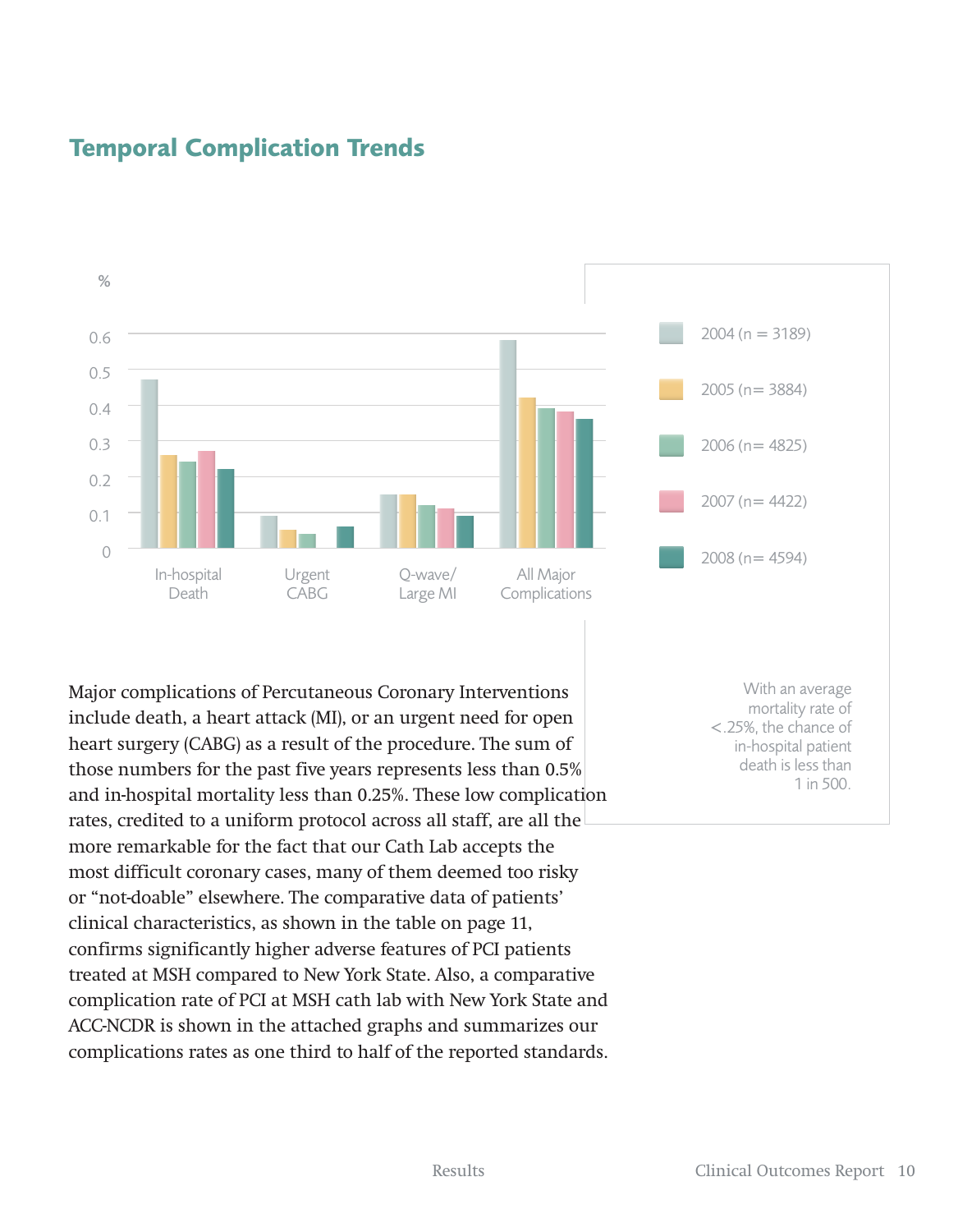

# **Temporal Complication Trends**

Major complications of Percutaneous Coronary Interventions include death, a heart attack (MI), or an urgent need for open heart surgery (CABG) as a result of the procedure. The sum of those numbers for the past five years represents less than 0.5% and in-hospital mortality less than 0.25%. These low complication rates, credited to a uniform protocol across all staff, are all the more remarkable for the fact that our Cath Lab accepts the most difficult coronary cases, many of them deemed too risky or "not-doable" elsewhere. The comparative data of patients' clinical characteristics, as shown in the table on page 11, confirms significantly higher adverse features of PCI patients treated at MSH compared to New York State. Also, a comparative complication rate of PCI at MSH cath lab with New York State and ACC-NCDR is shown in the attached graphs and summarizes our complications rates as one third to half of the reported standards.

**With an average mortality rate of** <**.25%, the chance of in-hospital patient death is less than 1 in 500.**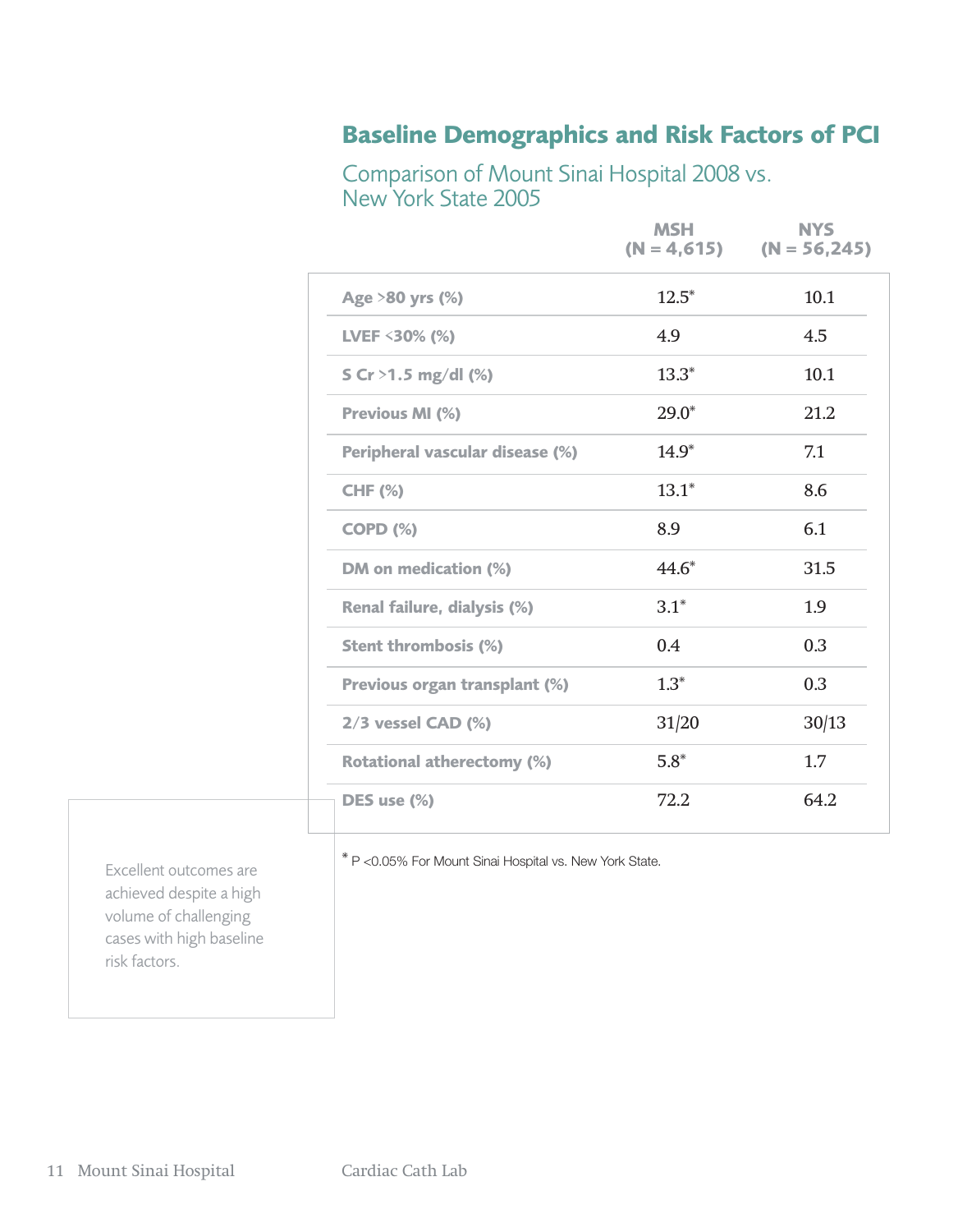# **Baseline Demographics and Risk Factors of PCI**

**Comparison of Mount Sinai Hospital 2008 vs. New York State 2005**

|                                   | <b>MSH</b> | <b>NYS</b><br>$(N = 4, 615)$ $(N = 56, 245)$ |
|-----------------------------------|------------|----------------------------------------------|
| Age >80 yrs (%)                   | $12.5^*$   | 10.1                                         |
| LVEF <30% (%)                     | 4.9        | 4.5                                          |
| S Cr >1.5 mg/dl $(\%)$            | $13.3*$    | 10.1                                         |
| Previous MI (%)                   | $29.0*$    | 21.2                                         |
| Peripheral vascular disease (%)   | $14.9*$    | 7.1                                          |
| <b>CHF (%)</b>                    | $13.1*$    | 8.6                                          |
| COPD(%)                           | 8.9        | 6.1                                          |
| DM on medication (%)              | $44.6*$    | 31.5                                         |
| Renal failure, dialysis (%)       | $3.1*$     | 1.9                                          |
| <b>Stent thrombosis (%)</b>       | 0.4        | 0.3                                          |
| Previous organ transplant (%)     | $1.3*$     | 0.3                                          |
| $2/3$ vessel CAD $(\%)$           | 31/20      | 30/13                                        |
| <b>Rotational atherectomy (%)</b> | $5.8*$     | 1.7                                          |
| DES use (%)                       | 72.2       | 64.2                                         |

**achieved despite a high volume of challenging cases with high baseline risk factors.**

\* <sup>P</sup> <0.05% For Mount Sinai Hospital vs. New York State. **Excellent outcomes are**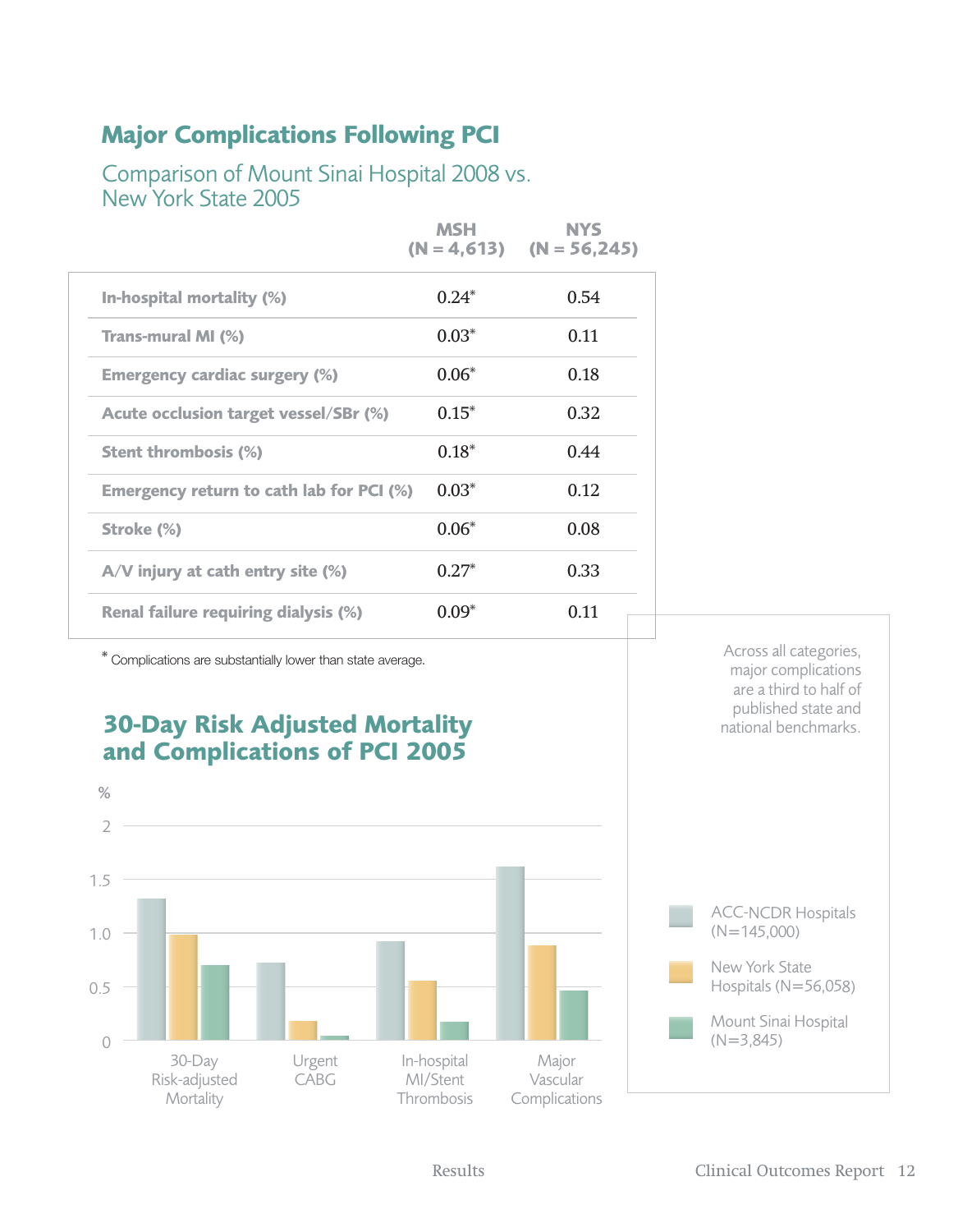# **Major Complications Following PCI**

### **Comparison of Mount Sinai Hospital 2008 vs. New York State 2005**

|                                          | MSH     | <b>NYS</b><br>$(N = 4, 613)$ $(N = 56, 245)$ |
|------------------------------------------|---------|----------------------------------------------|
| In-hospital mortality (%)                | $0.24*$ | 0.54                                         |
| Trans-mural MI (%)                       | $0.03*$ | 0.11                                         |
| <b>Emergency cardiac surgery (%)</b>     | $0.06*$ | 0.18                                         |
| Acute occlusion target vessel/SBr (%)    | $0.15*$ | 0.32                                         |
| <b>Stent thrombosis (%)</b>              | $0.18*$ | 0.44                                         |
| Emergency return to cath lab for PCI (%) | $0.03*$ | 0.12                                         |
| Stroke (%)                               | $0.06*$ | 0.08                                         |
| $A/V$ injury at cath entry site (%)      | $0.27*$ | 0.33                                         |
| Renal failure requiring dialysis (%)     | $0.09*$ | 0.11                                         |

\* Complications are substantially lower than state average.

# **30-Day Risk Adjusted Mortality and Complications of PCI 2005**



**Across all categories, major complications are a third to half of published state and national benchmarks.**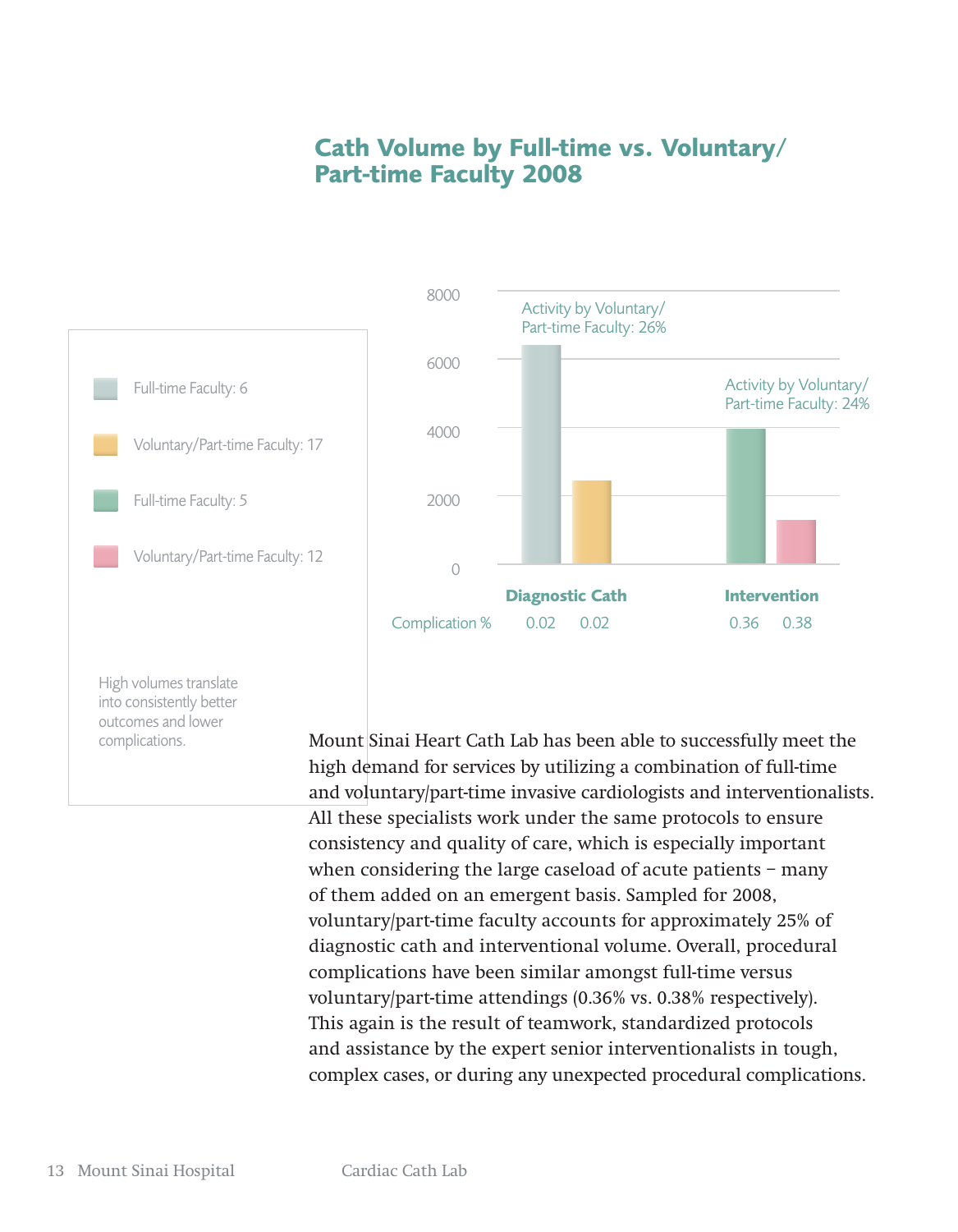# **Cath Volume by Full-time vs. Voluntary/ Part-time Faculty 2008**





Mount Sinai Heart Cath Lab has been able to successfully meet the high demand for services by utilizing a combination of full-time and voluntary/part-time invasive cardiologists and interventionalists. All these specialists work under the same protocols to ensure consistency and quality of care, which is especially important when considering the large caseload of acute patients – many of them added on an emergent basis. Sampled for 2008, voluntary/part-time faculty accounts for approximately 25% of diagnostic cath and interventional volume. Overall, procedural complications have been similar amongst full-time versus voluntary/part-time attendings (0.36% vs. 0.38% respectively). This again is the result of teamwork, standardized protocols and assistance by the expert senior interventionalists in tough, complex cases, or during any unexpected procedural complications.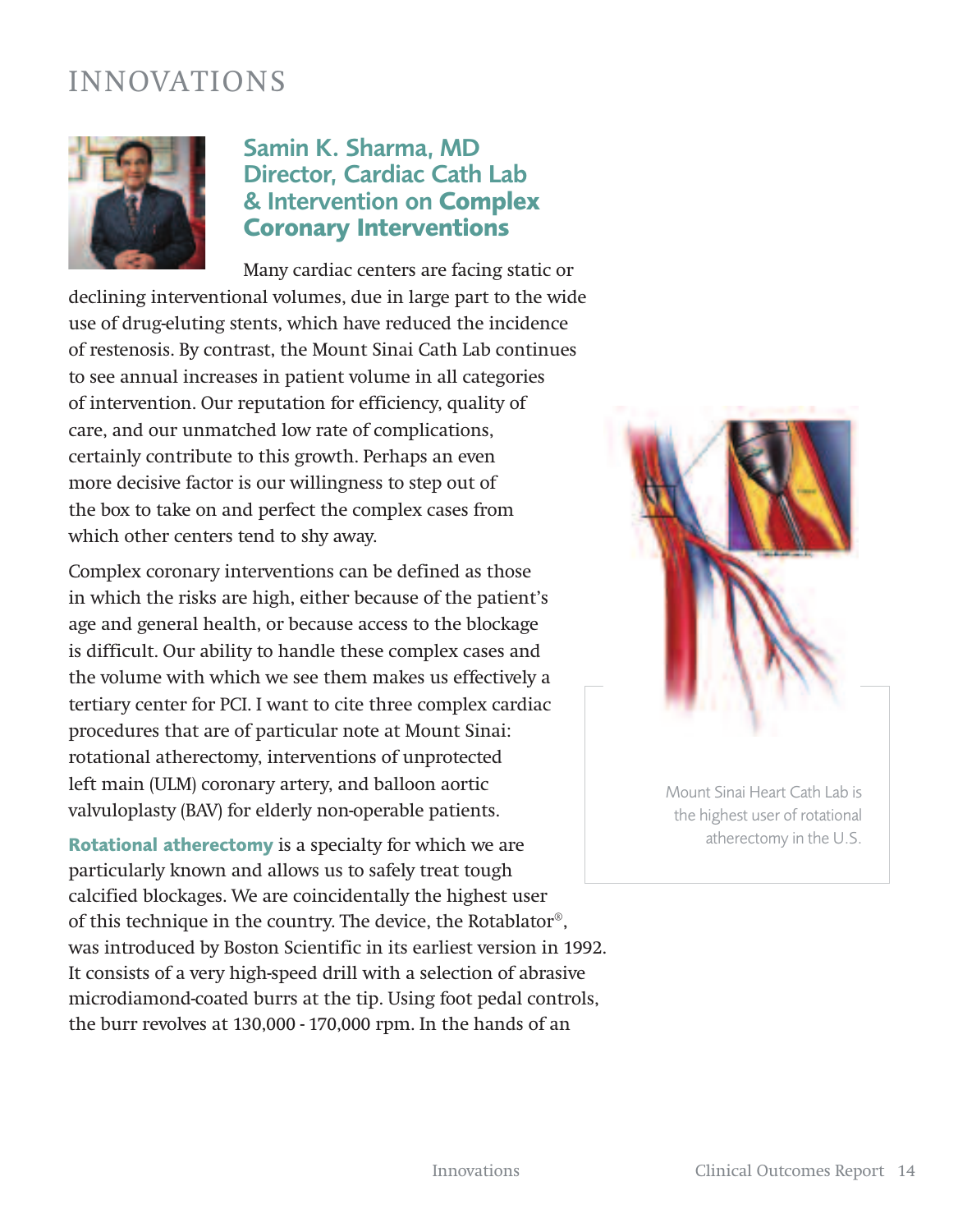# INNOVATIONS



# **Samin K. Sharma, MD Director, Cardiac Cath Lab & Intervention on Complex Coronary Interventions**

Many cardiac centers are facing static or declining interventional volumes, due in large part to the wide use of drug-eluting stents, which have reduced the incidence of restenosis. By contrast, the Mount Sinai Cath Lab continues to see annual increases in patient volume in all categories of intervention. Our reputation for efficiency, quality of care, and our unmatched low rate of complications, certainly contribute to this growth. Perhaps an even more decisive factor is our willingness to step out of the box to take on and perfect the complex cases from which other centers tend to shy away.

Complex coronary interventions can be defined as those in which the risks are high, either because of the patient's age and general health, or because access to the blockage is difficult. Our ability to handle these complex cases and the volume with which we see them makes us effectively a tertiary center for PCI. I want to cite three complex cardiac procedures that are of particular note at Mount Sinai: rotational atherectomy, interventions of unprotected left main (ULM) coronary artery, and balloon aortic valvuloplasty (BAV) for elderly non-operable patients.

**Rotational atherectomy** is a specialty for which we are particularly known and allows us to safely treat tough calcified blockages. We are coincidentally the highest user of this technique in the country. The device, the Rotablator®, was introduced by Boston Scientific in its earliest version in 1992. It consists of a very high-speed drill with a selection of abrasive microdiamond-coated burrs at the tip. Using foot pedal controls, the burr revolves at 130,000 - 170,000 rpm. In the hands of an

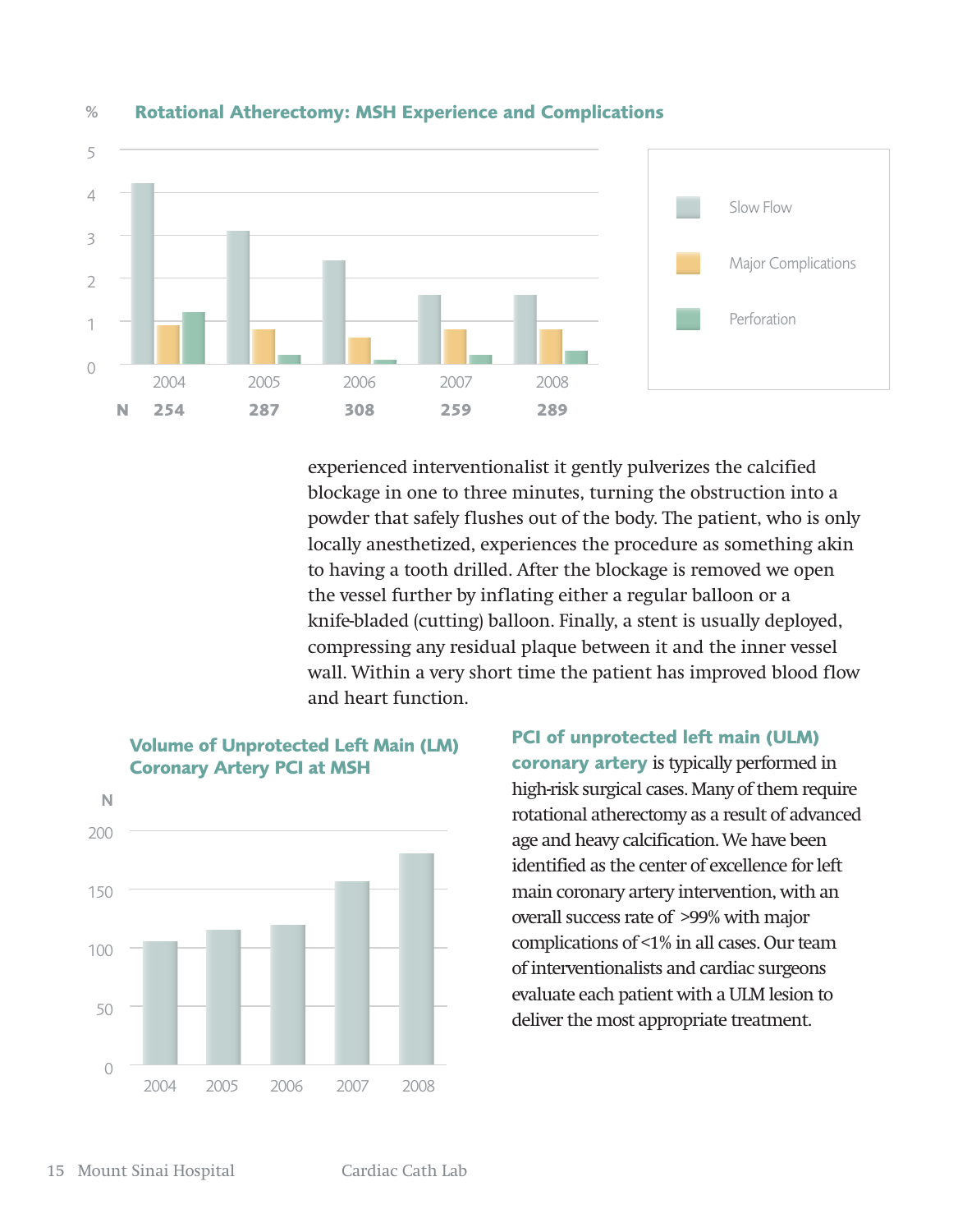

#### **Rotational Atherectomy: MSH Experience and Complications %**

experienced interventionalist it gently pulverizes the calcified blockage in one to three minutes, turning the obstruction into a powder that safely flushes out of the body. The patient, who is only locally anesthetized, experiences the procedure as something akin to having a tooth drilled. After the blockage is removed we open the vessel further by inflating either a regular balloon or a knife-bladed (cutting) balloon. Finally, a stent is usually deployed, compressing any residual plaque between it and the inner vessel wall. Within a very short time the patient has improved blood flow and heart function.



#### **Volume of Unprotected Left Main (LM) Coronary Artery PCI at MSH**

**PCI of unprotected left main (ULM) coronary artery** is typically performed in high-risk surgical cases. Many of them require rotational atherectomy as a result of advanced age and heavy calcification. We have been identified as the center of excellence for left main coronary artery intervention, with an overall success rate of >99% with major complications of <1% in all cases. Our team ofinterventionalists and cardiac surgeons evaluate each patient with a ULM lesion to deliver the most appropriate treatment.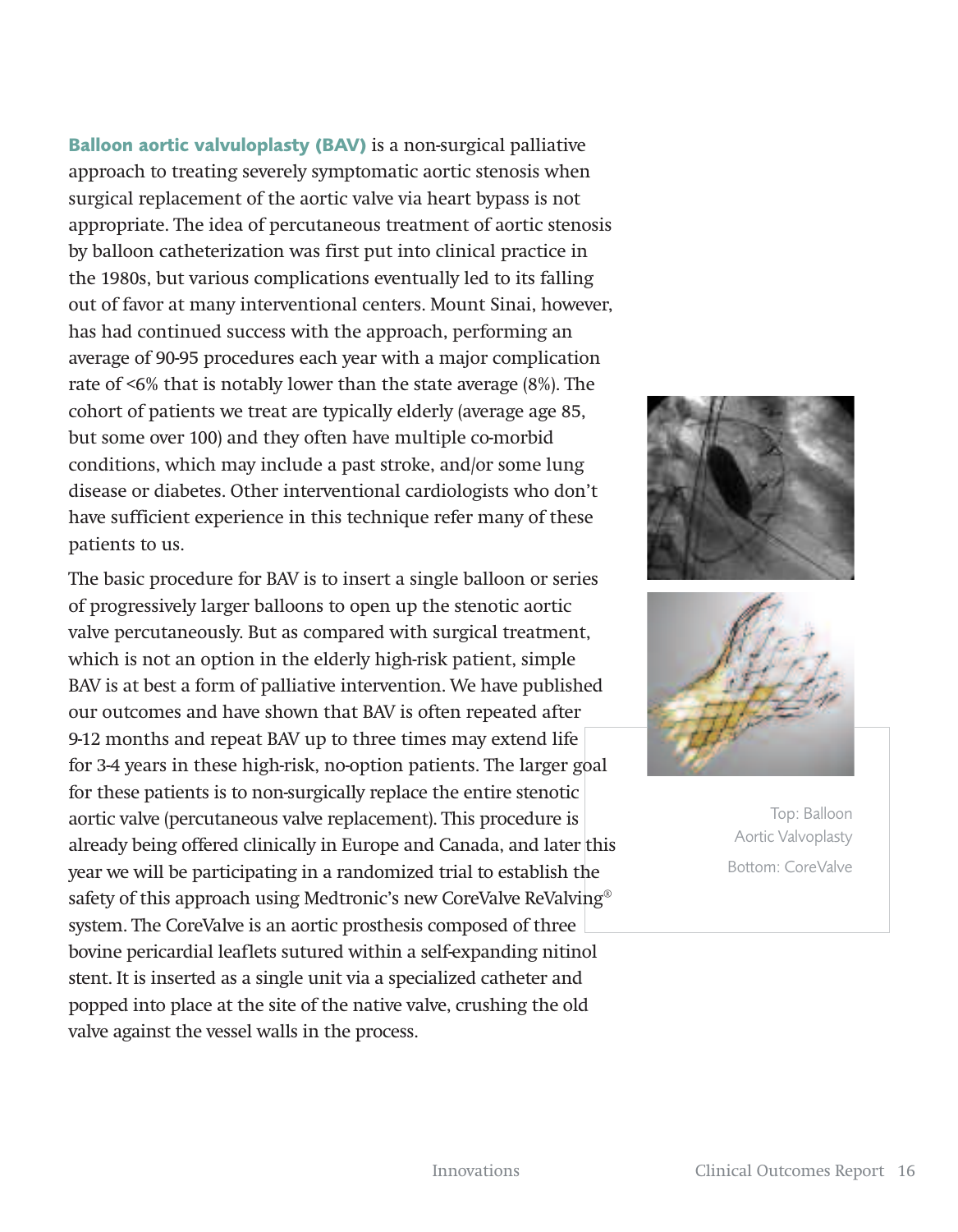**Balloon aortic valvuloplasty (BAV)** is a non-surgical palliative approach to treating severely symptomatic aortic stenosis when surgical replacement of the aortic valve via heart bypass is not appropriate. The idea of percutaneous treatment of aortic stenosis by balloon catheterization was first put into clinical practice in the 1980s, but various complications eventually led to its falling out of favor at many interventional centers. Mount Sinai, however, has had continued success with the approach, performing an average of 90-95 procedures each year with a major complication rate of <6% that is notably lower than the state average (8%). The cohort of patients we treat are typically elderly (average age 85, but some over 100) and they often have multiple co-morbid conditions, which may include a past stroke, and/or some lung disease or diabetes. Other interventional cardiologists who don't have sufficient experience in this technique refer many of these patients to us.

The basic procedure for BAV is to insert a single balloon or series of progressively larger balloons to open up the stenotic aortic valve percutaneously. But as compared with surgical treatment, which is not an option in the elderly high-risk patient, simple BAV is at best a form of palliative intervention. We have published our outcomes and have shown that BAV is often repeated after 9-12 months and repeat BAV up to three times may extend life for 3-4 years in these high-risk, no-option patients. The larger goal for these patients is to non-surgically replace the entire stenotic aortic valve (percutaneous valve replacement). This procedure is already being offered clinically in Europe and Canada, and later this year we will be participating in a randomized trial to establish the safety of this approach using Medtronic's new CoreValve ReValving<sup>®</sup> system. The CoreValve is an aortic prosthesis composed of three bovine pericardial leaflets sutured within a self-expanding nitinol stent. It is inserted as a single unit via a specialized catheter and popped into place at the site of the native valve, crushing the old valve against the vessel walls in the process.





**Top: Balloon Aortic Valvoplasty Bottom: CoreValve**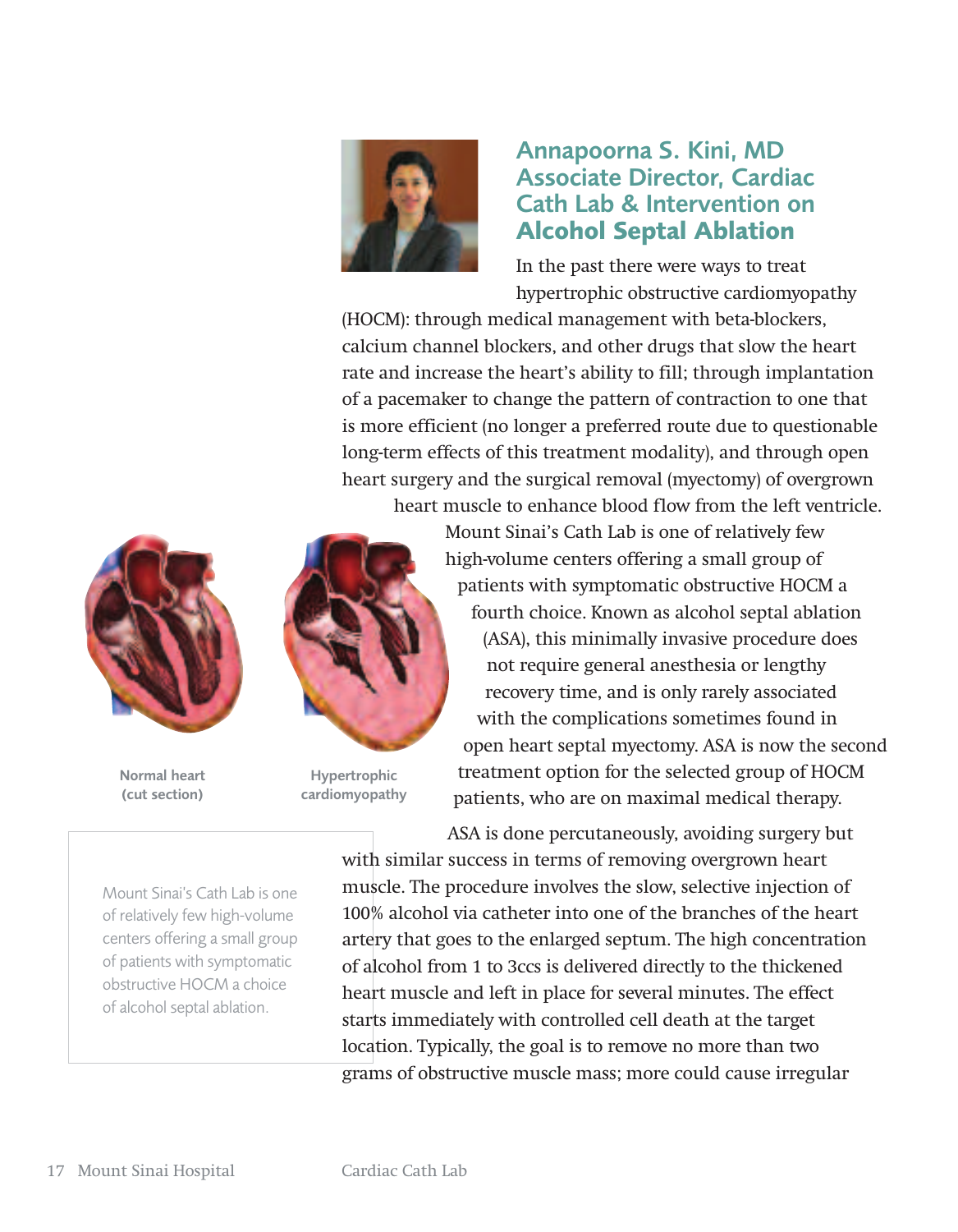

## **Annapoorna S. Kini, MD Associate Director, Cardiac Cath Lab & Intervention on Alcohol Septal Ablation**

In the past there were ways to treat hypertrophic obstructive cardiomyopathy

(HOCM): through medical management with beta-blockers, calcium channel blockers, and other drugs that slow the heart rate and increase the heart's ability to fill; through implantation of a pacemaker to change the pattern of contraction to one that is more efficient (no longer a preferred route due to questionable long-term effects of this treatment modality), and through open heart surgery and the surgical removal (myectomy) of overgrown





**Normal heart (cut section)**



**Hypertrophic cardiomyopathy**

Mount Sinai's Cath Lab is one of relatively few high-volume centers offering a small group of patients with symptomatic obstructive HOCM a fourth choice. Known as alcohol septal ablation (ASA), this minimally invasive procedure does not require general anesthesia or lengthy recovery time, and is only rarely associated with the complications sometimes found in open heart septal myectomy. ASA is now the second treatment option for the selected group of HOCM patients, who are on maximal medical therapy.

ASA is done percutaneously, avoiding surgery but

with similar success in terms of removing overgrown heart muscle. The procedure involves the slow, selective injection of 100% alcohol via catheter into one of the branches of the heart artery that goes to the enlarged septum. The high concentration of alcohol from 1 to 3ccs is delivered directly to the thickened heart muscle and left in place for several minutes. The effect starts immediately with controlled cell death at the target location. Typically, the goal is to remove no more than two grams of obstructive muscle mass; more could cause irregular

**Mount Sinai's Cath Lab is one of relatively few high-volume centers offering a small group of patients with symptomatic obstructive HOCM a choice of alcohol septal ablation.**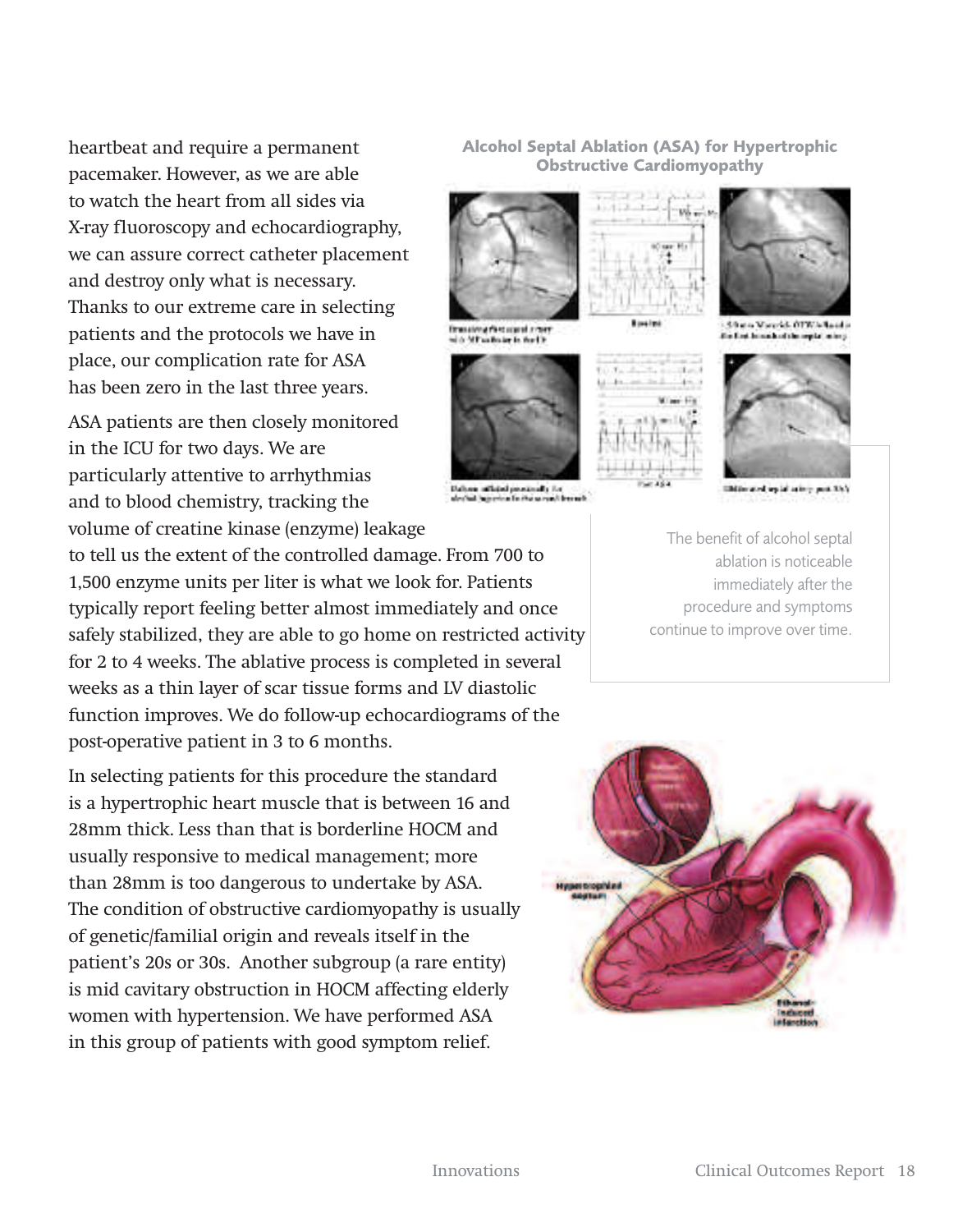heartbeat and require a permanent pacemaker. However, as we are able to watch the heart from all sides via X-ray fluoroscopy and echocardiography, we can assure correct catheter placement and destroy only what is necessary. Thanks to our extreme care in selecting patients and the protocols we have in place, our complication rate for ASA has been zero in the last three years.

ASA patients are then closely monitored in the ICU for two days. We are particularly attentive to arrhythmias and to blood chemistry, tracking the volume of creatine kinase (enzyme) leakage

to tell us the extent of the controlled damage. From 700 to 1,500 enzyme units per liter is what we look for. Patients typically report feeling better almost immediately and once safely stabilized, they are able to go home on restricted activity for 2 to 4 weeks. The ablative process is completed in several weeks as a thin layer of scar tissue forms and LV diastolic function improves. We do follow-up echocardiograms of the post-operative patient in 3 to 6 months.

In selecting patients for this procedure the standard is a hypertrophic heart muscle that is between 16 and 28mm thick. Less than that is borderline HOCM and usually responsive to medical management; more than 28mm is too dangerous to undertake by ASA. The condition of obstructive cardiomyopathy is usually of genetic/familial origin and reveals itself in the patient's 20s or 30s. Another subgroup (a rare entity) is mid cavitary obstruction in HOCM affecting elderly women with hypertension. We have performed ASA in this group of patients with good symptom relief.

#### **Alcohol Septal Ablation (ASA) for Hypertrophic Obstructive Cardiomyopathy**







Dalton athéné pousinnély for<br>desiné jugarina factor a rand transité



Shew Vac 45 (PK) cloud **Collectionshottle opinion** 



**Eldio and up id adopt put Shit** 

**The benefit of alcohol septal ablation is noticeable immediately after the procedure and symptoms continue to improve over time.**

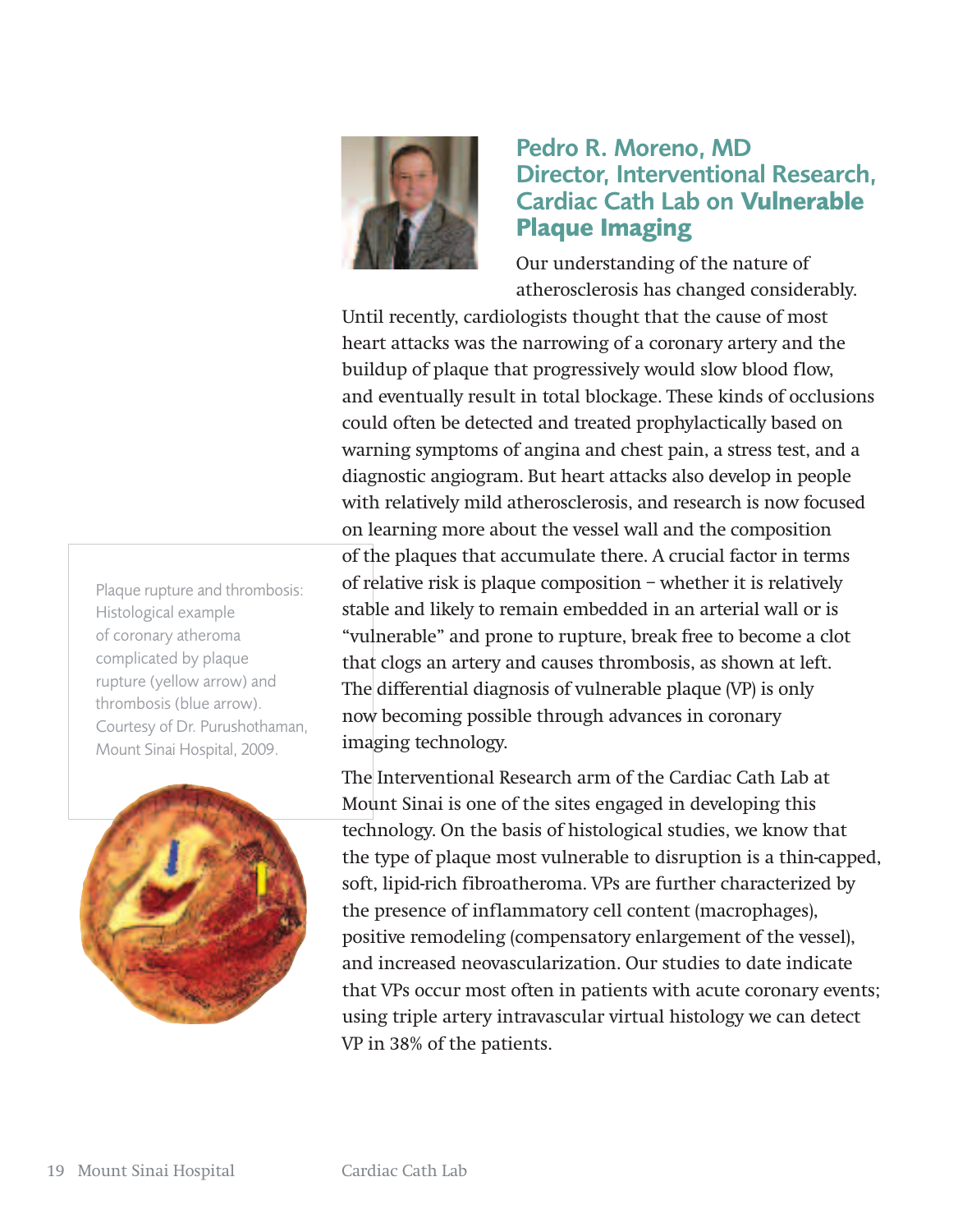

## **Pedro R. Moreno, MD Director, Interventional Research, Cardiac Cath Lab on Vulnerable Plaque Imaging**

Our understanding of the nature of atherosclerosis has changed considerably.

Until recently, cardiologists thought that the cause of most heart attacks was the narrowing of a coronary artery and the buildup of plaque that progressively would slow blood flow, and eventually result in total blockage. These kinds of occlusions could often be detected and treated prophylactically based on warning symptoms of angina and chest pain, a stress test, and a diagnostic angiogram. But heart attacks also develop in people with relatively mild atherosclerosis, and research is now focused on learning more about the vessel wall and the composition of the plaques that accumulate there. A crucial factor in terms of relative risk is plaque composition – whether it is relatively stable and likely to remain embedded in an arterial wall or is "vulnerable" and prone to rupture, break free to become a clot that clogs an artery and causes thrombosis, as shown at left. The differential diagnosis of vulnerable plaque (VP) is only now becoming possible through advances in coronary imaging technology.

The Interventional Research arm of the Cardiac Cath Lab at Mount Sinai is one of the sites engaged in developing this technology. On the basis of histological studies, we know that the type of plaque most vulnerable to disruption is a thin-capped, soft, lipid-rich fibroatheroma. VPs are further characterized by the presence of inflammatory cell content (macrophages), positive remodeling (compensatory enlargement of the vessel), and increased neovascularization. Our studies to date indicate that VPs occur most often in patients with acute coronary events; using triple artery intravascular virtual histology we can detect VP in 38% of the patients.

**Plaque rupture and thrombosis: Histological example of coronary atheroma complicated by plaque rupture (yellow arrow) and thrombosis (blue arrow). Courtesy of Dr. Purushothaman, Mount Sinai Hospital, 2009.**

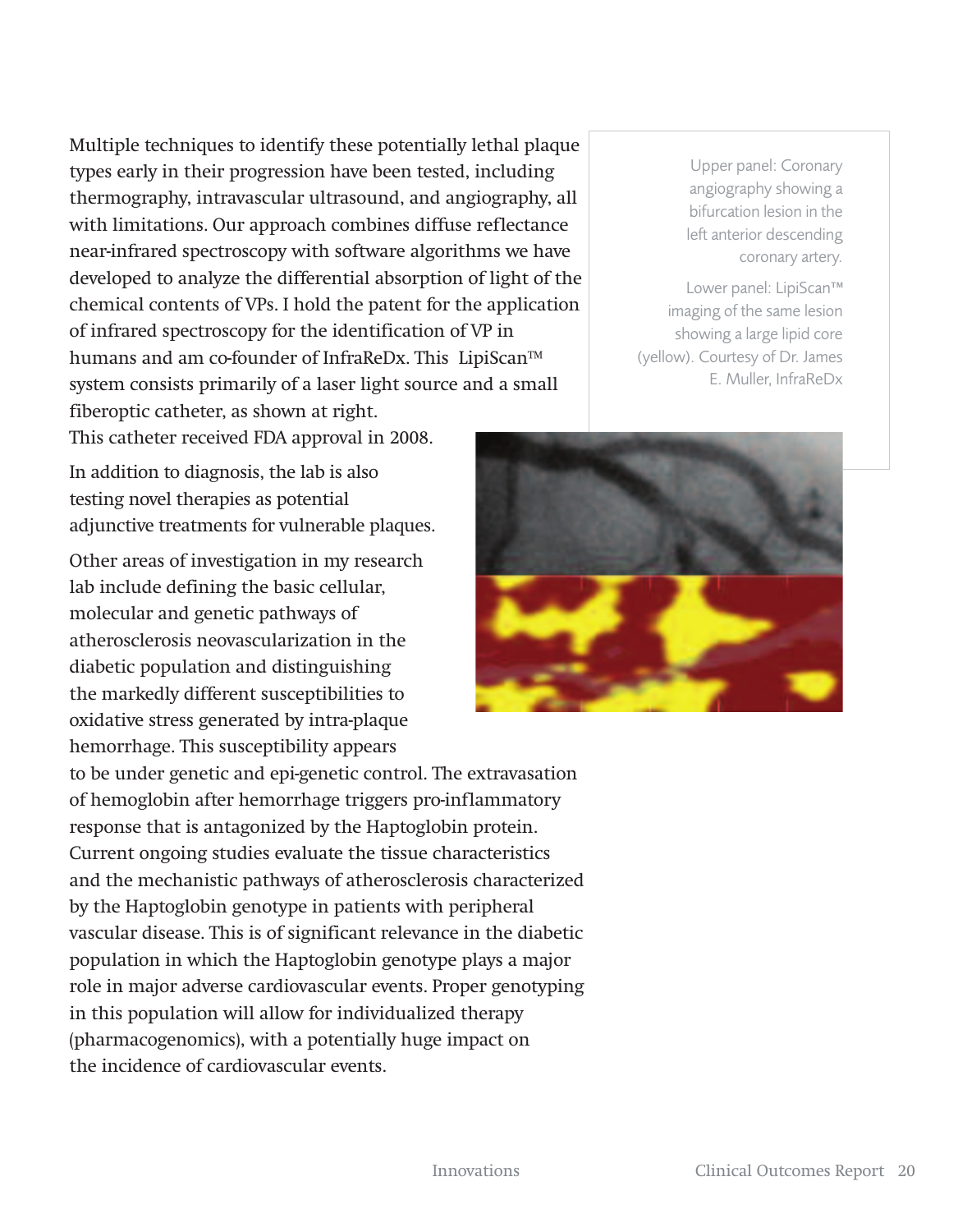Multiple techniques to identify these potentially lethal plaque types early in their progression have been tested, including thermography, intravascular ultrasound, and angiography, all with limitations. Our approach combines diffuse reflectance near-infrared spectroscopy with software algorithms we have developed to analyze the differential absorption of light of the chemical contents of VPs. I hold the patent for the application of infrared spectroscopy for the identification of VP in humans and am co-founder of InfraReDx. This LipiScan™ system consists primarily of a laser light source and a small fiberoptic catheter, as shown at right.

This catheter received FDA approval in 2008.

In addition to diagnosis, the lab is also testing novel therapies as potential adjunctive treatments for vulnerable plaques.

Other areas of investigation in my research lab include defining the basic cellular, molecular and genetic pathways of atherosclerosis neovascularization in the diabetic population and distinguishing the markedly different susceptibilities to oxidative stress generated by intra-plaque hemorrhage. This susceptibility appears

to be under genetic and epi-genetic control. The extravasation of hemoglobin after hemorrhage triggers pro-inflammatory response that is antagonized by the Haptoglobin protein. Current ongoing studies evaluate the tissue characteristics and the mechanistic pathways of atherosclerosis characterized by the Haptoglobin genotype in patients with peripheral vascular disease. This is of significant relevance in the diabetic population in which the Haptoglobin genotype plays a major role in major adverse cardiovascular events. Proper genotyping in this population will allow for individualized therapy (pharmacogenomics), with a potentially huge impact on the incidence of cardiovascular events.

**Upper panel: Coronary angiography showing a bifurcation lesion in the left anterior descending coronary artery.**

**Lower panel: LipiScan**™ **imaging of the same lesion showing a large lipid core (yellow). Courtesy of Dr. James E. Muller, InfraReDx**

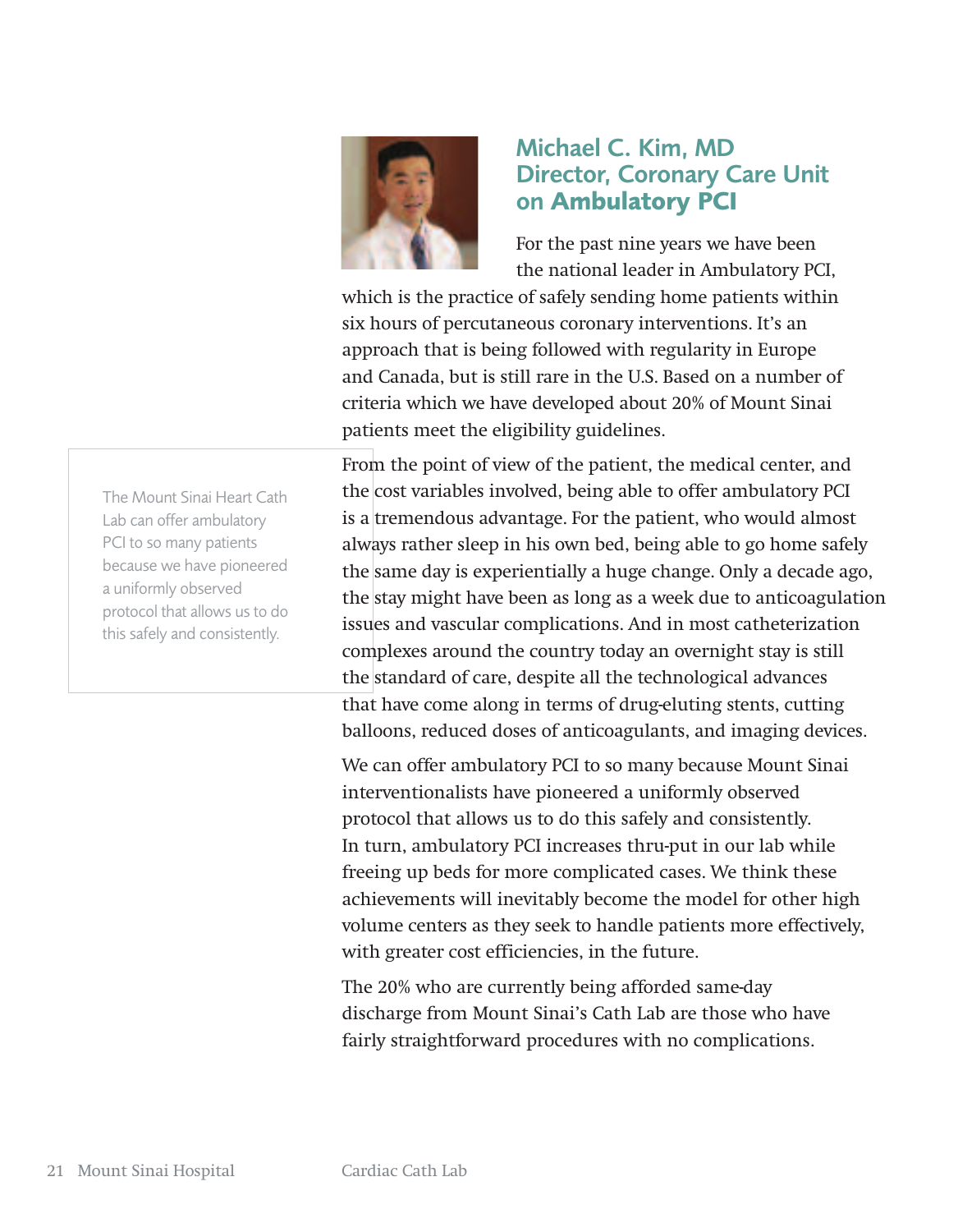

## **Michael C. Kim, MD Director, Coronary Care Unit on Ambulatory PCI**

For the past nine years we have been the national leader in Ambulatory PCI,

which is the practice of safely sending home patients within six hours of percutaneous coronary interventions. It's an approach that is being followed with regularity in Europe and Canada, but is still rare in the U.S. Based on a number of criteria which we have developed about 20% of Mount Sinai patients meet the eligibility guidelines.

From the point of view of the patient, the medical center, and the cost variables involved, being able to offer ambulatory PCI is a tremendous advantage. For the patient, who would almost always rather sleep in his own bed, being able to go home safely the same day is experientially a huge change. Only a decade ago, the stay might have been as long as a week due to anticoagulation issues and vascular complications. And in most catheterization complexes around the country today an overnight stay is still the standard of care, despite all the technological advances that have come along in terms of drug-eluting stents, cutting balloons, reduced doses of anticoagulants, and imaging devices.

We can offer ambulatory PCI to so many because Mount Sinai interventionalists have pioneered a uniformly observed protocol that allows us to do this safely and consistently. In turn, ambulatory PCI increases thru-put in our lab while freeing up beds for more complicated cases. We think these achievements will inevitably become the model for other high volume centers as they seek to handle patients more effectively, with greater cost efficiencies, in the future.

The 20% who are currently being afforded same-day discharge from Mount Sinai's Cath Lab are those who have fairly straightforward procedures with no complications.

**The Mount Sinai Heart Cath Lab can offer ambulatory PCI to so many patients because we have pioneered a uniformly observed protocol that allows us to do this safely and consistently.**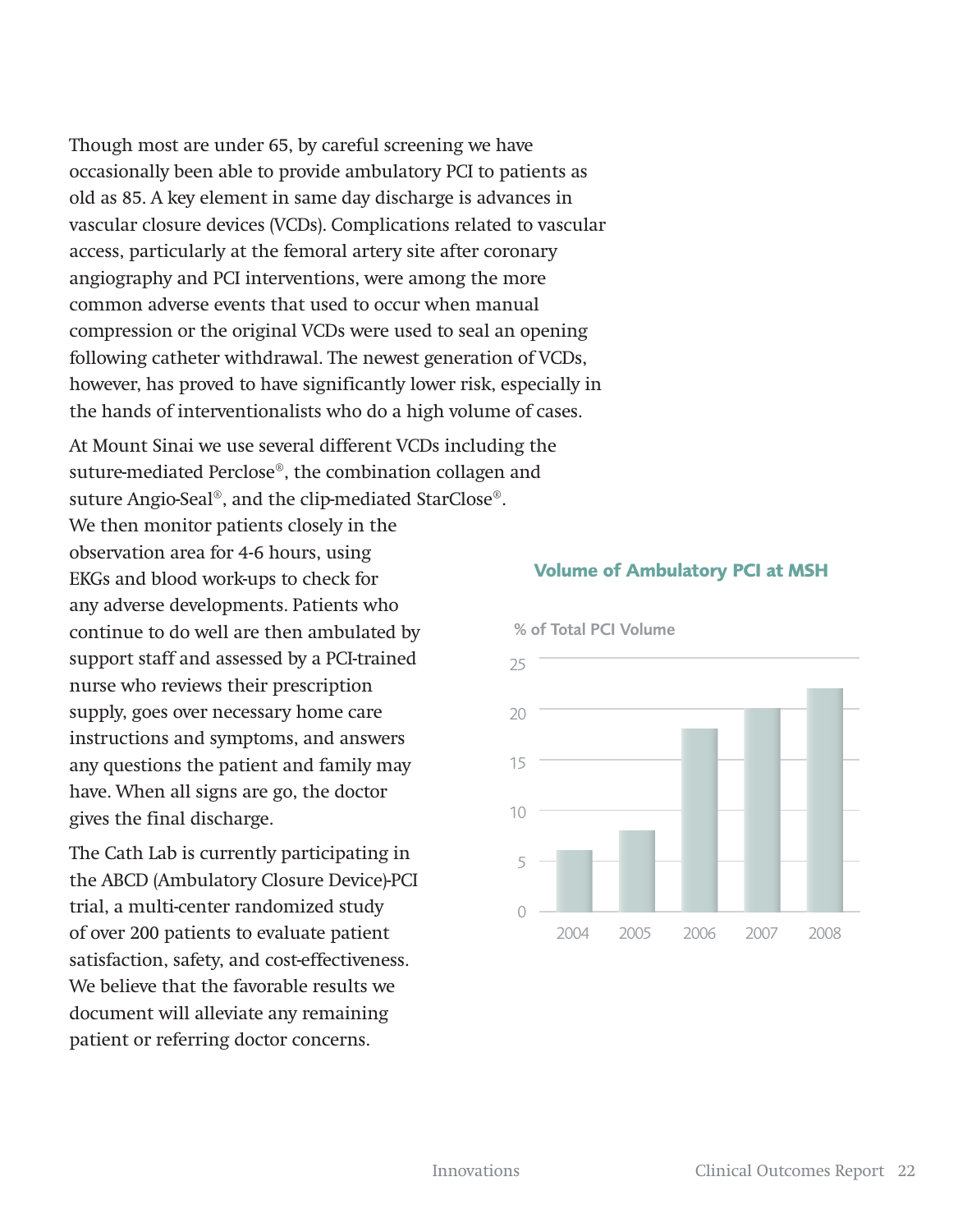Though most are under 65, by careful screening we have occasionally been able to provide ambulatory PCI to patients as old as 85. A key element in same day discharge is advances in vascular closure devices (VCDs). Complications related to vascular access, particularly at the femoral artery site after coronary angiography and PCI interventions, were among the more common adverse events that used to occur when manual compression or the original VCDs were used to seal an opening following catheter withdrawal. The newest generation of VCDs, however, has proved to have significantly lower risk, especially in the hands of interventionalists who do a high volume of cases.

At Mount Sinai we use several different VCDs including the suture-mediated Perclose®, the combination collagen and suture Angio-Seal®, and the clip-mediated StarClose®. We then monitor patients closely in the observation area for 4-6 hours, using EKGs and blood work-ups to check for any adverse developments. Patients who continue to do well are then ambulated by support staff and assessed by a PCI-trained nurse who reviews their prescription supply, goes over necessary home care instructions and symptoms, and answers any questions the patient and family may have. When all signs are go, the doctor gives the final discharge.

The Cath Lab is currently participating in the ABCD (Ambulatory Closure Device)-PCI trial, a multi-center randomized study of over 200 patients to evaluate patient satisfaction, safety, and cost-effectiveness. We believe that the favorable results we document will alleviate any remaining patient or referring doctor concerns.



#### **Volume of Ambulatory PCI at MSH**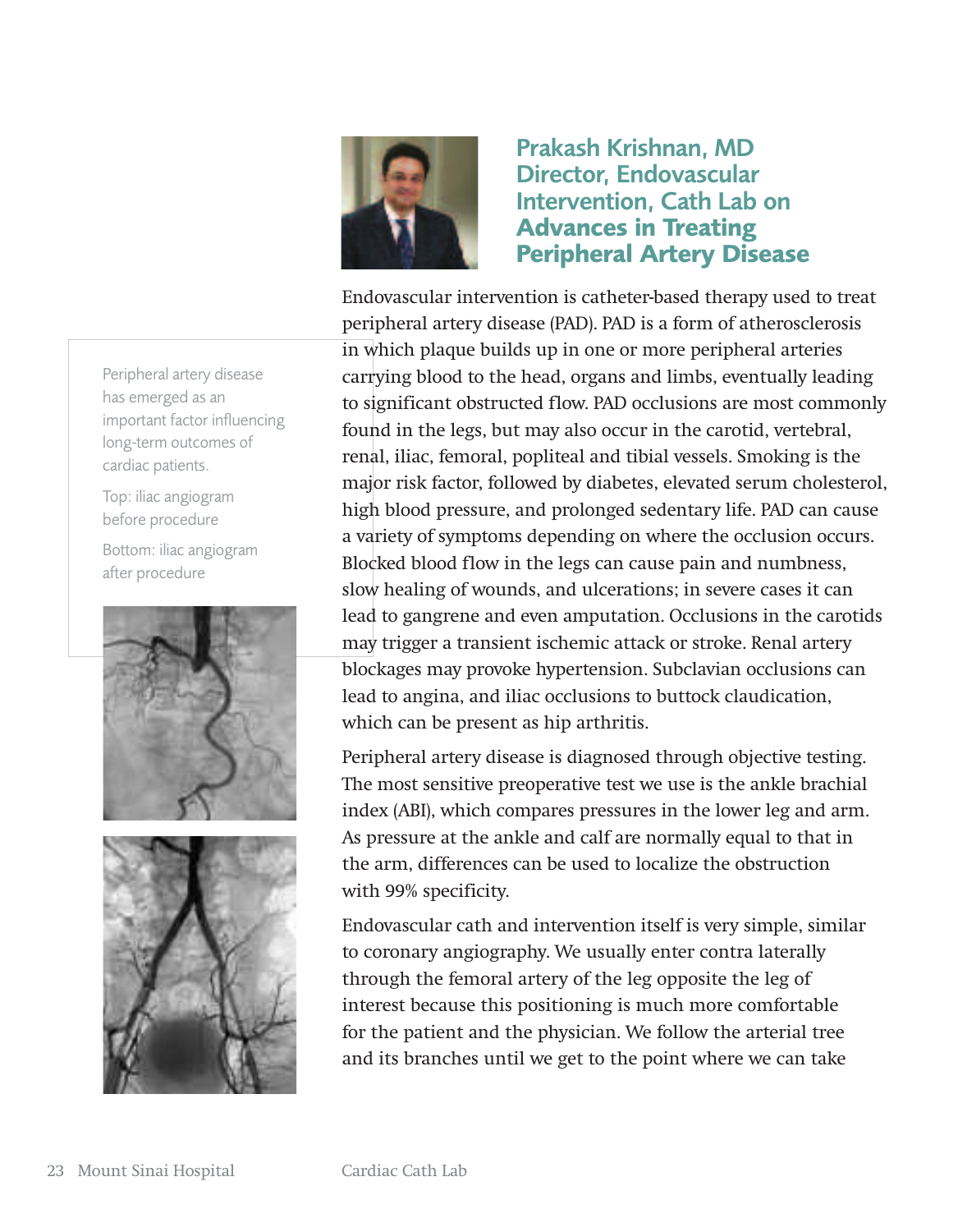

**Prakash Krishnan, MD Director, Endovascular Intervention, Cath Lab on Advances in Treating Peripheral Artery Disease**

Endovascular intervention is catheter-based therapy used to treat peripheral artery disease (PAD). PAD is a form of atherosclerosis in which plaque builds up in one or more peripheral arteries carrying blood to the head, organs and limbs, eventually leading to significant obstructed flow. PAD occlusions are most commonly found in the legs, but may also occur in the carotid, vertebral, renal, iliac, femoral, popliteal and tibial vessels. Smoking is the major risk factor, followed by diabetes, elevated serum cholesterol, high blood pressure, and prolonged sedentary life. PAD can cause a variety of symptoms depending on where the occlusion occurs. Blocked blood flow in the legs can cause pain and numbness, slow healing of wounds, and ulcerations; in severe cases it can lead to gangrene and even amputation. Occlusions in the carotids may trigger a transient ischemic attack or stroke. Renal artery blockages may provoke hypertension. Subclavian occlusions can lead to angina, and iliac occlusions to buttock claudication, which can be present as hip arthritis.

Peripheral artery disease is diagnosed through objective testing. The most sensitive preoperative test we use is the ankle brachial index (ABI), which compares pressures in the lower leg and arm. As pressure at the ankle and calf are normally equal to that in the arm, differences can be used to localize the obstruction with 99% specificity.

Endovascular cath and intervention itself is very simple, similar to coronary angiography. We usually enter contra laterally through the femoral artery of the leg opposite the leg of interest because this positioning is much more comfortable for the patient and the physician. We follow the arterial tree and its branches until we get to the point where we can take

**Peripheral artery disease has emerged as an important factor influencing long-term outcomes of cardiac patients.**

**Top: iliac angiogram before procedure**

**Bottom: iliac angiogram after procedure**



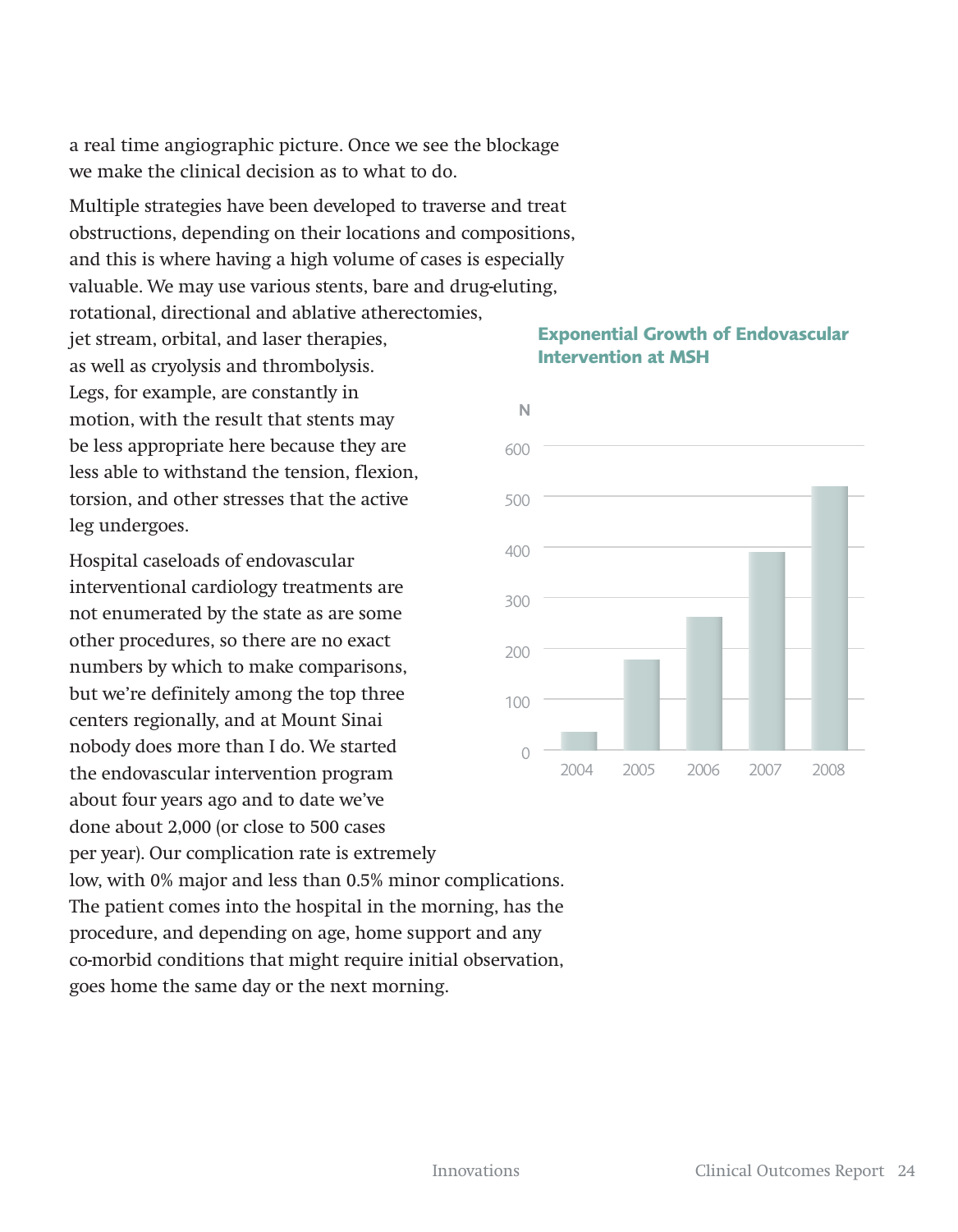a real time angiographic picture. Once we see the blockage we make the clinical decision as to what to do.

Multiple strategies have been developed to traverse and treat obstructions, depending on their locations and compositions, and this is where having a high volume of cases is especially valuable. We may use various stents, bare and drug-eluting,

rotational, directional and ablative atherectomies, jet stream, orbital, and laser therapies, as well as cryolysis and thrombolysis. Legs, for example, are constantly in motion, with the result that stents may be less appropriate here because they are less able to withstand the tension, flexion, torsion, and other stresses that the active leg undergoes.

Hospital caseloads of endovascular interventional cardiology treatments are not enumerated by the state as are some other procedures, so there are no exact numbers by which to make comparisons, but we're definitely among the top three centers regionally, and at Mount Sinai nobody does more than I do. We started the endovascular intervention program about four years ago and to date we've done about 2,000 (or close to 500 cases per year). Our complication rate is extremely low, with 0% major and less than 0.5% minor complications. The patient comes into the hospital in the morning, has the procedure, and depending on age, home support and any co-morbid conditions that might require initial observation,

goes home the same day or the next morning.

#### **Exponential Growth of Endovascular Intervention at MSH**

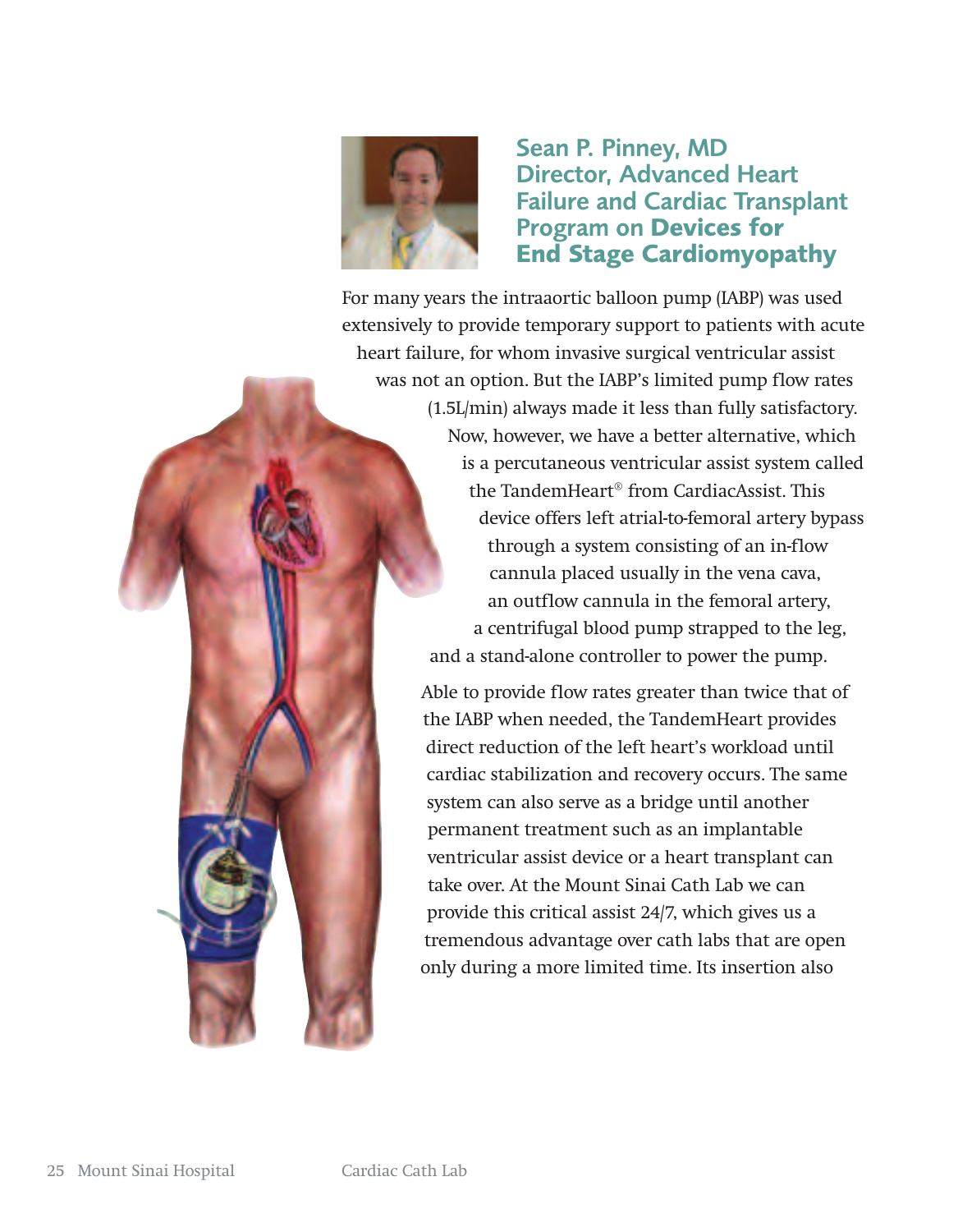

**Sean P. Pinney, MD Director, Advanced Heart Failure and Cardiac Transplant Program on Devices for End Stage Cardiomyopathy**

For many years the intraaortic balloon pump (IABP) was used extensively to provide temporary support to patients with acute heart failure, for whom invasive surgical ventricular assist was not an option. But the IABP's limited pump flow rates (1.5L/min) always made it less than fully satisfactory. Now, however, we have a better alternative, which is a percutaneous ventricular assist system called the TandemHeart® from CardiacAssist. This device offers left atrial-to-femoral artery bypass through a system consisting of an in-flow cannula placed usually in the vena cava, an outflow cannula in the femoral artery, a centrifugal blood pump strapped to the leg, and a stand-alone controller to power the pump.

> Able to provide flow rates greater than twice that of the IABP when needed, the TandemHeart provides direct reduction of the left heart's workload until cardiac stabilization and recovery occurs. The same system can also serve as a bridge until another permanent treatment such as an implantable ventricular assist device or a heart transplant can take over. At the Mount Sinai Cath Lab we can provide this critical assist 24/7, which gives us a tremendous advantage over cath labs that are open only during a more limited time. Its insertion also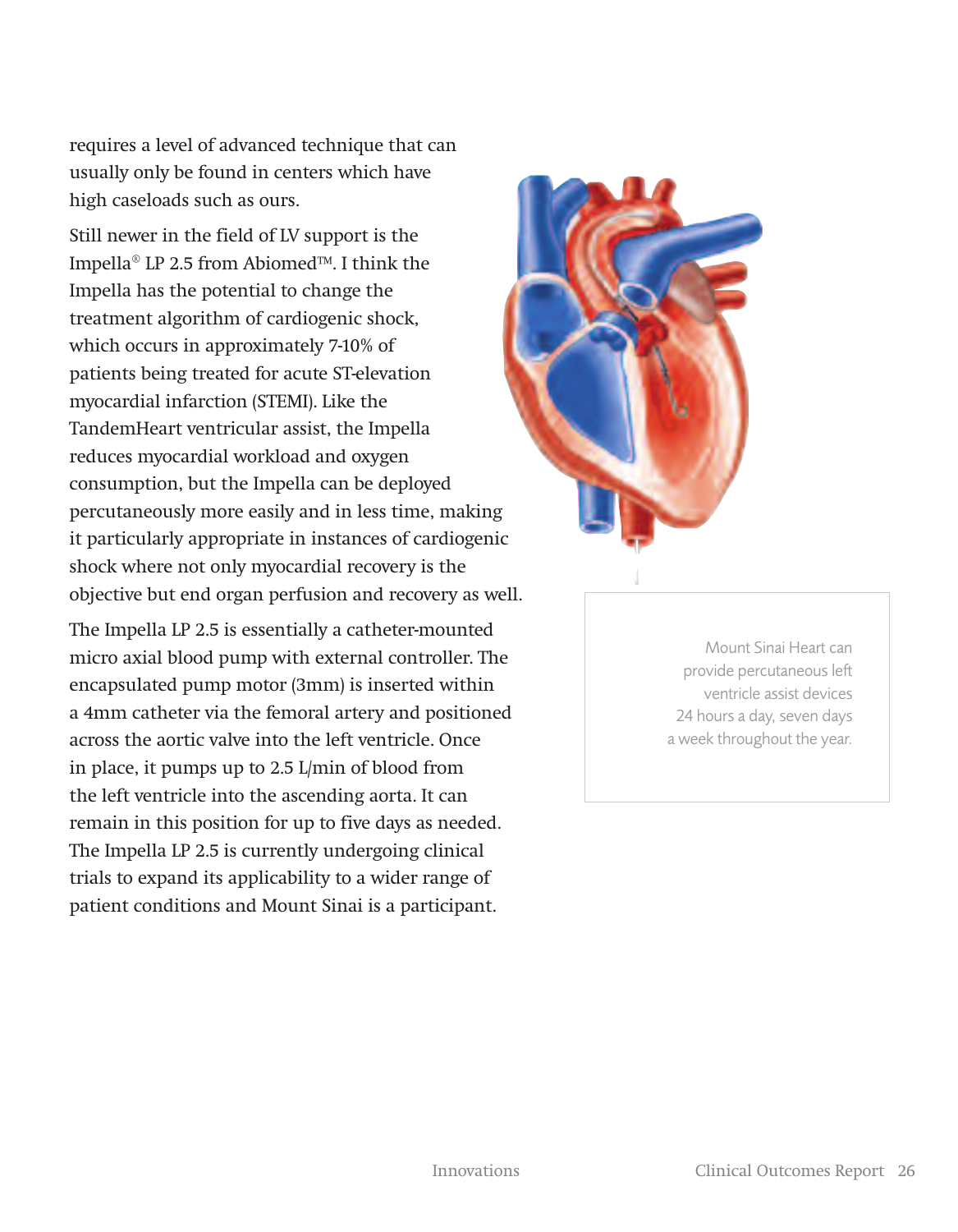requires a level of advanced technique that can usually only be found in centers which have high caseloads such as ours.

Still newer in the field of LV support is the Impella® LP 2.5 from Abiomed™. I think the Impella has the potential to change the treatment algorithm of cardiogenic shock, which occurs in approximately 7-10% of patients being treated for acute ST-elevation myocardial infarction (STEMI). Like the TandemHeart ventricular assist, the Impella reduces myocardial workload and oxygen consumption, but the Impella can be deployed percutaneously more easily and in less time, making it particularly appropriate in instances of cardiogenic shock where not only myocardial recovery is the objective but end organ perfusion and recovery as well.

The Impella LP 2.5 is essentially a catheter-mounted micro axial blood pump with external controller. The encapsulated pump motor (3mm) is inserted within a 4mm catheter via the femoral artery and positioned across the aortic valve into the left ventricle. Once in place, it pumps up to 2.5 L/min of blood from the left ventricle into the ascending aorta. It can remain in this position for up to five days as needed. The Impella LP 2.5 is currently undergoing clinical trials to expand its applicability to a wider range of patient conditions and Mount Sinai is a participant.



**Mount Sinai Heart can provide percutaneous left ventricle assist devices 24 hours a day, seven days a week throughout the year.**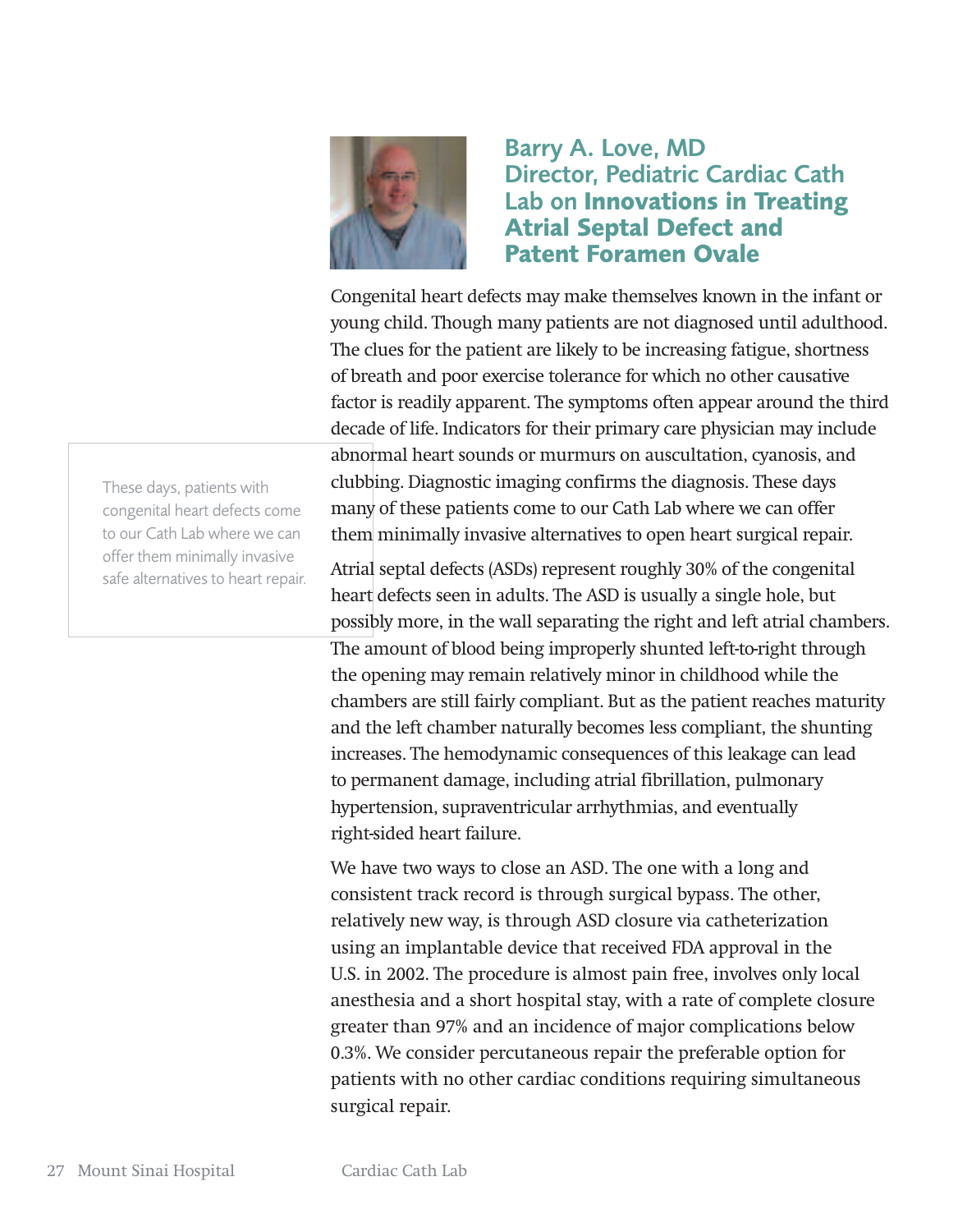

**Barry A. Love, MD Director, Pediatric Cardiac Cath Lab on Innovations in Treating Atrial Septal Defect and Patent Foramen Ovale**

Congenital heart defects may make themselves known in the infant or young child. Though many patients are not diagnosed until adulthood. The clues for the patient are likely to be increasing fatigue, shortness of breath and poor exercise tolerance for which no other causative factor is readily apparent. The symptoms often appear around the third decade of life. Indicators for their primary care physician may include abnormal heart sounds or murmurs on auscultation, cyanosis, and clubbing. Diagnostic imaging confirms the diagnosis. These days many of these patients come to our Cath Lab where we can offer them minimally invasive alternatives to open heart surgical repair.

Atrial septal defects (ASDs) represent roughly 30% of the congenital heart defects seen in adults. The ASD is usually a single hole, but possibly more, in the wall separating the right and left atrial chambers. The amount of blood being improperly shunted left-to-right through the opening may remain relatively minor in childhood while the chambers are still fairly compliant. But as the patient reaches maturity and the left chamber naturally becomes less compliant, the shunting increases. The hemodynamic consequences of this leakage can lead to permanent damage, including atrial fibrillation, pulmonary hypertension, supraventricular arrhythmias, and eventually right-sided heart failure.

We have two ways to close an ASD. The one with a long and consistent track record is through surgical bypass. The other, relatively new way, is through ASD closure via catheterization using an implantable device that received FDA approval in the U.S. in 2002. The procedure is almost pain free, involves only local anesthesia and a short hospital stay, with a rate of complete closure greater than 97% and an incidence of major complications below 0.3%. We consider percutaneous repair the preferable option for patients with no other cardiac conditions requiring simultaneous surgical repair.

**These days, patients with congenital heart defects come to our Cath Lab where we can offer them minimally invasive safe alternatives to heart repair.**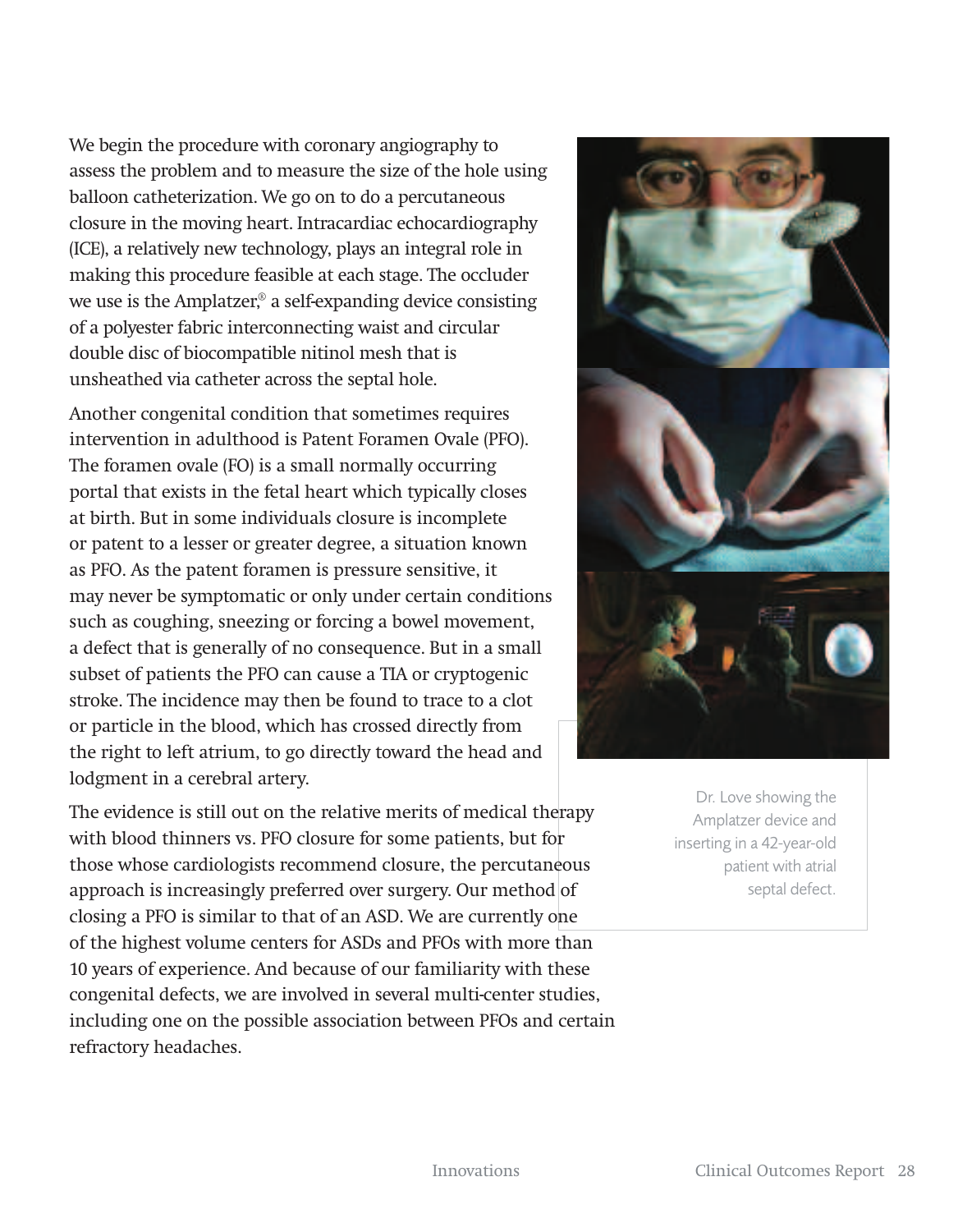We begin the procedure with coronary angiography to assess the problem and to measure the size of the hole using balloon catheterization. We go on to do a percutaneous closure in the moving heart. Intracardiac echocardiography (ICE), a relatively new technology, plays an integral role in making this procedure feasible at each stage. The occluder we use is the Amplatzer,® a self-expanding device consisting of a polyester fabric interconnecting waist and circular double disc of biocompatible nitinol mesh that is unsheathed via catheter across the septal hole.

Another congenital condition that sometimes requires intervention in adulthood is Patent Foramen Ovale (PFO). The foramen ovale (FO) is a small normally occurring portal that exists in the fetal heart which typically closes at birth. But in some individuals closure is incomplete or patent to a lesser or greater degree, a situation known as PFO. As the patent foramen is pressure sensitive, it may never be symptomatic or only under certain conditions such as coughing, sneezing or forcing a bowel movement, a defect that is generally of no consequence. But in a small subset of patients the PFO can cause a TIA or cryptogenic stroke. The incidence may then be found to trace to a clot or particle in the blood, which has crossed directly from the right to left atrium, to go directly toward the head and lodgment in a cerebral artery.

The evidence is still out on the relative merits of medical therapy with blood thinners vs. PFO closure for some patients, but for those whose cardiologists recommend closure, the percutaneous approach is increasingly preferred over surgery. Our method of closing a PFO is similar to that of an ASD. We are currently one of the highest volume centers for ASDs and PFOs with more than 10 years of experience. And because of our familiarity with these congenital defects, we are involved in several multi-center studies, including one on the possible association between PFOs and certain refractory headaches.



**Dr. Love showing the Amplatzer device and inserting in a 42-year-old patient with atrial septal defect.**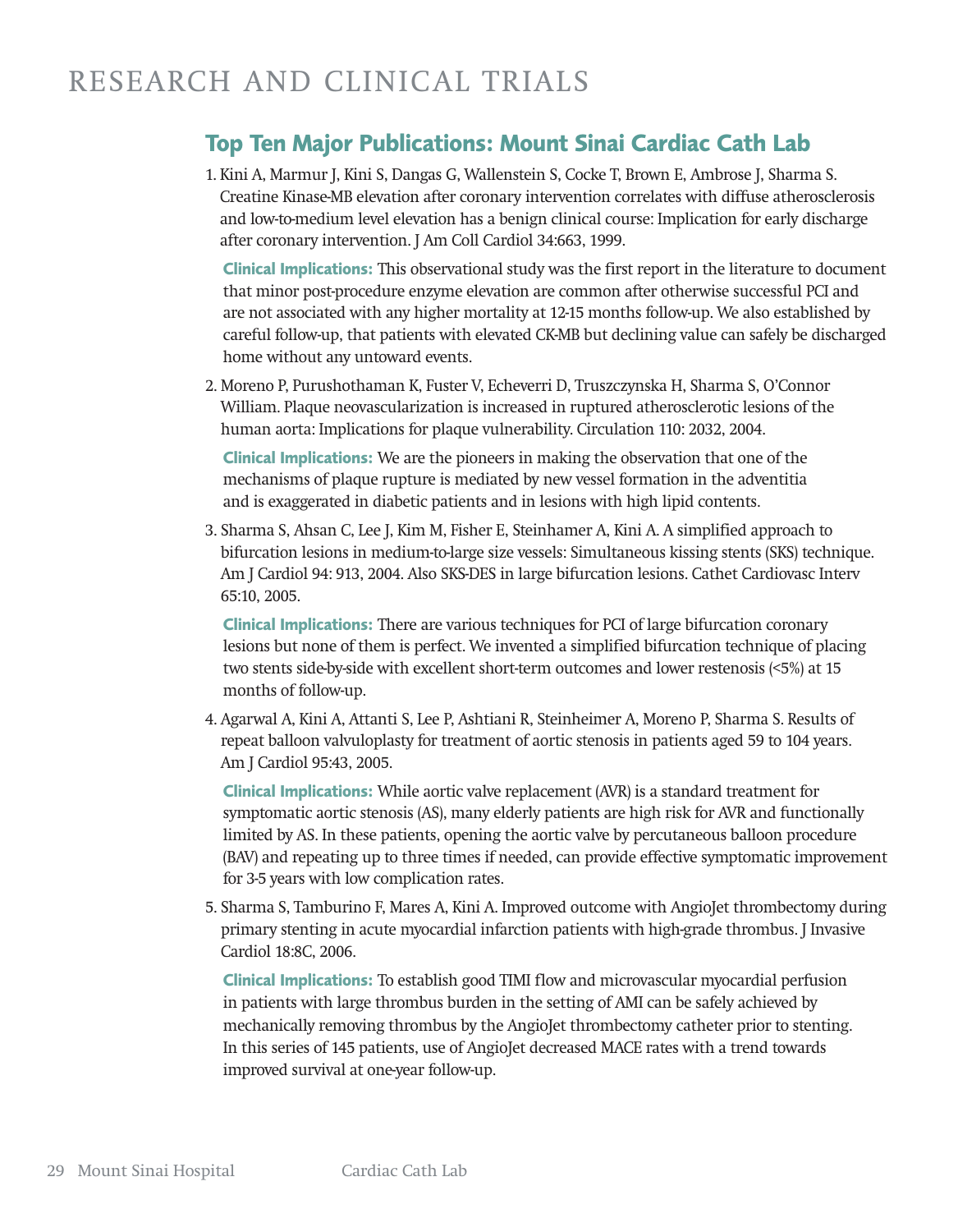# RESEARCH AND CLINICAL TRIALS

## **Top Ten Major Publications: Mount Sinai Cardiac Cath Lab**

1. Kini A, Marmur J, Kini S, Dangas G, Wallenstein S, Cocke T, Brown E, Ambrose J, Sharma S. Creatine Kinase-MB elevation after coronary intervention correlates with diffuse atherosclerosis and low-to-medium level elevation has a benign clinical course: Implication for early discharge after coronary intervention. J Am Coll Cardiol 34:663, 1999.

**Clinical Implications:** This observational study was the first report in the literature to document that minor post-procedure enzyme elevation are common after otherwise successful PCI and are not associated with any higher mortality at 12-15 months follow-up. We also established by careful follow-up, that patients with elevated CK-MB but declining value can safely be discharged home without any untoward events.

2. Moreno P, Purushothaman K, Fuster V, Echeverri D, Truszczynska H, Sharma S, O'Connor William. Plaque neovascularization is increased in ruptured atherosclerotic lesions of the human aorta: Implications for plaque vulnerability. Circulation 110: 2032, 2004.

**Clinical Implications:** We are the pioneers in making the observation that one of the mechanisms of plaque rupture is mediated by new vessel formation in the adventitia and is exaggerated in diabetic patients and in lesions with high lipid contents.

3. Sharma S, Ahsan C, Lee J, Kim M, Fisher E, Steinhamer A, Kini A. A simplified approach to bifurcation lesions in medium-to-large size vessels: Simultaneous kissing stents (SKS) technique. Am J Cardiol 94: 913, 2004. Also SKS-DES in large bifurcation lesions. Cathet Cardiovasc Interv 65:10, 2005.

**Clinical Implications:** There are various techniques for PCI of large bifurcation coronary lesions but none of them is perfect. We invented a simplified bifurcation technique of placing two stents side-by-side with excellent short-term outcomes and lower restenosis (<5%) at 15 months of follow-up.

4. Agarwal A, Kini A, Attanti S, Lee P, Ashtiani R, Steinheimer A, Moreno P, Sharma S. Results of repeat balloon valvuloplasty for treatment of aortic stenosis in patients aged 59 to 104 years. Am J Cardiol 95:43, 2005.

**Clinical Implications:** While aortic valve replacement (AVR) is a standard treatment for symptomatic aortic stenosis (AS), many elderly patients are high risk for AVR and functionally limited by AS. In these patients, opening the aortic valve by percutaneous balloon procedure (BAV) and repeating up to three times if needed, can provide effective symptomatic improvement for 3-5 years with low complication rates.

5. Sharma S, Tamburino F, Mares A, Kini A. Improved outcome with AngioJet thrombectomy during primary stenting in acute myocardial infarction patients with high-grade thrombus. J Invasive Cardiol 18:8C, 2006.

**Clinical Implications:** To establish good TIMI flow and microvascular myocardial perfusion in patients with large thrombus burden in the setting of AMI can be safely achieved by mechanically removing thrombus by the AngioJet thrombectomy catheter prior to stenting. In this series of 145 patients, use of AngioJet decreased MACE rates with a trend towards improved survival at one-year follow-up.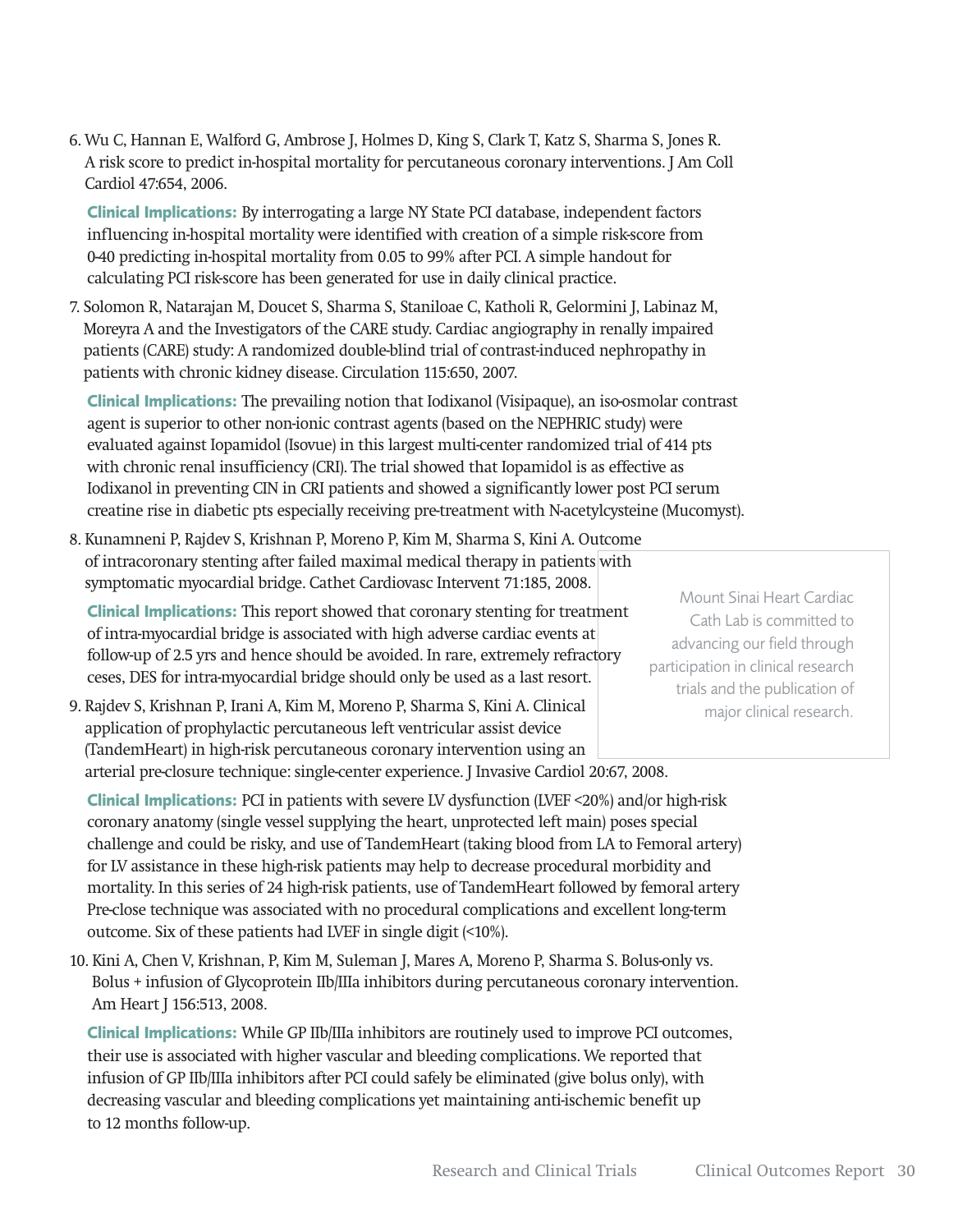6. Wu C, Hannan E, Walford G, Ambrose J, Holmes D, King S, Clark T, Katz S, Sharma S, Jones R. A risk score to predict in-hospital mortality for percutaneous coronary interventions. J Am Coll Cardiol 47:654, 2006.

**Clinical Implications:** By interrogating a large NY State PCI database, independent factors influencing in-hospital mortality were identified with creation of a simple risk-score from 0-40 predicting in-hospital mortality from 0.05 to 99% after PCI. A simple handout for calculating PCI risk-score has been generated for use in daily clinical practice.

7. Solomon R, Natarajan M, Doucet S, Sharma S, Staniloae C, Katholi R, Gelormini J, Labinaz M, Moreyra A and the Investigators of the CARE study. Cardiac angiography in renally impaired patients (CARE) study: A randomized double-blind trial of contrast-induced nephropathy in patients with chronic kidney disease. Circulation 115:650, 2007.

**Clinical Implications:** The prevailing notion that Iodixanol (Visipaque), an iso-osmolar contrast agent is superior to other non-ionic contrast agents (based on the NEPHRIC study) were evaluated against Iopamidol (Isovue) in this largest multi-center randomized trial of 414 pts with chronic renal insufficiency (CRI). The trial showed that Iopamidol is as effective as Iodixanol in preventing CIN in CRI patients and showed a significantly lower post PCI serum creatine rise in diabetic pts especially receiving pre-treatment with N-acetylcysteine (Mucomyst).

8. Kunamneni P, Rajdev S, Krishnan P, Moreno P, Kim M, Sharma S, Kini A. Outcome of intracoronary stenting after failed maximal medical therapy in patients with symptomatic myocardial bridge. Cathet Cardiovasc Intervent 71:185, 2008.

**Clinical Implications:** This report showed that coronary stenting for treatment of intra-myocardial bridge is associated with high adverse cardiac events at follow-up of 2.5 yrs and hence should be avoided. In rare, extremely refractory ceses, DES for intra-myocardial bridge should only be used as a last resort.

9. Rajdev S, Krishnan P, Irani A, Kim M, Moreno P, Sharma S, Kini A. Clinical application of prophylactic percutaneous left ventricular assist device (TandemHeart) in high-risk percutaneous coronary intervention using an arterial pre-closure technique: single-center experience. J Invasive Cardiol 20:67, 2008.

**Clinical Implications:** PCI in patients with severe LV dysfunction (LVEF <20%) and/or high-risk coronary anatomy (single vessel supplying the heart, unprotected left main) poses special challenge and could be risky, and use of TandemHeart (taking blood from LA to Femoral artery) for LV assistance in these high-risk patients may help to decrease procedural morbidity and mortality. In this series of 24 high-risk patients, use of TandemHeart followed by femoral artery Pre-close technique was associated with no procedural complications and excellent long-term outcome. Six of these patients had LVEF in single digit (<10%).

10. Kini A, Chen V, Krishnan, P, Kim M, Suleman J, Mares A, Moreno P, Sharma S. Bolus-only vs. Bolus + infusion of Glycoprotein IIb/IIIa inhibitors during percutaneous coronary intervention. Am Heart J 156:513, 2008.

**Clinical Implications:** While GP IIb/IIIa inhibitors are routinely used to improve PCI outcomes, their use is associated with higher vascular and bleeding complications. We reported that infusion of GP IIb/IIIa inhibitors after PCI could safely be eliminated (give bolus only), with decreasing vascular and bleeding complications yet maintaining anti-ischemic benefit up to 12 months follow-up.

**Mount Sinai Heart Cardiac Cath Lab is committed to advancing our field through participation in clinical research trials and the publication of major clinical research.**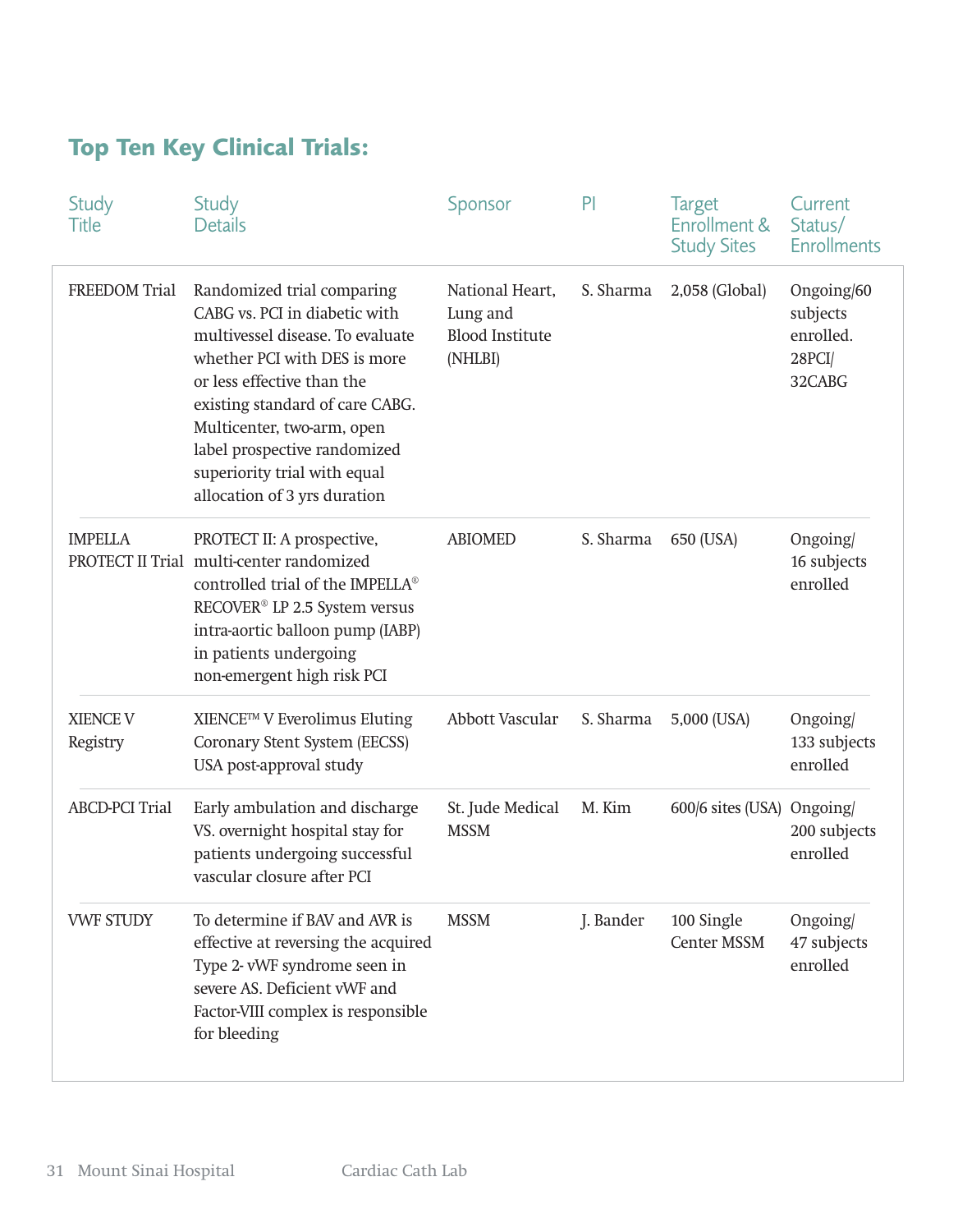# **Top Ten Key Clinical Trials:**

| <b>Study</b><br><b>Title</b> | Study<br><b>Details</b>                                                                                                                                                                                                                                                                                                        | Sponsor                                                          | P         | <b>Target</b><br>Enrollment &<br><b>Study Sites</b> | Current<br>Status/<br><b>Enrollments</b>                      |
|------------------------------|--------------------------------------------------------------------------------------------------------------------------------------------------------------------------------------------------------------------------------------------------------------------------------------------------------------------------------|------------------------------------------------------------------|-----------|-----------------------------------------------------|---------------------------------------------------------------|
| <b>FREEDOM</b> Trial         | Randomized trial comparing<br>CABG vs. PCI in diabetic with<br>multivessel disease. To evaluate<br>whether PCI with DES is more<br>or less effective than the<br>existing standard of care CABG.<br>Multicenter, two-arm, open<br>label prospective randomized<br>superiority trial with equal<br>allocation of 3 yrs duration | National Heart,<br>Lung and<br><b>Blood Institute</b><br>(NHLBI) | S. Sharma | 2,058 (Global)                                      | Ongoing/60<br>subjects<br>enrolled.<br>$28$ PCI $/$<br>32CABG |
| <b>IMPELLA</b>               | PROTECT II: A prospective,<br>PROTECT II Trial multi-center randomized<br>controlled trial of the IMPELLA®<br>RECOVER <sup>®</sup> LP 2.5 System versus<br>intra-aortic balloon pump (IABP)<br>in patients undergoing<br>non-emergent high risk PCI                                                                            | <b>ABIOMED</b>                                                   | S. Sharma | 650 (USA)                                           | Ongoing/<br>16 subjects<br>enrolled                           |
| <b>XIENCE V</b><br>Registry  | XIENCE™ V Everolimus Eluting<br>Coronary Stent System (EECSS)<br>USA post-approval study                                                                                                                                                                                                                                       | Abbott Vascular                                                  | S. Sharma | 5,000 (USA)                                         | Ongoing/<br>133 subjects<br>enrolled                          |
| <b>ABCD-PCI Trial</b>        | Early ambulation and discharge<br>VS. overnight hospital stay for<br>patients undergoing successful<br>vascular closure after PCI                                                                                                                                                                                              | St. Jude Medical<br><b>MSSM</b>                                  | M. Kim    | 600/6 sites (USA) Ongoing/                          | 200 subjects<br>enrolled                                      |
| <b>VWF STUDY</b>             | To determine if BAV and AVR is<br>effective at reversing the acquired<br>Type 2- vWF syndrome seen in<br>severe AS. Deficient vWF and<br>Factor-VIII complex is responsible<br>for bleeding                                                                                                                                    | <b>MSSM</b>                                                      | J. Bander | 100 Single<br><b>Center MSSM</b>                    | Ongoing/<br>47 subjects<br>enrolled                           |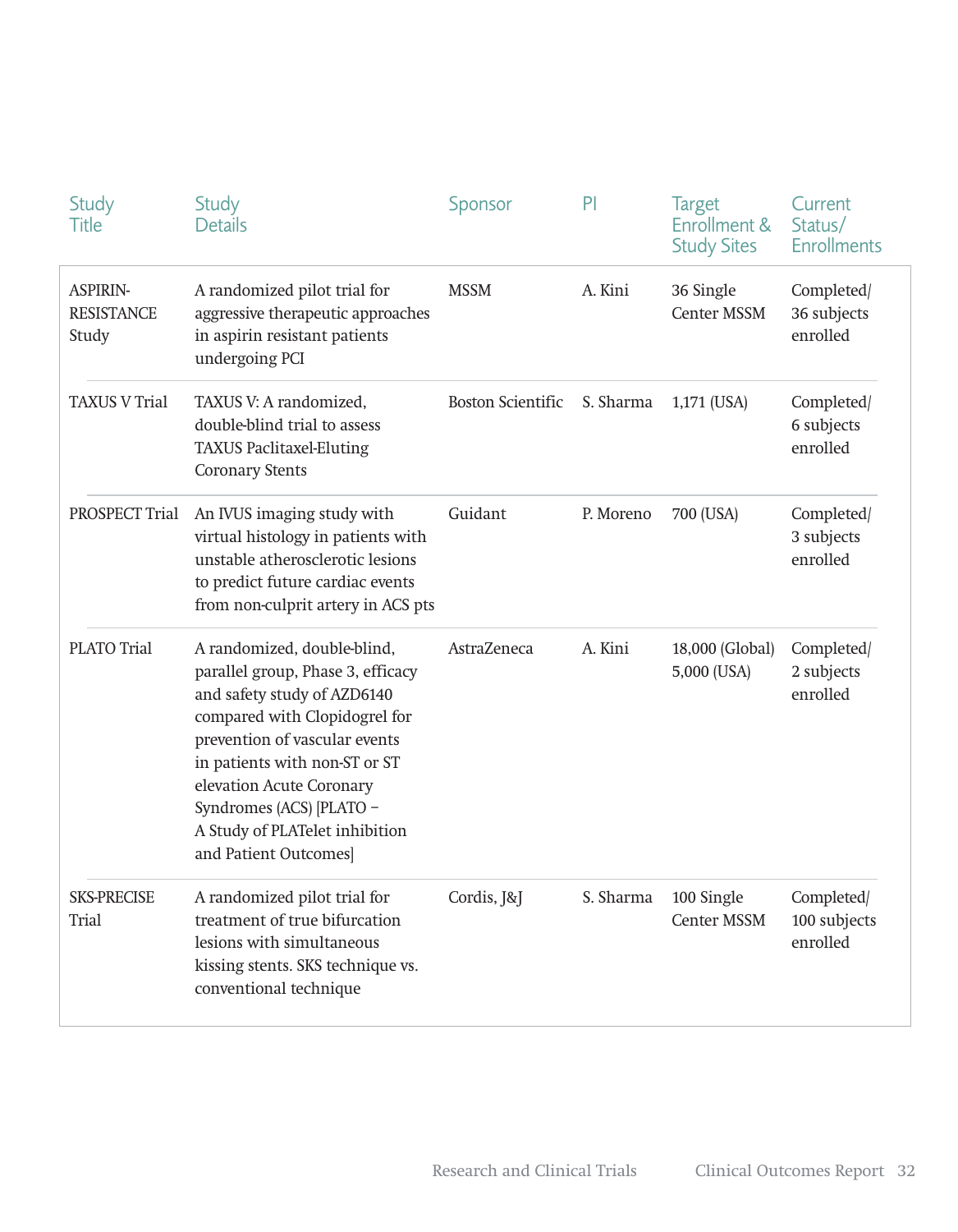| Study<br>Title                                | <b>Study</b><br><b>Details</b>                                                                                                                                                                                                                                                                                        | Sponsor                  | P         | <b>Target</b><br>Enrollment &<br><b>Study Sites</b> | Current<br>Status/<br><b>Enrollments</b> |
|-----------------------------------------------|-----------------------------------------------------------------------------------------------------------------------------------------------------------------------------------------------------------------------------------------------------------------------------------------------------------------------|--------------------------|-----------|-----------------------------------------------------|------------------------------------------|
| <b>ASPIRIN-</b><br><b>RESISTANCE</b><br>Study | A randomized pilot trial for<br>aggressive therapeutic approaches<br>in aspirin resistant patients<br>undergoing PCI                                                                                                                                                                                                  | <b>MSSM</b>              | A. Kini   | 36 Single<br><b>Center MSSM</b>                     | Completed/<br>36 subjects<br>enrolled    |
| <b>TAXUS V Trial</b>                          | TAXUS V: A randomized,<br>double-blind trial to assess<br><b>TAXUS Paclitaxel-Eluting</b><br><b>Coronary Stents</b>                                                                                                                                                                                                   | <b>Boston Scientific</b> | S. Sharma | 1,171 (USA)                                         | Completed/<br>6 subjects<br>enrolled     |
| PROSPECT Trial                                | An IVUS imaging study with<br>virtual histology in patients with<br>unstable atherosclerotic lesions<br>to predict future cardiac events<br>from non-culprit artery in ACS pts                                                                                                                                        | Guidant                  | P. Moreno | 700 (USA)                                           | Completed/<br>3 subjects<br>enrolled     |
| PLATO Trial                                   | A randomized, double-blind,<br>parallel group, Phase 3, efficacy<br>and safety study of AZD6140<br>compared with Clopidogrel for<br>prevention of vascular events<br>in patients with non-ST or ST<br>elevation Acute Coronary<br>Syndromes (ACS) [PLATO -<br>A Study of PLATelet inhibition<br>and Patient Outcomes] | <b>AstraZeneca</b>       | A. Kini   | 18,000 (Global)<br>5,000 (USA)                      | Completed/<br>2 subjects<br>enrolled     |
| <b>SKS-PRECISE</b><br>Trial                   | A randomized pilot trial for<br>treatment of true bifurcation<br>lesions with simultaneous<br>kissing stents. SKS technique vs.<br>conventional technique                                                                                                                                                             | Cordis, J&J              | S. Sharma | 100 Single<br><b>Center MSSM</b>                    | Completed/<br>100 subjects<br>enrolled   |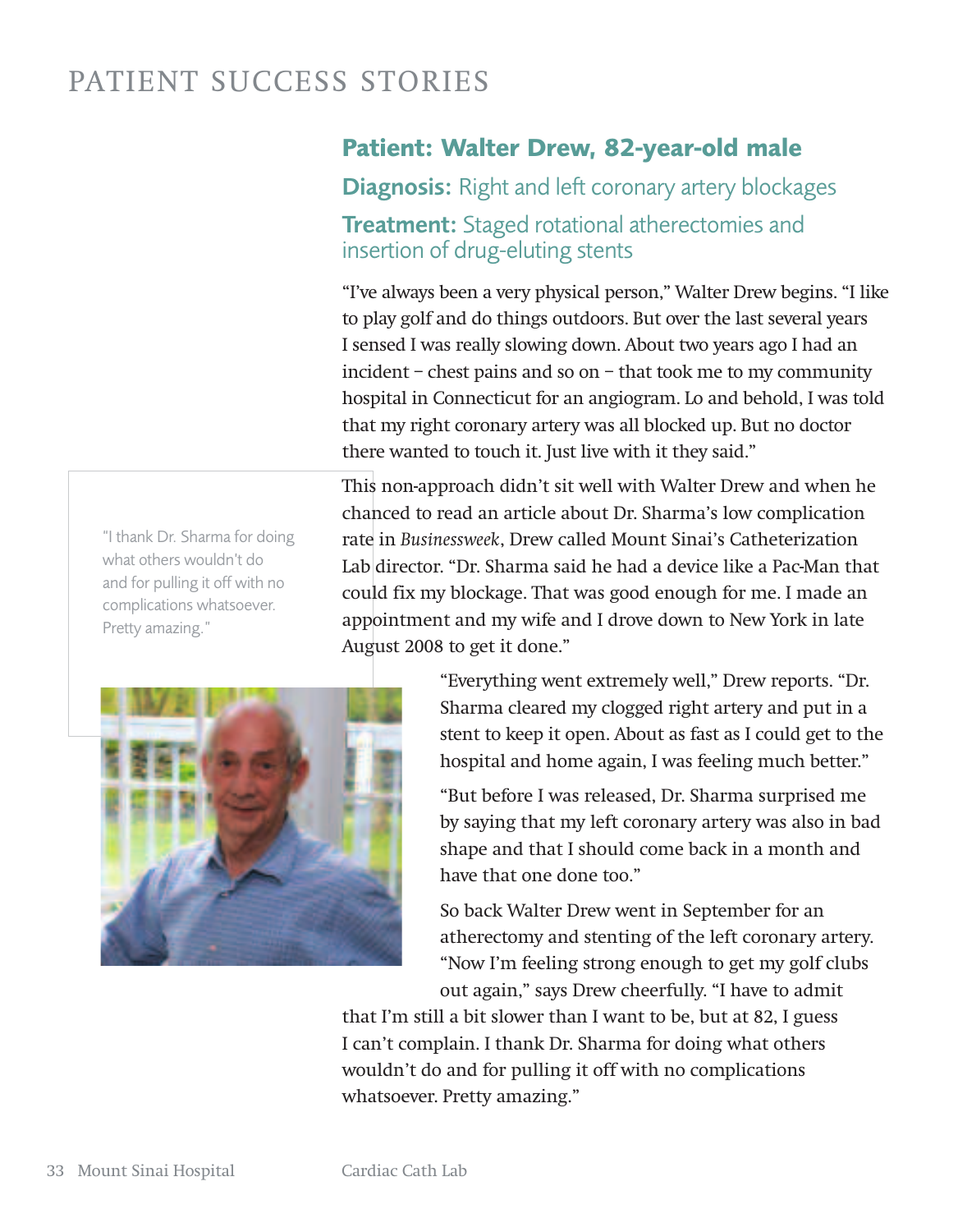# PATIENT SUCCESS STORIES

# **Patient: Walter Drew, 82-year-old male**

**Diagnosis: Right and left coronary artery blockages**

### **Treatment: Staged rotational atherectomies and insertion of drug-eluting stents**

"I've always been a very physical person," Walter Drew begins. "I like to play golf and do things outdoors. But over the last several years I sensed I was really slowing down. About two years ago I had an incident – chest pains and so on – that took me to my community hospital in Connecticut for an angiogram. Lo and behold, I was told that my right coronary artery was all blocked up. But no doctor there wanted to touch it. Just live with it they said."

This non-approach didn't sit well with Walter Drew and when he chanced to read an article about Dr. Sharma's low complication rate in *Businessweek*, Drew called Mount Sinai's Catheterization Lab director. "Dr. Sharma said he had a device like a Pac-Man that could fix my blockage. That was good enough for me. I made an appointment and my wife and I drove down to New York in late August 2008 to get it done."

"Everything went extremely well," Drew reports. "Dr. Sharma cleared my clogged right artery and put in a stent to keep it open. About as fast as I could get to the

hospital and home again, I was feeling much better." "But before I was released, Dr. Sharma surprised me by saying that my left coronary artery was also in bad shape and that I should come back in a month and

So back Walter Drew went in September for an atherectomy and stenting of the left coronary artery. "Now I'm feeling strong enough to get my golf clubs out again," says Drew cheerfully. "I have to admit

that I'm still a bit slower than I want to be, but at 82, I guess I can't complain. I thank Dr. Sharma for doing what others wouldn't do and for pulling it off with no complications whatsoever. Pretty amazing."

have that one done too."

**"I thank Dr. Sharma for doing what others wouldn't do and for pulling it off with no complications whatsoever. Pretty amazing."**

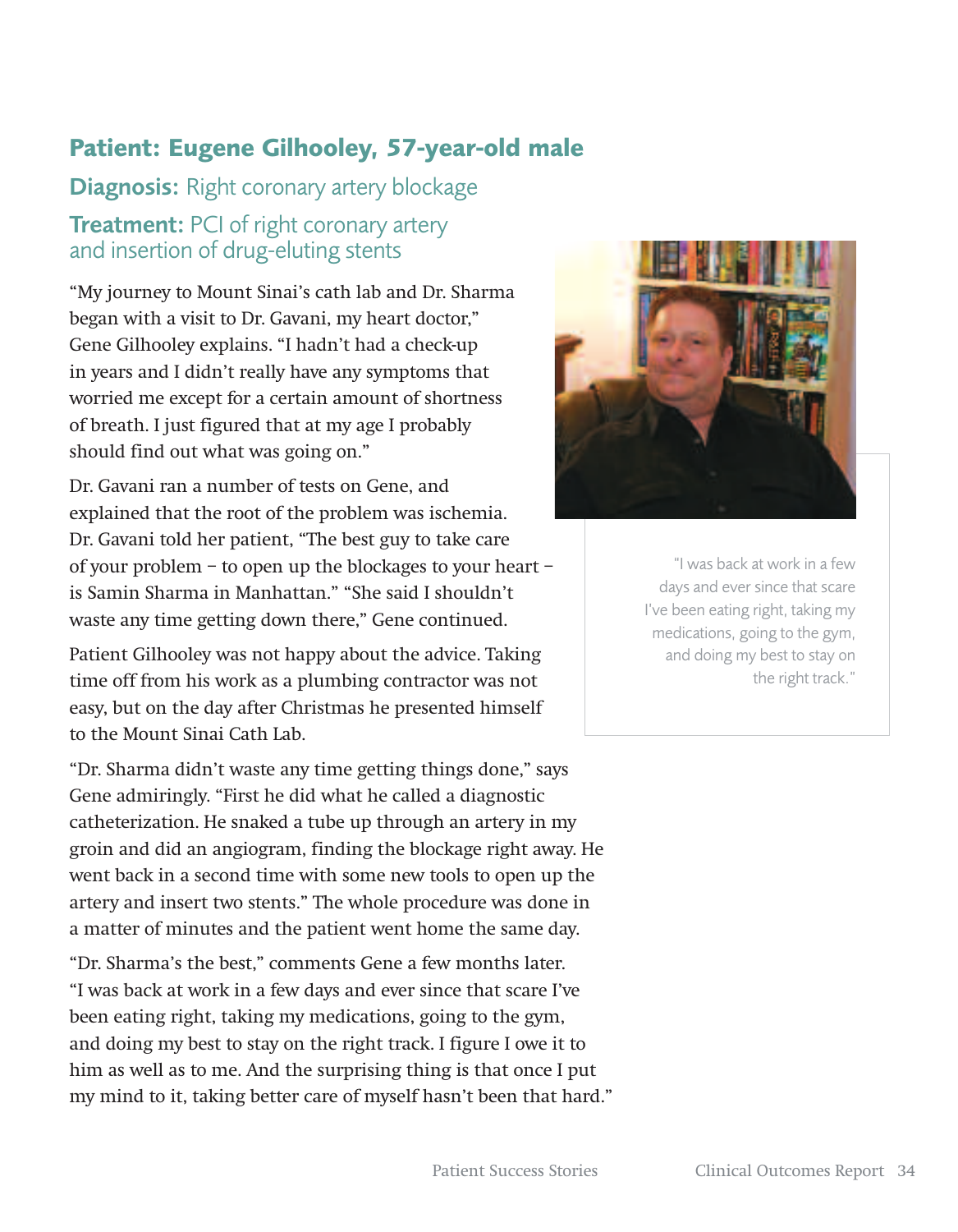# **Patient: Eugene Gilhooley, 57-year-old male**

# **Diagnosis: Right coronary artery blockage Treatment: PCI of right coronary artery**

# **and insertion of drug-eluting stents**

"My journey to Mount Sinai's cath lab and Dr. Sharma began with a visit to Dr. Gavani, my heart doctor," Gene Gilhooley explains. "I hadn't had a check-up in years and I didn't really have any symptoms that worried me except for a certain amount of shortness of breath. I just figured that at my age I probably should find out what was going on."

Dr. Gavani ran a number of tests on Gene, and explained that the root of the problem was ischemia. Dr. Gavani told her patient, "The best guy to take care of your problem – to open up the blockages to your heart – is Samin Sharma in Manhattan." "She said I shouldn't waste any time getting down there," Gene continued.

Patient Gilhooley was not happy about the advice. Taking time off from his work as a plumbing contractor was not easy, but on the day after Christmas he presented himself to the Mount Sinai Cath Lab.

"Dr. Sharma didn't waste any time getting things done," says Gene admiringly. "First he did what he called a diagnostic catheterization. He snaked a tube up through an artery in my groin and did an angiogram, finding the blockage right away. He went back in a second time with some new tools to open up the artery and insert two stents." The whole procedure was done in a matter of minutes and the patient went home the same day.

"Dr. Sharma's the best," comments Gene a few months later. "I was back at work in a few days and ever since that scare I've been eating right, taking my medications, going to the gym, and doing my best to stay on the right track. I figure I owe it to him as well as to me. And the surprising thing is that once I put my mind to it, taking better care of myself hasn't been that hard."



**"I was back at work in a few days and ever since that scare I've been eating right, taking my medications, going to the gym, and doing my best to stay on the right track."**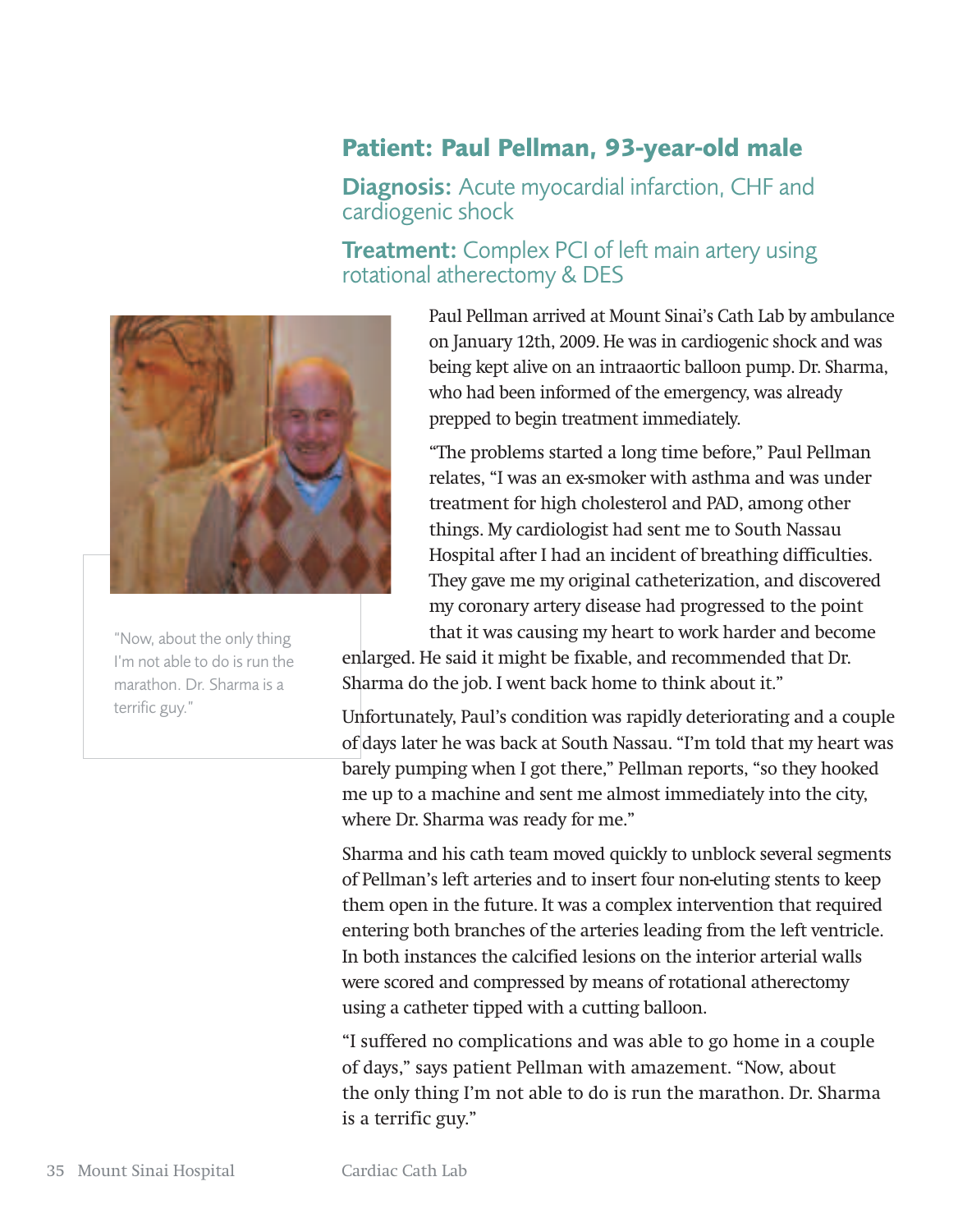# **Patient: Paul Pellman, 93-year-old male**

**Diagnosis: Acute myocardial infarction, CHF and cardiogenic shock**

#### **Treatment: Complex PCI of left main artery using rotational atherectomy & DES**



**"Now, about the only thing I'm not able to do is run the marathon. Dr. Sharma is a terrific guy."**

Paul Pellman arrived at Mount Sinai's Cath Lab by ambulance on January 12th, 2009. He was in cardiogenic shock and was being kept alive on an intraaortic balloon pump. Dr. Sharma, who had been informed of the emergency, was already prepped to begin treatment immediately.

"The problems started a long time before," Paul Pellman relates, "I was an ex-smoker with asthma and was under treatment for high cholesterol and PAD, among other things. My cardiologist had sent me to South Nassau Hospital after I had an incident of breathing difficulties. They gave me my original catheterization, and discovered my coronary artery disease had progressed to the point that it was causing my heart to work harder and become

enlarged. He said it might be fixable, and recommended that Dr. Sharma do the job. I went back home to think about it."

Unfortunately, Paul's condition was rapidly deteriorating and a couple of days later he was back at South Nassau. "I'm told that my heart was barely pumping when I got there," Pellman reports, "so they hooked me up to a machine and sent me almost immediately into the city, where Dr. Sharma was ready for me."

Sharma and his cath team moved quickly to unblock several segments of Pellman's left arteries and to insert four non-eluting stents to keep them open in the future. It was a complex intervention that required entering both branches of the arteries leading from the left ventricle. In both instances the calcified lesions on the interior arterial walls were scored and compressed by means of rotational atherectomy using a catheter tipped with a cutting balloon.

"I suffered no complications and was able to go home in a couple of days," says patient Pellman with amazement. "Now, about the only thing I'm not able to do is run the marathon. Dr. Sharma is a terrific guy."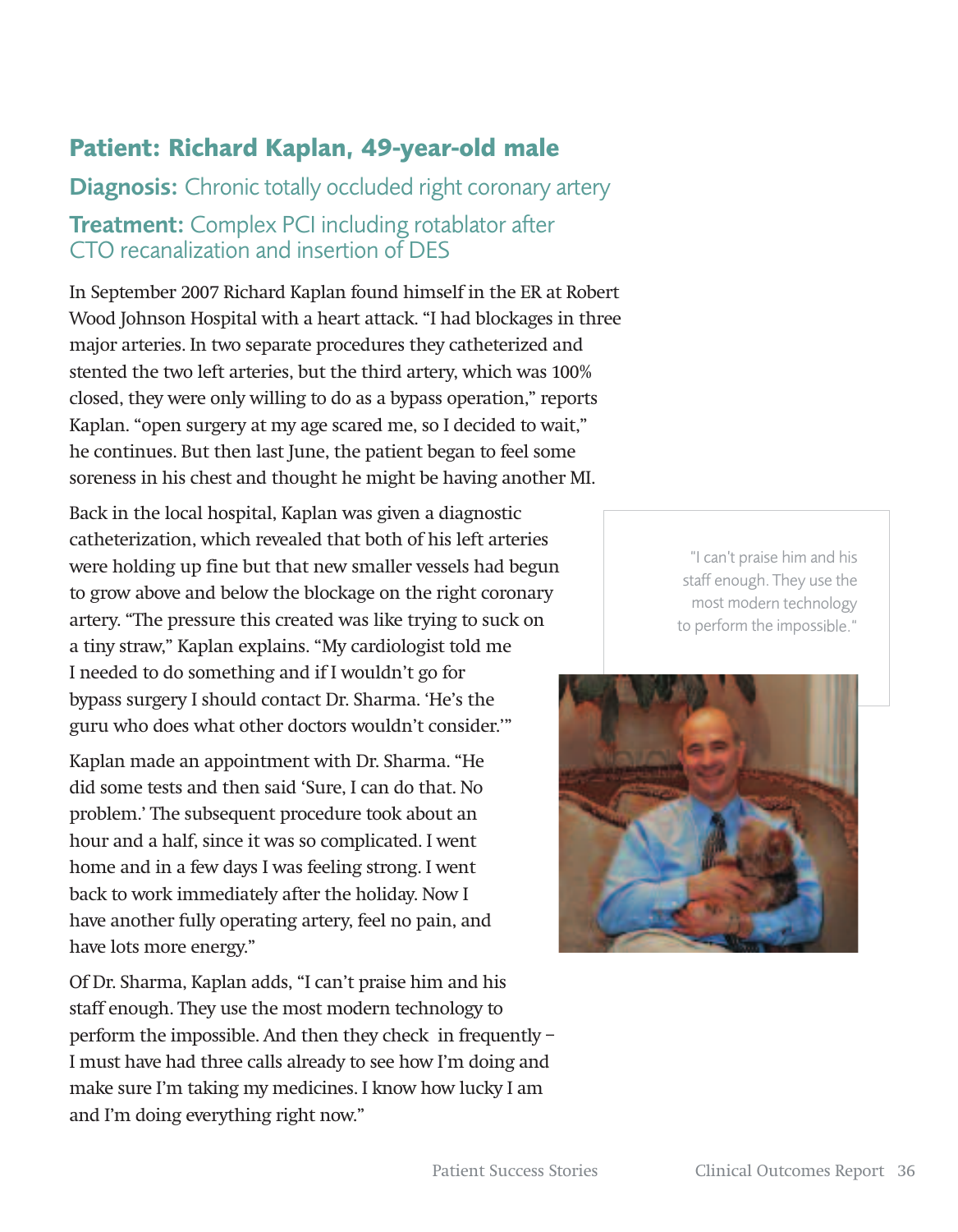# **Patient: Richard Kaplan, 49-year-old male**

**Diagnosis: Chronic totally occluded right coronary artery Treatment: Complex PCI including rotablator after CTO recanalization and insertion of DES**

In September 2007 Richard Kaplan found himself in the ER at Robert Wood Johnson Hospital with a heart attack. "I had blockages in three major arteries. In two separate procedures they catheterized and stented the two left arteries, but the third artery, which was 100% closed, they were only willing to do as a bypass operation," reports Kaplan. "open surgery at my age scared me, so I decided to wait," he continues. But then last June, the patient began to feel some soreness in his chest and thought he might be having another MI.

Back in the local hospital, Kaplan was given a diagnostic catheterization, which revealed that both of his left arteries were holding up fine but that new smaller vessels had begun to grow above and below the blockage on the right coronary artery. "The pressure this created was like trying to suck on a tiny straw," Kaplan explains. "My cardiologist told me I needed to do something and if I wouldn't go for bypass surgery I should contact Dr. Sharma. 'He's the guru who does what other doctors wouldn't consider.'"

Kaplan made an appointment with Dr. Sharma. "He did some tests and then said 'Sure, I can do that. No problem.' The subsequent procedure took about an hour and a half, since it was so complicated. I went home and in a few days I was feeling strong. I went back to work immediately after the holiday. Now I have another fully operating artery, feel no pain, and have lots more energy."

Of Dr. Sharma, Kaplan adds, "I can't praise him and his staff enough. They use the most modern technology to perform the impossible. And then they check in frequently – I must have had three calls already to see how I'm doing and make sure I'm taking my medicines. I know how lucky I am and I'm doing everything right now."

**"I can't praise him and his staff enough.They use the most modern technology to perform the impossible."**

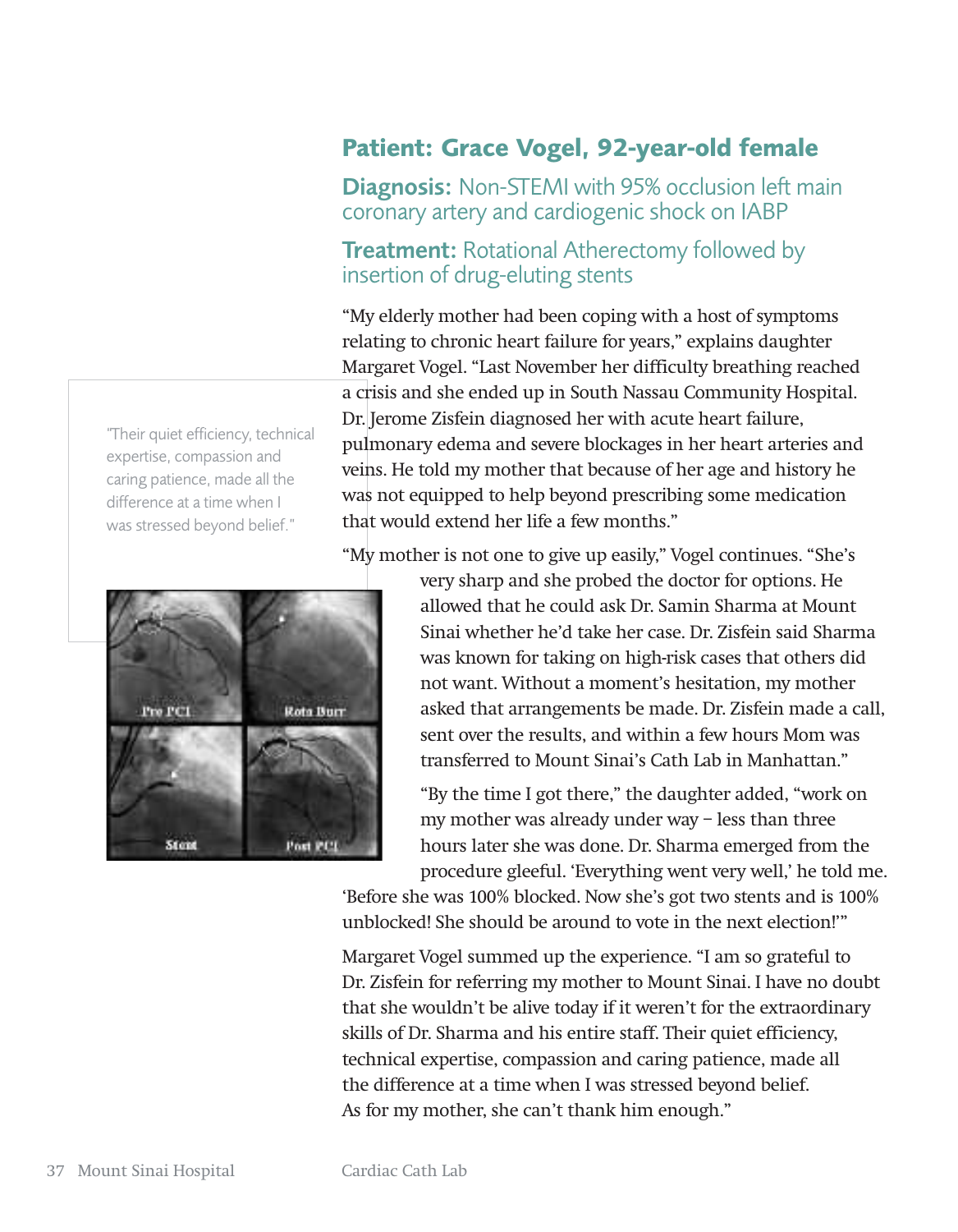# **Patient: Grace Vogel, 92-year-old female**

**Diagnosis: Non-STEMI with 95% occlusion left main coronary artery and cardiogenic shock on IABP**

### **Treatment: Rotational Atherectomy followed by insertion of drug-eluting stents**

"My elderly mother had been coping with a host of symptoms relating to chronic heart failure for years," explains daughter Margaret Vogel. "Last November her difficulty breathing reached a crisis and she ended up in South Nassau Community Hospital. Dr. Jerome Zisfein diagnosed her with acute heart failure, pulmonary edema and severe blockages in her heart arteries and veins. He told my mother that because of her age and history he was not equipped to help beyond prescribing some medication that would extend her life a few months."

"My mother is not one to give up easily," Vogel continues. "She's

very sharp and she probed the doctor for options. He allowed that he could ask Dr. Samin Sharma at Mount Sinai whether he'd take her case. Dr. Zisfein said Sharma was known for taking on high-risk cases that others did not want. Without a moment's hesitation, my mother asked that arrangements be made. Dr. Zisfein made a call, sent over the results, and within a few hours Mom was transferred to Mount Sinai's Cath Lab in Manhattan."

"By the time I got there," the daughter added, "work on my mother was already under way – less than three hours later she was done. Dr. Sharma emerged from the procedure gleeful. 'Everything went very well,' he told me.

'Before she was 100% blocked. Now she's got two stents and is 100% unblocked! She should be around to vote in the next election!'"

Margaret Vogel summed up the experience. "I am so grateful to Dr. Zisfein for referring my mother to Mount Sinai. I have no doubt that she wouldn't be alive today if it weren't for the extraordinary skills of Dr. Sharma and his entire staff. Their quiet efficiency, technical expertise, compassion and caring patience, made all the difference at a time when I was stressed beyond belief. As for my mother, she can't thank him enough."

**"Their quiet efficiency, technical expertise, compassion and caring patience, made all the difference at a time when I was stressed beyond belief."**

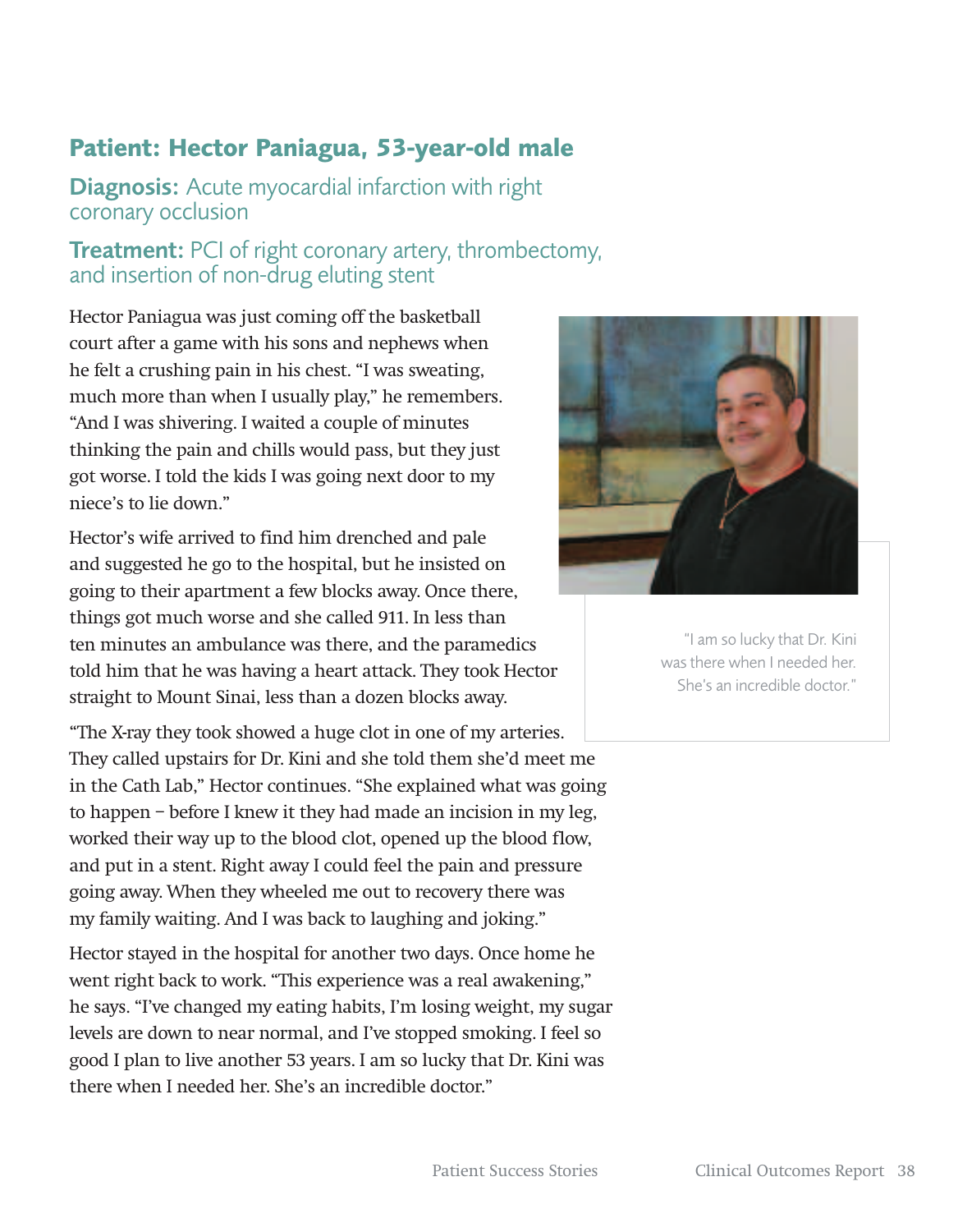# **Patient: Hector Paniagua, 53-year-old male**

**Diagnosis: Acute myocardial infarction with right coronary occlusion**

# **Treatment: PCI of right coronary artery, thrombectomy, and insertion of non-drug eluting stent**

Hector Paniagua was just coming off the basketball court after a game with his sons and nephews when he felt a crushing pain in his chest. "I was sweating, much more than when I usually play," he remembers. "And I was shivering. I waited a couple of minutes thinking the pain and chills would pass, but they just got worse. I told the kids I was going next door to my niece's to lie down."

Hector's wife arrived to find him drenched and pale and suggested he go to the hospital, but he insisted on going to their apartment a few blocks away. Once there, things got much worse and she called 911. In less than ten minutes an ambulance was there, and the paramedics told him that he was having a heart attack. They took Hector straight to Mount Sinai, less than a dozen blocks away.

"The X-ray they took showed a huge clot in one of my arteries. They called upstairs for Dr. Kini and she told them she'd meet me in the Cath Lab," Hector continues. "She explained what was going to happen – before I knew it they had made an incision in my leg, worked their way up to the blood clot, opened up the blood flow, and put in a stent. Right away I could feel the pain and pressure going away. When they wheeled me out to recovery there was my family waiting. And I was back to laughing and joking."

Hector stayed in the hospital for another two days. Once home he went right back to work. "This experience was a real awakening," he says. "I've changed my eating habits, I'm losing weight, my sugar levels are down to near normal, and I've stopped smoking. I feel so good I plan to live another 53 years. I am so lucky that Dr. Kini was there when I needed her. She's an incredible doctor."



**"I am so lucky that Dr. Kini was there when I needed her. She's an incredible doctor."**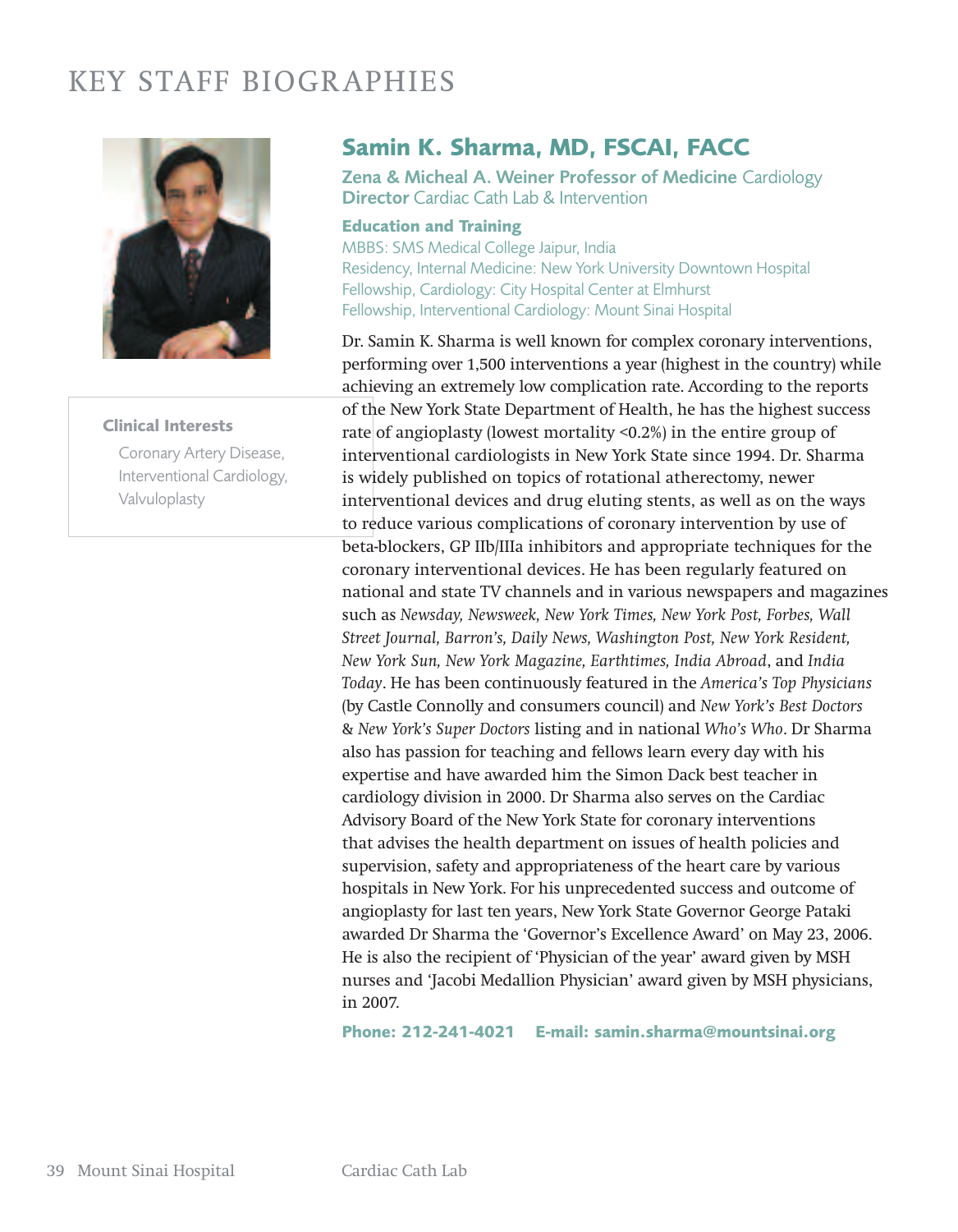# KEY STAFF BIOGRAPHIES



#### **Clinical Interests**

**Coronary Artery Disease, Interventional Cardiology, Valvuloplasty**

## **Samin K. Sharma, MD, FSCAI, FACC**

**Zena & Micheal A. Weiner Professor of Medicine Cardiology Director Cardiac Cath Lab & Intervention**

#### **Education and Training**

**MBBS: SMS Medical College Jaipur, India Residency, Internal Medicine: New York University Downtown Hospital Fellowship, Cardiology: City Hospital Center at Elmhurst Fellowship, Interventional Cardiology: Mount Sinai Hospital**

Dr. Samin K. Sharma is well known for complex coronary interventions, performing over 1,500 interventions a year (highest in the country) while achieving an extremely low complication rate. According to the reports of the New York State Department of Health, he has the highest success rate of angioplasty (lowest mortality <0.2%) in the entire group of interventional cardiologists in New York State since 1994. Dr. Sharma is widely published on topics of rotational atherectomy, newer interventional devices and drug eluting stents, as well as on the ways to reduce various complications of coronary intervention by use of beta-blockers, GP IIb/IIIa inhibitors and appropriate techniques for the coronary interventional devices. He has been regularly featured on national and state TV channels and in various newspapers and magazines such as *Newsday, Newsweek, New York Times, New York Post, Forbes, Wall Street Journal, Barron's, Daily News, Washington Post, New York Resident, New York Sun, New York Magazine, Earthtimes, India Abroad*, and *India Today*. He has been continuously featured in the *America's Top Physicians* (by Castle Connolly and consumers council) and *New York's Best Doctors* & *New York's Super Doctors* listing and in national *Who's Who*. Dr Sharma also has passion for teaching and fellows learn every day with his expertise and have awarded him the Simon Dack best teacher in cardiology division in 2000. Dr Sharma also serves on the Cardiac Advisory Board of the New York State for coronary interventions that advises the health department on issues of health policies and supervision, safety and appropriateness of the heart care by various hospitals in New York. For his unprecedented success and outcome of angioplasty for last ten years, New York State Governor George Pataki awarded Dr Sharma the 'Governor's Excellence Award' on May 23, 2006. He is also the recipient of 'Physician of the year' award given by MSH nurses and 'Jacobi Medallion Physician' award given by MSH physicians, in 2007.

**Phone: 212-241-4021 E-mail: samin.sharma@mountsinai.org**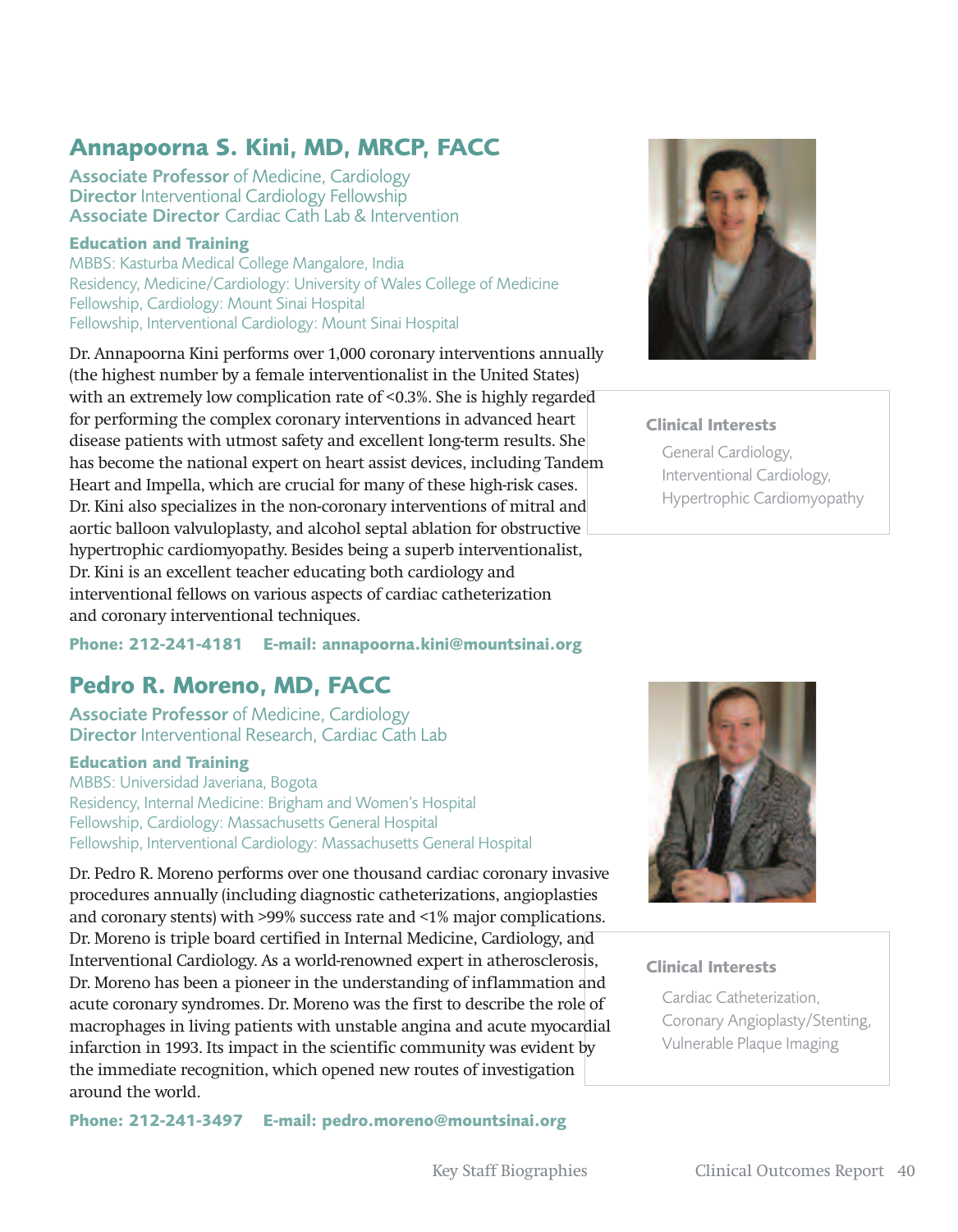# **Annapoorna S. Kini, MD, MRCP, FACC**

**Associate Professor of Medicine, Cardiology Director Interventional Cardiology Fellowship Associate Director Cardiac Cath Lab & Intervention**

#### **Education and Training**

**MBBS: Kasturba Medical College Mangalore, India Residency, Medicine/Cardiology: University of Wales College of Medicine Fellowship, Cardiology: Mount Sinai Hospital Fellowship, Interventional Cardiology: Mount Sinai Hospital**

Dr. Annapoorna Kini performs over 1,000 coronary interventions annually (the highest number by a female interventionalist in the United States) with an extremely low complication rate of <0.3%. She is highly regarded for performing the complex coronary interventions in advanced heart disease patients with utmost safety and excellent long-term results. She has become the national expert on heart assist devices, including Tandem Heart and Impella, which are crucial for many of these high-risk cases. Dr. Kini also specializes in the non-coronary interventions of mitral and aortic balloon valvuloplasty, and alcohol septal ablation for obstructive hypertrophic cardiomyopathy. Besides being a superb interventionalist, Dr. Kini is an excellent teacher educating both cardiology and interventional fellows on various aspects of cardiac catheterization and coronary interventional techniques.

**Phone: 212-241-4181 E-mail: annapoorna.kini@mountsinai.org**

# **Pedro R. Moreno, MD, FACC**

**Associate Professor of Medicine, Cardiology Director Interventional Research, Cardiac Cath Lab**

#### **Education and Training**

**MBBS: Universidad Javeriana, Bogota Residency, Internal Medicine: Brigham and Women's Hospital Fellowship, Cardiology: Massachusetts General Hospital Fellowship, Interventional Cardiology: Massachusetts General Hospital**

Dr. Pedro R. Moreno performs over one thousand cardiac coronary invasive procedures annually (including diagnostic catheterizations, angioplasties and coronary stents) with >99% success rate and <1% major complications. Dr. Moreno is triple board certified in Internal Medicine, Cardiology, and Interventional Cardiology. As a world-renowned expert in atherosclerosis, Dr. Moreno has been a pioneer in the understanding of inflammation and acute coronary syndromes. Dr. Moreno was the first to describe the role of macrophages in living patients with unstable angina and acute myocardial infarction in 1993. Its impact in the scientific community was evident by the immediate recognition, which opened new routes of investigation around the world.

**Phone: 212-241-3497 E-mail: pedro.moreno@mountsinai.org**



#### **Clinical Interests**

**General Cardiology, Interventional Cardiology, Hypertrophic Cardiomyopathy**



#### **Clinical Interests**

**Cardiac Catheterization, Coronary Angioplasty/Stenting, Vulnerable Plaque Imaging**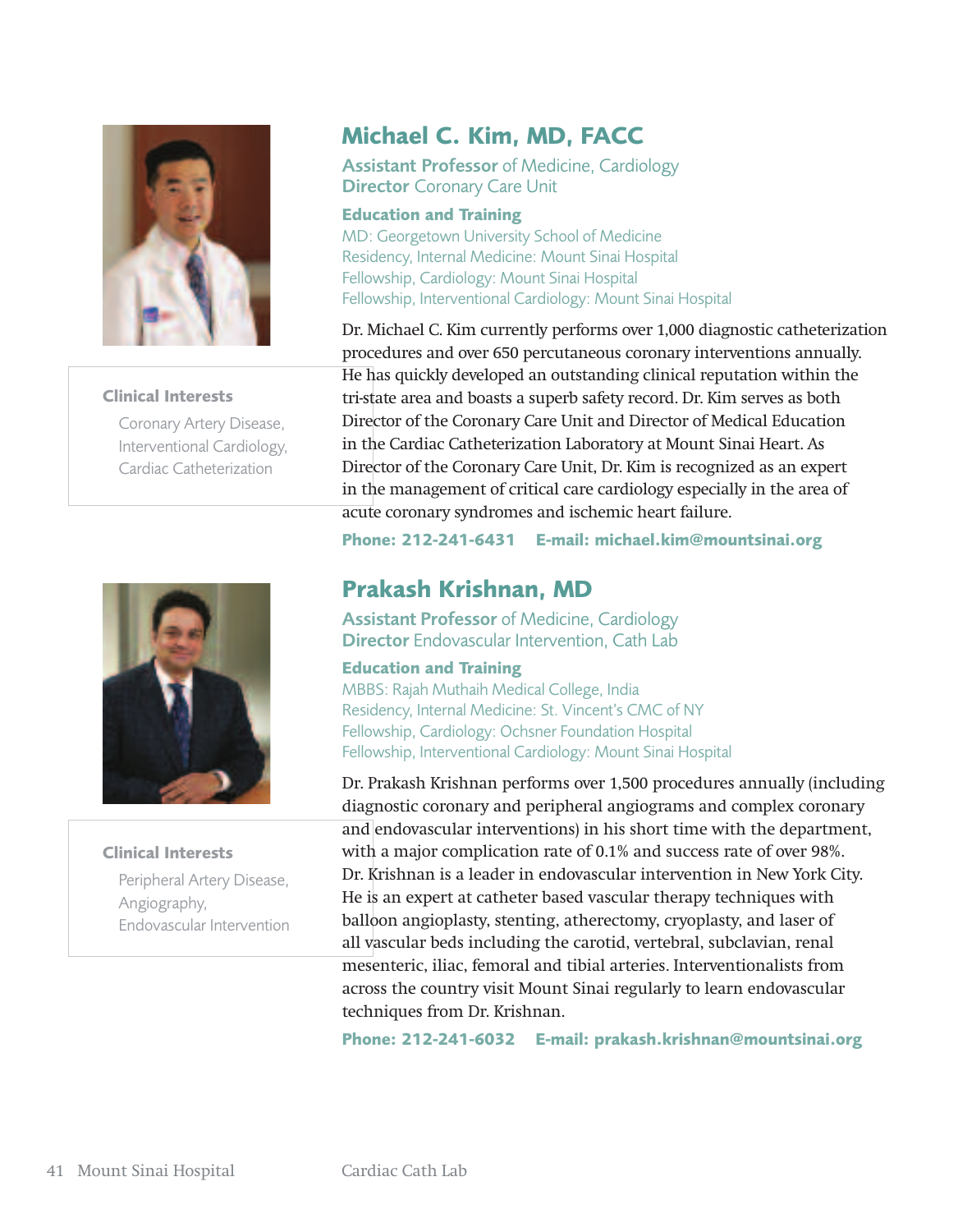

#### **Clinical Interests**

**Coronary Artery Disease, Interventional Cardiology, Cardiac Catheterization**



**Clinical Interests Peripheral Artery Disease, Angiography, Endovascular Intervention**

# **Michael C. Kim, MD, FACC**

**Assistant Professor of Medicine, Cardiology Director Coronary Care Unit**

**Education and Training MD: Georgetown University School of Medicine Residency, Internal Medicine: Mount Sinai Hospital Fellowship, Cardiology: Mount Sinai Hospital Fellowship, Interventional Cardiology: Mount Sinai Hospital**

Dr. Michael C. Kim currently performs over 1,000 diagnostic catheterization procedures and over 650 percutaneous coronary interventions annually. He has quickly developed an outstanding clinical reputation within the tri-state area and boasts a superb safety record. Dr. Kim serves as both Director of the Coronary Care Unit and Director of Medical Education in the Cardiac Catheterization Laboratory at Mount Sinai Heart. As Director of the Coronary Care Unit, Dr. Kim is recognized as an expert in the management of critical care cardiology especially in the area of acute coronary syndromes and ischemic heart failure.

**Phone: 212-241-6431 E-mail: michael.kim@mountsinai.org**

## **Prakash Krishnan, MD**

**Assistant Professor of Medicine, Cardiology Director Endovascular Intervention, Cath Lab**

#### **Education and Training**

**MBBS: Rajah Muthaih Medical College, India Residency, Internal Medicine: St. Vincent's CMC of NY Fellowship, Cardiology: Ochsner Foundation Hospital Fellowship, Interventional Cardiology: Mount Sinai Hospital**

Dr. Prakash Krishnan performs over 1,500 procedures annually (including diagnostic coronary and peripheral angiograms and complex coronary and endovascular interventions) in his short time with the department, with a major complication rate of 0.1% and success rate of over 98%. Dr. Krishnan is a leader in endovascular intervention in New York City. He is an expert at catheter based vascular therapy techniques with balloon angioplasty, stenting, atherectomy, cryoplasty, and laser of all vascular beds including the carotid, vertebral, subclavian, renal mesenteric, iliac, femoral and tibial arteries. Interventionalists from across the country visit Mount Sinai regularly to learn endovascular techniques from Dr. Krishnan.

**Phone: 212-241-6032 E-mail: prakash.krishnan@mountsinai.org**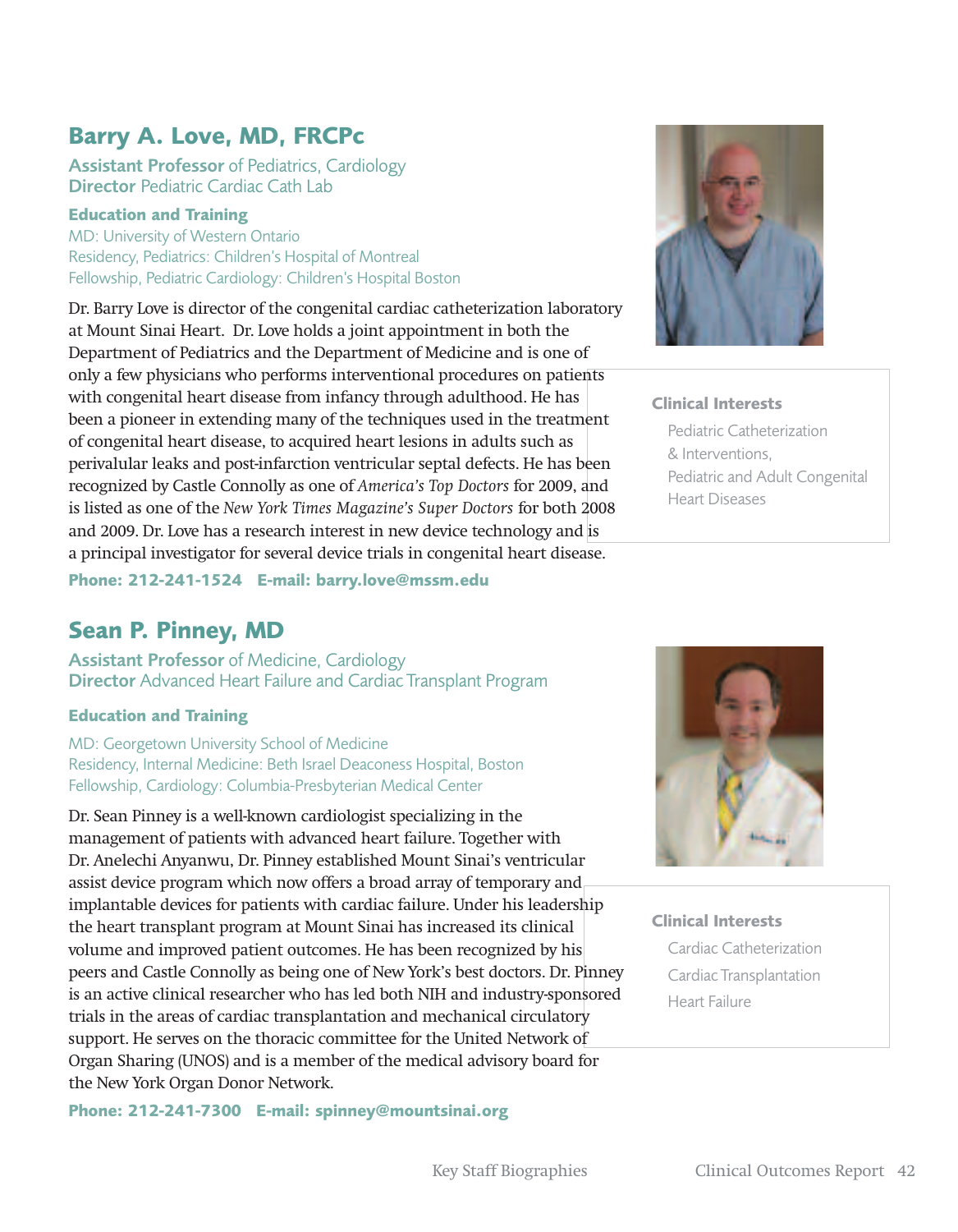# **Barry A. Love, MD, FRCPc**

**Assistant Professor of Pediatrics, Cardiology Director Pediatric Cardiac Cath Lab**

#### **Education and Training**

**MD: University of Western Ontario Residency, Pediatrics: Children's Hospital of Montreal Fellowship, Pediatric Cardiology: Children's Hospital Boston**

Dr. Barry Love is director of the congenital cardiac catheterization laboratory at Mount Sinai Heart. Dr. Love holds a joint appointment in both the Department of Pediatrics and the Department of Medicine and is one of only a few physicians who performs interventional procedures on patients with congenital heart disease from infancy through adulthood. He has been a pioneer in extending many of the techniques used in the treatment of congenital heart disease, to acquired heart lesions in adults such as perivalular leaks and post-infarction ventricular septal defects. He has been recognized by Castle Connolly as one of *America's Top Doctors* for 2009, and is listed as one of the *New York Times Magazine's Super Doctors* for both 2008 and 2009. Dr. Love has a research interest in new device technology and is a principal investigator for several device trials in congenital heart disease.



#### **Clinical Interests**

**Pediatric Catheterization & Interventions, Pediatric and Adult Congenital Heart Diseases**

**Phone: 212-241-1524 E-mail: barry.love@mssm.edu**

# **Sean P. Pinney, MD**

**Assistant Professor of Medicine, Cardiology Director Advanced Heart Failure and CardiacTransplant Program**

#### **Education and Training**

**MD: Georgetown University School of Medicine Residency, Internal Medicine: Beth Israel Deaconess Hospital, Boston Fellowship, Cardiology: Columbia-Presbyterian Medical Center**

Dr. Sean Pinney is a well-known cardiologist specializing in the management of patients with advanced heart failure. Together with Dr. Anelechi Anyanwu, Dr. Pinney established Mount Sinai's ventricular assist device program which now offers a broad array of temporary and implantable devices for patients with cardiac failure. Under his leadership the heart transplant program at Mount Sinai has increased its clinical volume and improved patient outcomes. He has been recognized by his peers and Castle Connolly as being one of New York's best doctors. Dr. Pinney is an active clinical researcher who has led both NIH and industry-sponsored trials in the areas of cardiac transplantation and mechanical circulatory support. He serves on the thoracic committee for the United Network of Organ Sharing (UNOS) and is a member of the medical advisory board for the New York Organ Donor Network.

**Phone: 212-241-7300 E-mail: spinney@mountsinai.org**



**Clinical Interests**

**Cardiac Catheterization CardiacTransplantation Heart Failure**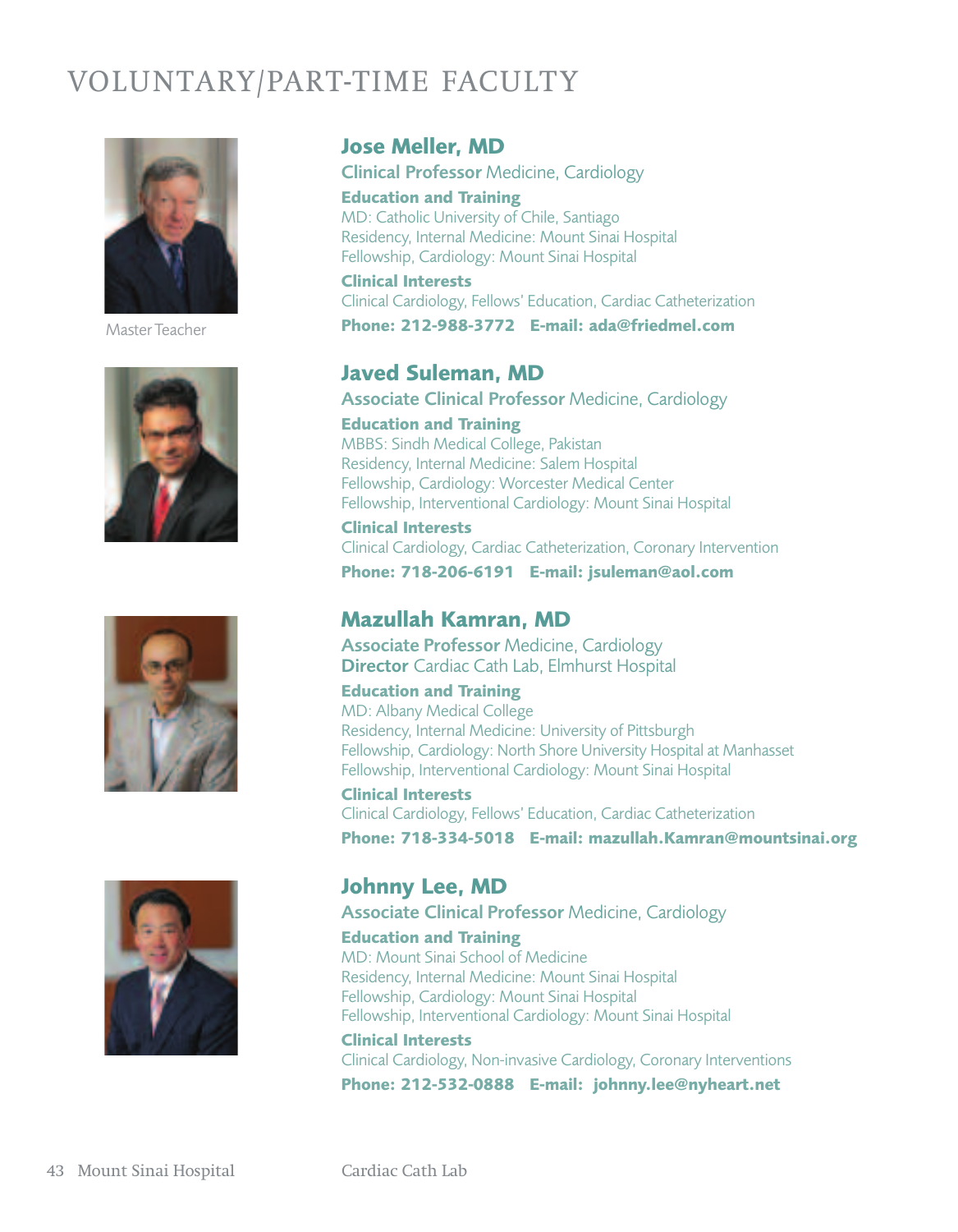# VOLUNTARY/PART-TIME FACULT Y



**MasterTeacher**







## **Jose Meller, MD**

**Clinical Professor Medicine, Cardiology**

**Education and Training MD: Catholic University of Chile, Santiago Residency, Internal Medicine: Mount Sinai Hospital Fellowship, Cardiology: Mount Sinai Hospital**

**Clinical Interests Clinical Cardiology, Fellows' Education, Cardiac Catheterization Phone: 212-988-3772 E-mail: ada@friedmel.com**

## **Javed Suleman, MD**

**Associate Clinical Professor Medicine, Cardiology**

**Education and Training MBBS: Sindh Medical College, Pakistan Residency, Internal Medicine: Salem Hospital Fellowship, Cardiology: Worcester Medical Center Fellowship, Interventional Cardiology: Mount Sinai Hospital**

**Clinical Interests Clinical Cardiology, Cardiac Catheterization, Coronary Intervention Phone: 718-206-6191 E-mail: jsuleman@aol.com**

## **Mazullah Kamran, MD**

**Associate Professor Medicine, Cardiology Director Cardiac Cath Lab, Elmhurst Hospital**

**Education and Training MD: Albany Medical College Residency, Internal Medicine: University of Pittsburgh Fellowship, Cardiology: North Shore University Hospital at Manhasset Fellowship, Interventional Cardiology: Mount Sinai Hospital**

**Clinical Interests Clinical Cardiology, Fellows' Education, Cardiac Catheterization Phone: 718-334-5018 E-mail: mazullah.Kamran@mountsinai.org**

**Johnny Lee, MD Associate Clinical Professor Medicine, Cardiology**

**Education and Training MD: Mount Sinai School of Medicine Residency, Internal Medicine: Mount Sinai Hospital Fellowship, Cardiology: Mount Sinai Hospital Fellowship, Interventional Cardiology: Mount Sinai Hospital**

**Clinical Interests Clinical Cardiology, Non-invasive Cardiology, Coronary Interventions Phone: 212-532-0888 E-mail: johnny.lee@nyheart.net**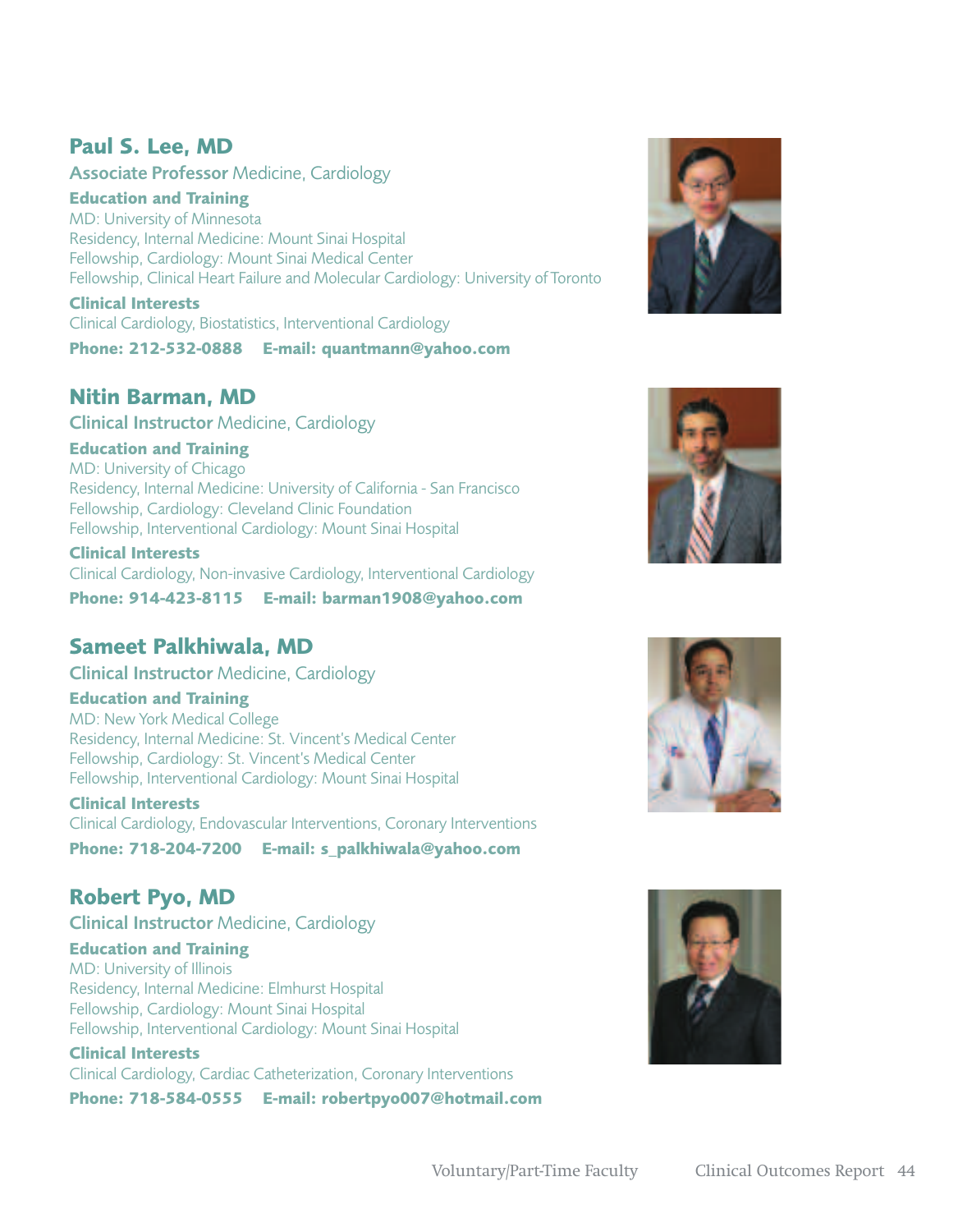#### **Paul S. Lee, MD**

**Associate Professor Medicine, Cardiology**

**Education and Training MD: University of Minnesota Residency, Internal Medicine: Mount Sinai Hospital Fellowship, Cardiology: Mount Sinai Medical Center Fellowship, Clinical Heart Failure and Molecular Cardiology: University ofToronto**

**Clinical Interests Clinical Cardiology, Biostatistics, Interventional Cardiology**

#### **Phone: 212-532-0888 E-mail: quantmann@yahoo.com**

#### **Nitin Barman, MD**

**Clinical Instructor Medicine, Cardiology**

#### **Education and Training**

**MD: University of Chicago Residency, Internal Medicine: University of California - San Francisco Fellowship, Cardiology: Cleveland Clinic Foundation Fellowship, Interventional Cardiology: Mount Sinai Hospital**

#### **Clinical Interests**

**Clinical Cardiology, Non-invasive Cardiology, Interventional Cardiology**

**Phone: 914-423-8115 E-mail: barman1908@yahoo.com**

#### **Sameet Palkhiwala, MD**

**Clinical Instructor Medicine, Cardiology**

#### **Education and Training**

**MD: New York Medical College Residency, Internal Medicine: St. Vincent's Medical Center Fellowship, Cardiology: St. Vincent's Medical Center Fellowship, Interventional Cardiology: Mount Sinai Hospital**

**Clinical Interests Clinical Cardiology, Endovascular Interventions, Coronary Interventions Phone: 718-204-7200 E-mail: s\_palkhiwala@yahoo.com**

## **Robert Pyo, MD**

**Clinical Instructor Medicine, Cardiology Education and Training MD: University of Illinois Residency, Internal Medicine: Elmhurst Hospital Fellowship, Cardiology: Mount Sinai Hospital Fellowship, Interventional Cardiology: Mount Sinai Hospital**

**Clinical Interests Clinical Cardiology, Cardiac Catheterization, Coronary Interventions**

**Phone: 718-584-0555 E-mail: robertpyo007@hotmail.com**







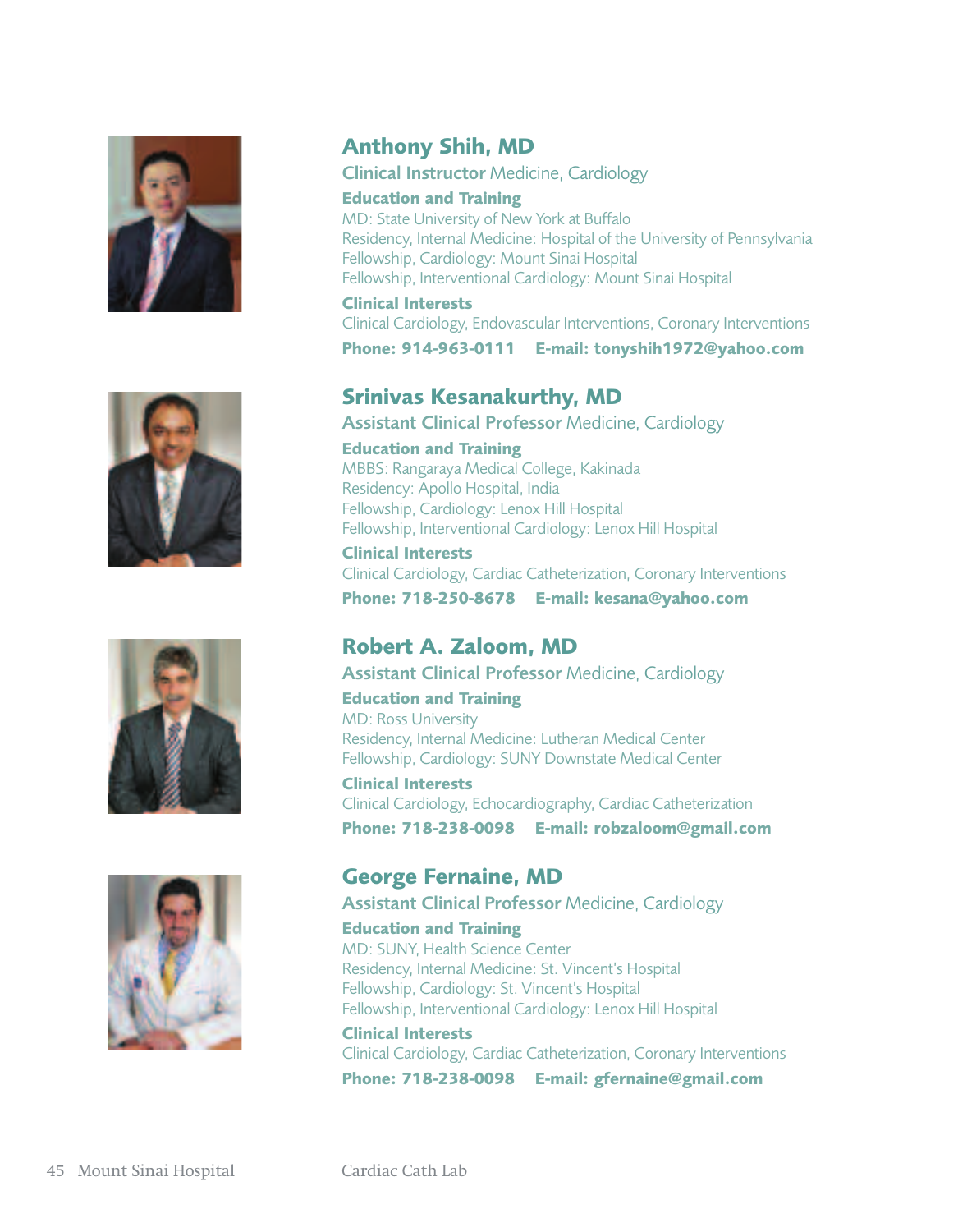







# **Anthony Shih, MD**

**Clinical Instructor Medicine, Cardiology**

# **Education and Training**

**MD: State University of New York at Buffalo Residency, Internal Medicine: Hospital of the University of Pennsylvania Fellowship, Cardiology: Mount Sinai Hospital Fellowship, Interventional Cardiology: Mount Sinai Hospital**

#### **Clinical Interests**

**Clinical Cardiology, Endovascular Interventions, Coronary Interventions Phone: 914-963-0111 E-mail: tonyshih1972@yahoo.com**

## **Srinivas Kesanakurthy, MD**

**Assistant Clinical Professor Medicine, Cardiology**

#### **Education and Training MBBS: Rangaraya Medical College, Kakinada Residency: Apollo Hospital, India Fellowship, Cardiology: Lenox Hill Hospital Fellowship, Interventional Cardiology: Lenox Hill Hospital**

#### **Clinical Interests**

**Clinical Cardiology, Cardiac Catheterization, Coronary Interventions**

**Phone: 718-250-8678 E-mail: kesana@yahoo.com**

# **Robert A. Zaloom, MD**

**Assistant Clinical Professor Medicine, Cardiology**

#### **Education and Training MD: Ross University Residency, Internal Medicine: Lutheran Medical Center Fellowship, Cardiology: SUNY Downstate Medical Center**

**Clinical Interests Clinical Cardiology, Echocardiography, Cardiac Catheterization Phone: 718-238-0098 E-mail: robzaloom@gmail.com**

## **George Fernaine, MD**

**Assistant Clinical Professor Medicine, Cardiology**

#### **Education and Training**

**MD: SUNY, Health Science Center Residency, Internal Medicine: St. Vincent's Hospital Fellowship, Cardiology: St. Vincent's Hospital Fellowship, Interventional Cardiology: Lenox Hill Hospital**

#### **Clinical Interests Clinical Cardiology, Cardiac Catheterization, Coronary Interventions Phone: 718-238-0098 E-mail: gfernaine@gmail.com**

45 Mount Sinai Hospital Cardiac Cath Lab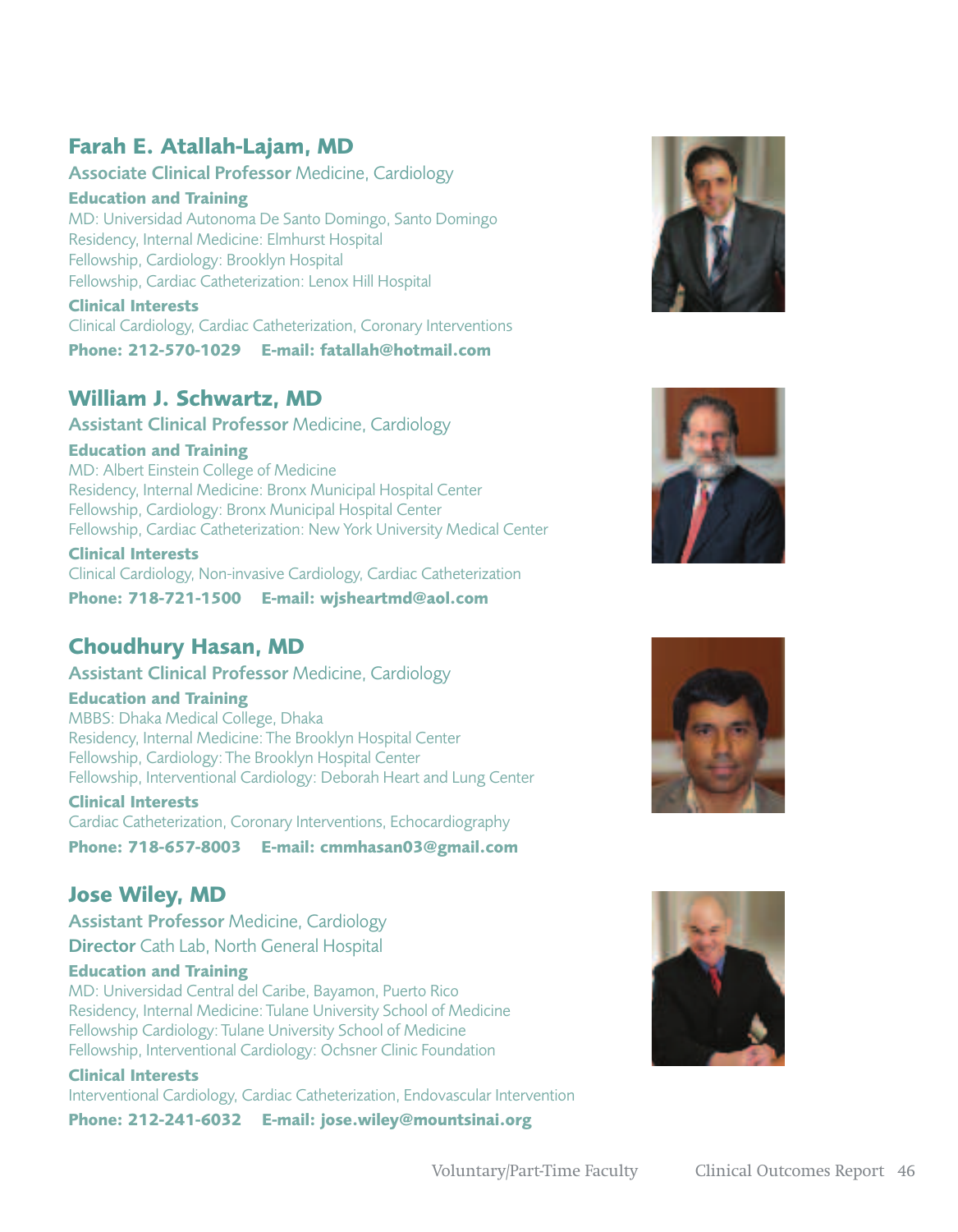## **Farah E. Atallah-Lajam, MD**

#### **Associate Clinical Professor Medicine, Cardiology**

#### **Education and Training**

**MD: Universidad Autonoma De Santo Domingo, Santo Domingo Residency, Internal Medicine: Elmhurst Hospital Fellowship, Cardiology: Brooklyn Hospital Fellowship, Cardiac Catheterization: Lenox Hill Hospital**

#### **Clinical Interests Clinical Cardiology, Cardiac Catheterization, Coronary Interventions**

**Phone: 212-570-1029 E-mail: fatallah@hotmail.com**

#### **William J. Schwartz, MD**

**Assistant Clinical Professor Medicine, Cardiology**

#### **Education and Training**

**MD: Albert Einstein College of Medicine Residency, Internal Medicine: Bronx Municipal Hospital Center Fellowship, Cardiology: Bronx Municipal Hospital Center Fellowship, Cardiac Catheterization: New York University Medical Center**

#### **Clinical Interests**

**Clinical Cardiology, Non-invasive Cardiology, Cardiac Catheterization**

**Phone: 718-721-1500 E-mail: wjsheartmd@aol.com**

#### **Choudhury Hasan, MD**

#### **Assistant Clinical Professor Medicine, Cardiology**

#### **Education and Training**

**MBBS: Dhaka Medical College, Dhaka Residency, Internal Medicine:The Brooklyn Hospital Center Fellowship, Cardiology:The Brooklyn Hospital Center Fellowship, Interventional Cardiology: Deborah Heart and Lung Center**

#### **Clinical Interests**

**Cardiac Catheterization, Coronary Interventions, Echocardiography Phone: 718-657-8003 E-mail: cmmhasan03@gmail.com**

#### **Jose Wiley, MD**

**Assistant Professor Medicine, Cardiology Director Cath Lab, North General Hospital**

#### **Education and Training**

**MD: Universidad Central del Caribe, Bayamon, Puerto Rico Residency, Internal Medicine:Tulane University School of Medicine Fellowship Cardiology:Tulane University School of Medicine Fellowship, Interventional Cardiology: Ochsner Clinic Foundation**

#### **Clinical Interests**

**Interventional Cardiology, Cardiac Catheterization, Endovascular Intervention**

**Phone: 212-241-6032 E-mail: jose.wiley@mountsinai.org**







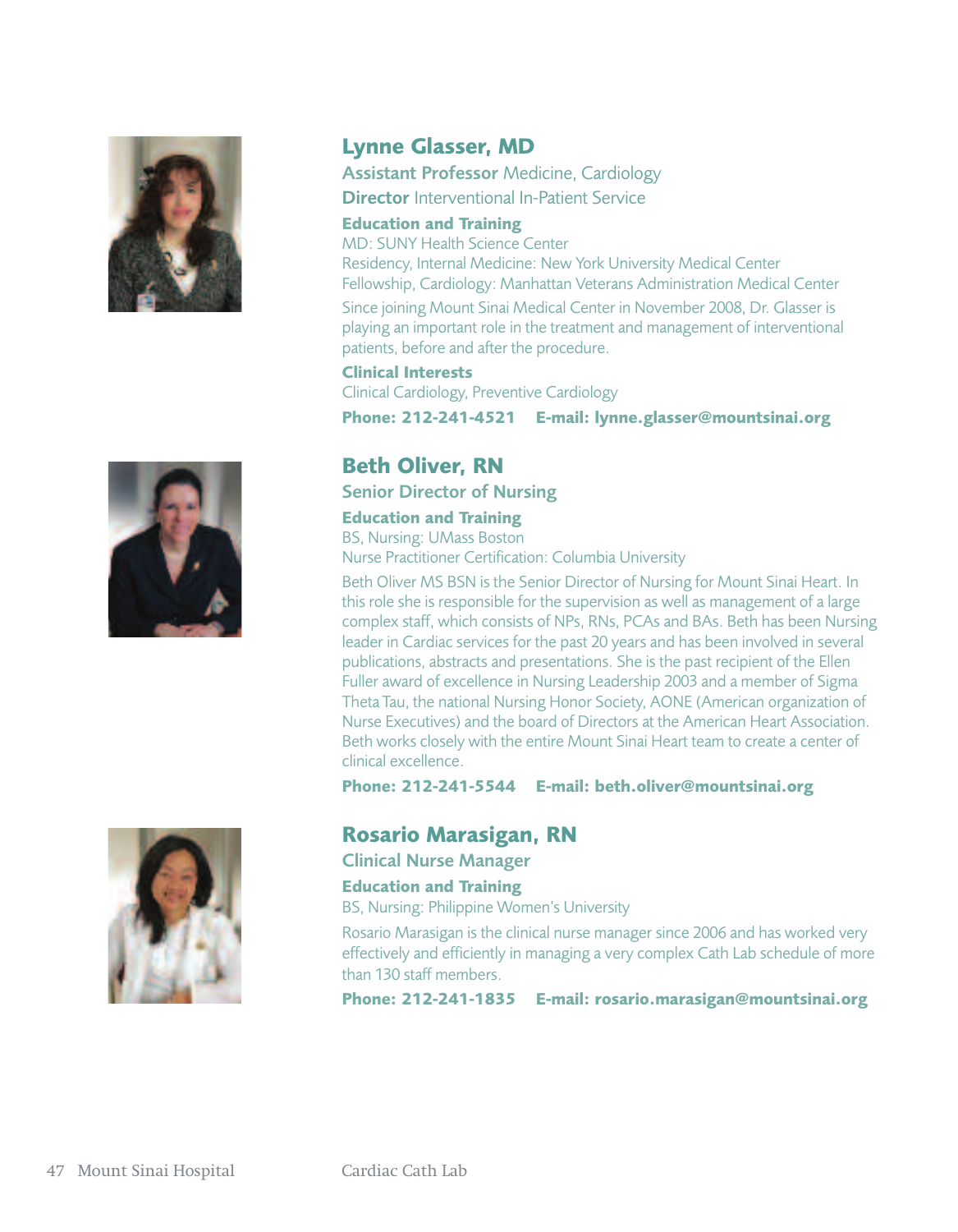

# **Lynne Glasser, MD**

**Assistant Professor Medicine, Cardiology Director Interventional In-Patient Service**

#### **Education and Training**

**MD: SUNY Health Science Center Residency, Internal Medicine: New York University Medical Center Fellowship, Cardiology: Manhattan Veterans Administration Medical Center**

**Since joining Mount Sinai Medical Center in November 2008, Dr. Glasser is playing an important role in the treatment and management of interventional patients, before and after the procedure.**

#### **Clinical Interests**

**Clinical Cardiology, Preventive Cardiology**

**Phone: 212-241-4521 E-mail: lynne.glasser@mountsinai.org**

### **Beth Oliver, RN**

**Senior Director of Nursing**

#### **Education and Training**

**BS, Nursing: UMass Boston Nurse Practitioner Certification: Columbia University**

**Beth Oliver MS BSN is the Senior Director of Nursing for Mount Sinai Heart. In this role she is responsible for the supervision as well as management of a large complex staff, which consists of NPs, RNs, PCAs and BAs. Beth has been Nursing leader in Cardiac services for the past 20 years and has been involved in several publications, abstracts and presentations. She is the past recipient of the Ellen Fuller award of excellence in Nursing Leadership 2003 and a member of Sigma ThetaTau, the national Nursing Honor Society, AONE (American organization of Nurse Executives) and the board of Directors at the American Heart Association. Beth works closely with the entire Mount Sinai Heart team to create a center of clinical excellence.**

**Phone: 212-241-5544 E-mail: beth.oliver@mountsinai.org**



## **Rosario Marasigan, RN**

**Clinical Nurse Manager**

#### **Education and Training**

**BS, Nursing: Philippine Women's University**

**Rosario Marasigan is the clinical nurse manager since 2006 and has worked very effectively and efficiently in managing a very complex Cath Lab schedule of more than 130 staff members.**

**Phone: 212-241-1835 E-mail: rosario.marasigan@mountsinai.org**

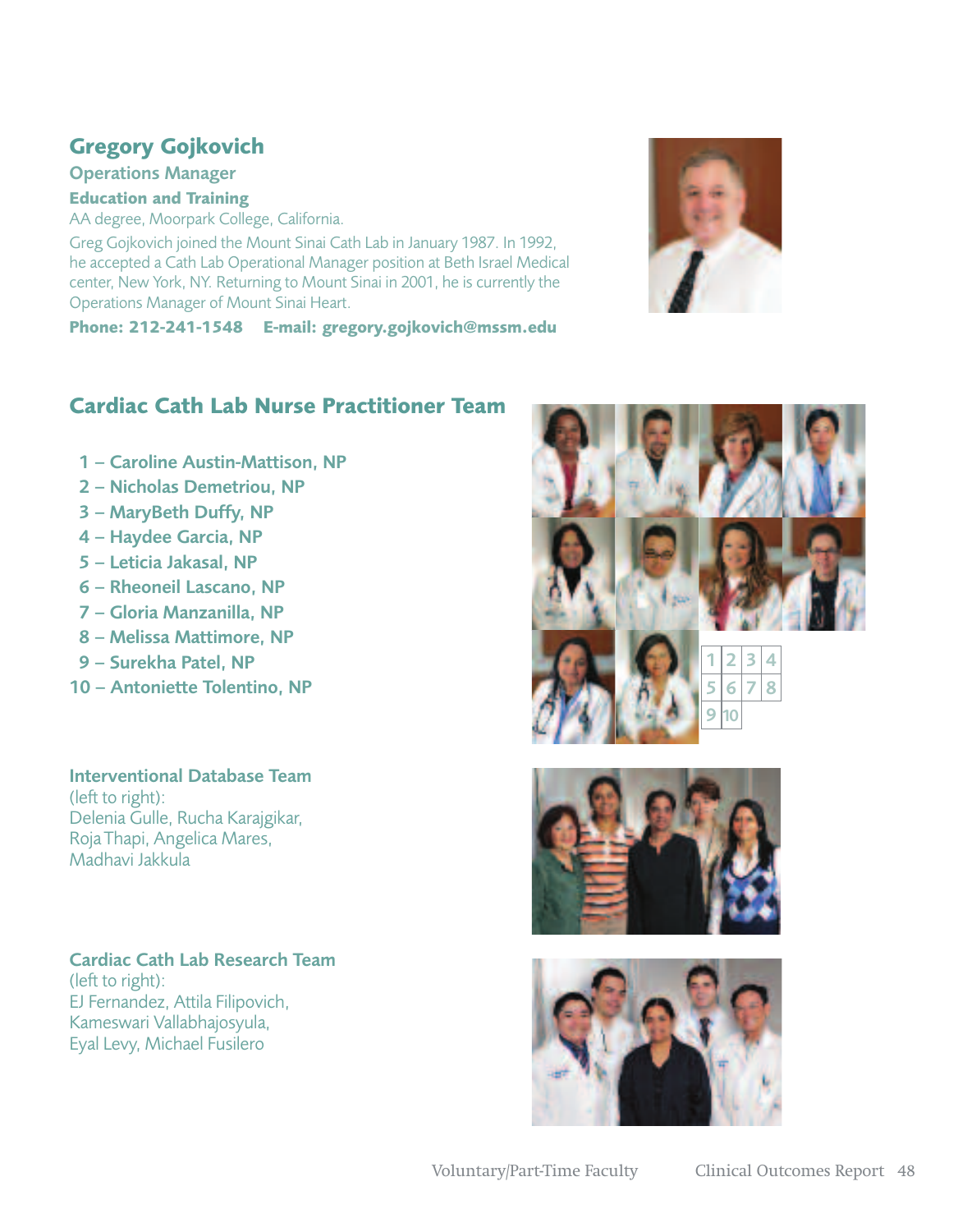# **Gregory Gojkovich**

#### **Operations Manager**

**Education and Training AA degree, Moorpark College, California.**

**Greg Gojkovich joined the Mount Sinai Cath Lab in January 1987. In 1992, he accepted a Cath Lab Operational Manager position at Beth Israel Medical center, New York, NY. Returning to Mount Sinai in 2001, he is currently the Operations Manager of Mount Sinai Heart.**

**Phone: 212-241-1548 E-mail: gregory.gojkovich@mssm.edu**



### **Cardiac Cath Lab Nurse Practitioner Team**

- **1 – Caroline Austin-Mattison, NP**
- **2 – Nicholas Demetriou, NP**
- **3 – MaryBeth Duffy, NP**
- **4 – Haydee Garcia, NP**
- **5 – Leticia Jakasal, NP**
- **6 – Rheoneil Lascano, NP**
- **7 – Gloria Manzanilla, NP**
- **8 – Melissa Mattimore, NP**
- **9 – Surekha Patel, NP**
- **10 – Antoniette Tolentino, NP**

**Interventional Database Team (left to right): Delenia Gulle, Rucha Karajgikar, RojaThapi, Angelica Mares, Madhavi Jakkula**

**Cardiac Cath Lab Research Team (left to right): EJ Fernandez, Attila Filipovich, Kameswari Vallabhajosyula, Eyal Levy, Michael Fusilero**





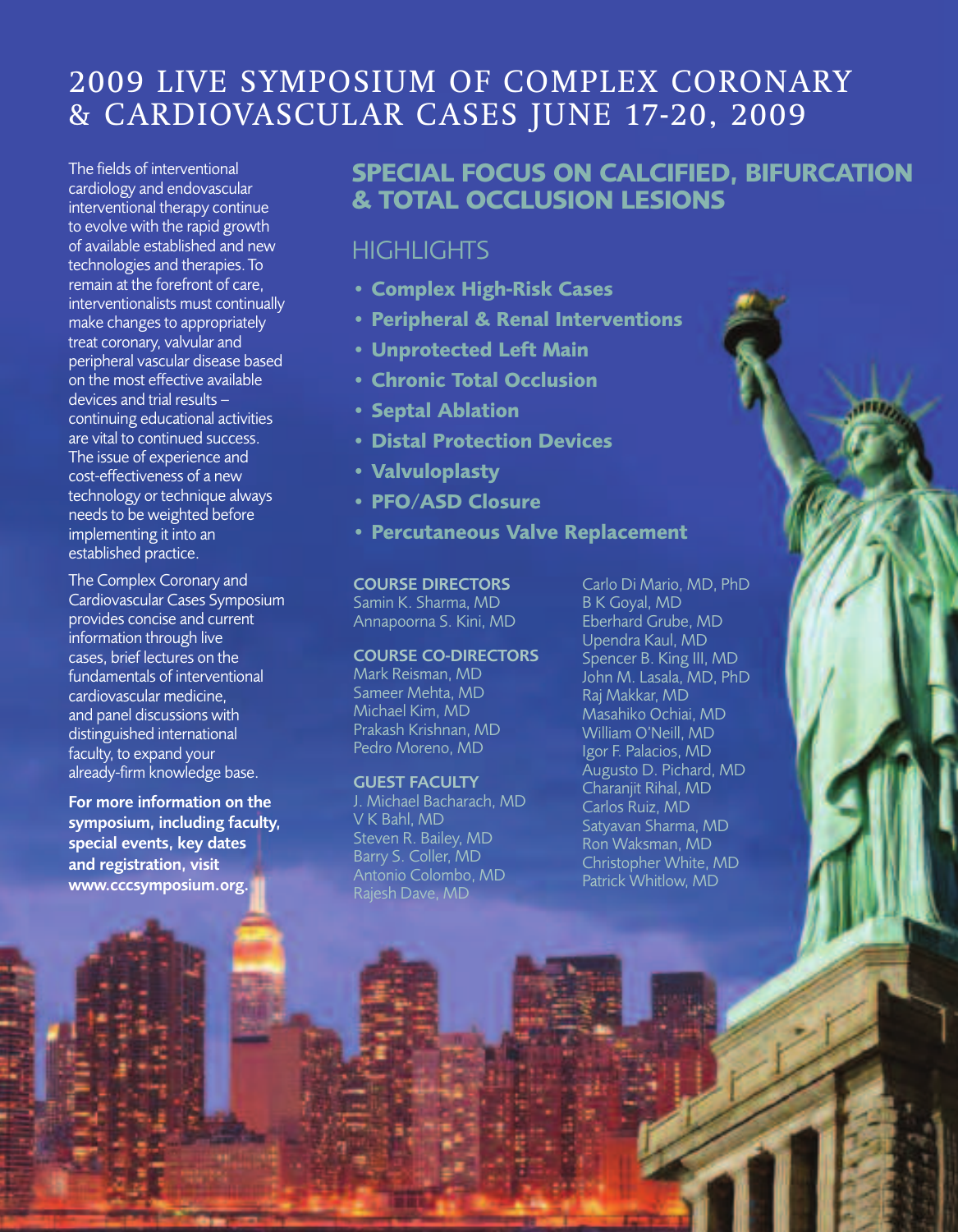# 2009 LIVE SYMPOSIUM OF COMPLEX CORONARY & CARDIOVASCULAR CASES JUNE 17-20, 2009

**The fields of interventional cardiology and endovascular interventional therapy continue to evolve with the rapid growth of available established and new technologies and therapies.To remain at the forefront of care, interventionalists must continually make** changes to appropriately **treat coronary, valvular and peripheral vascular disease based on the most effective available devices and trial results – continuing educational activities are vital to continued success. The issue of experience and cost-effectiveness of a new technology or technique always needsto be weighted before implementing it into an established practice.**

**The Complex Coronary and Cardiovascular Cases Symposium provides concise and current information through live cases, brief lectures on the fundamentals of interventional cardiovascular medicine, and panel discussions with distinguished international faculty, to expand your already-firm knowledge base.**

**For more information on the symposium, including faculty, special events, key dates and registration, visit www.cccsymposium.org.**

# **SPECIAL FOCUS ON CALCIFIED, BIFURCATION & TOTAL OCCLUSION LESIONS**

# **HIGHLIGHTS**

- **• Complex High-Risk Cases**
- **• Peripheral & Renal Interventions**
- **• Unprotected Left Main**
- **• Chronic Total Occlusion**
- **• Septal Ablation**
- **• Distal Protection Devices**
- **• Valvuloplasty**
- **• PFO/ASD Closure**
- **• Percutaneous Valve Replacement**

#### **COURSE DIRECTORS**

**Samin K. Sharma, MD Annapoorna S. Kini, MD**

#### **COURSE CO-DIRECTORS**

**Mark Reisman, MD Sameer Mehta, MD Michael Kim, MD Prakash Krishnan, MD Pedro Moreno, MD**

#### **GUEST FACULTY**

**J. Michael Bacharach, MD V K Bahl, MD Steven R. Bailey, MD Barry S. Coller, MD Antonio Colombo, MD Rajesh Dave, MD**

**Carlo Di Mario, MD, PhD B K Goyal, MD Eberhard Grube, MD Upendra Kaul, MD Spencer B. King III, MD John M. Lasala, MD, PhD Raj Makkar, MD Masahiko Ochiai, MD William O'Neill, MD Igor F. Palacios, MD Augusto D. Pichard, MD Charanjit Rihal, MD Carlos Ruiz, MD Satyavan Sharma, MD Ron Waksman, MD Patrick Whitlow, MD**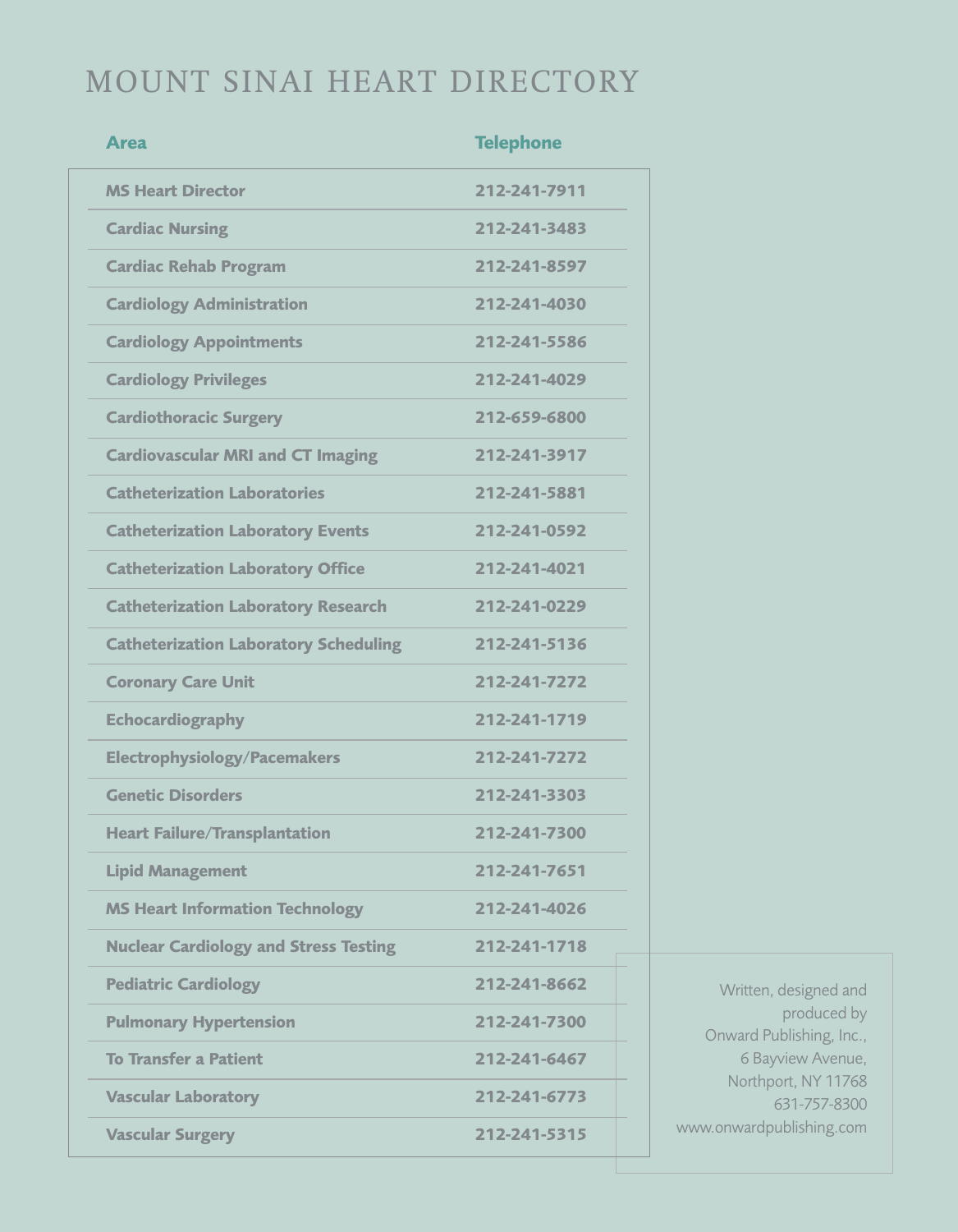# MOUNT SINAI HEART DIRECTORY

| <b>Area</b>                                  | <b>Telephone</b> |      |
|----------------------------------------------|------------------|------|
| <b>MS Heart Director</b>                     | 212-241-7911     |      |
| <b>Cardiac Nursing</b>                       | 212-241-3483     |      |
| <b>Cardiac Rehab Program</b>                 | 212-241-8597     |      |
| <b>Cardiology Administration</b>             | 212-241-4030     |      |
| <b>Cardiology Appointments</b>               | 212-241-5586     |      |
| <b>Cardiology Privileges</b>                 | 212-241-4029     |      |
| <b>Cardiothoracic Surgery</b>                | 212-659-6800     |      |
| <b>Cardiovascular MRI and CT Imaging</b>     | 212-241-3917     |      |
| <b>Catheterization Laboratories</b>          | 212-241-5881     |      |
| <b>Catheterization Laboratory Events</b>     | 212-241-0592     |      |
| <b>Catheterization Laboratory Office</b>     | 212-241-4021     |      |
| <b>Catheterization Laboratory Research</b>   | 212-241-0229     |      |
| <b>Catheterization Laboratory Scheduling</b> | 212-241-5136     |      |
| <b>Coronary Care Unit</b>                    | 212-241-7272     |      |
| <b>Echocardiography</b>                      | 212-241-1719     |      |
| <b>Electrophysiology/Pacemakers</b>          | 212-241-7272     |      |
| <b>Genetic Disorders</b>                     | 212-241-3303     |      |
| <b>Heart Failure/Transplantation</b>         | 212-241-7300     |      |
| <b>Lipid Management</b>                      | 212-241-7651     |      |
| <b>MS Heart Information Technology</b>       | 212-241-4026     |      |
| <b>Nuclear Cardiology and Stress Testing</b> | 212-241-1718     |      |
| <b>Pediatric Cardiology</b>                  | 212-241-8662     |      |
| <b>Pulmonary Hypertension</b>                | 212-241-7300     | Oı   |
| <b>To Transfer a Patient</b>                 | 212-241-6467     |      |
| <b>Vascular Laboratory</b>                   | 212-241-6773     |      |
| <b>Vascular Surgery</b>                      | 212-241-5315     | WWW. |
|                                              |                  |      |

**Written, designed and produced by Onward Publishing, Inc., 6 Bayview Avenue, Northport, NY 11768 631-757-8300 www.onwardpublishing.com**